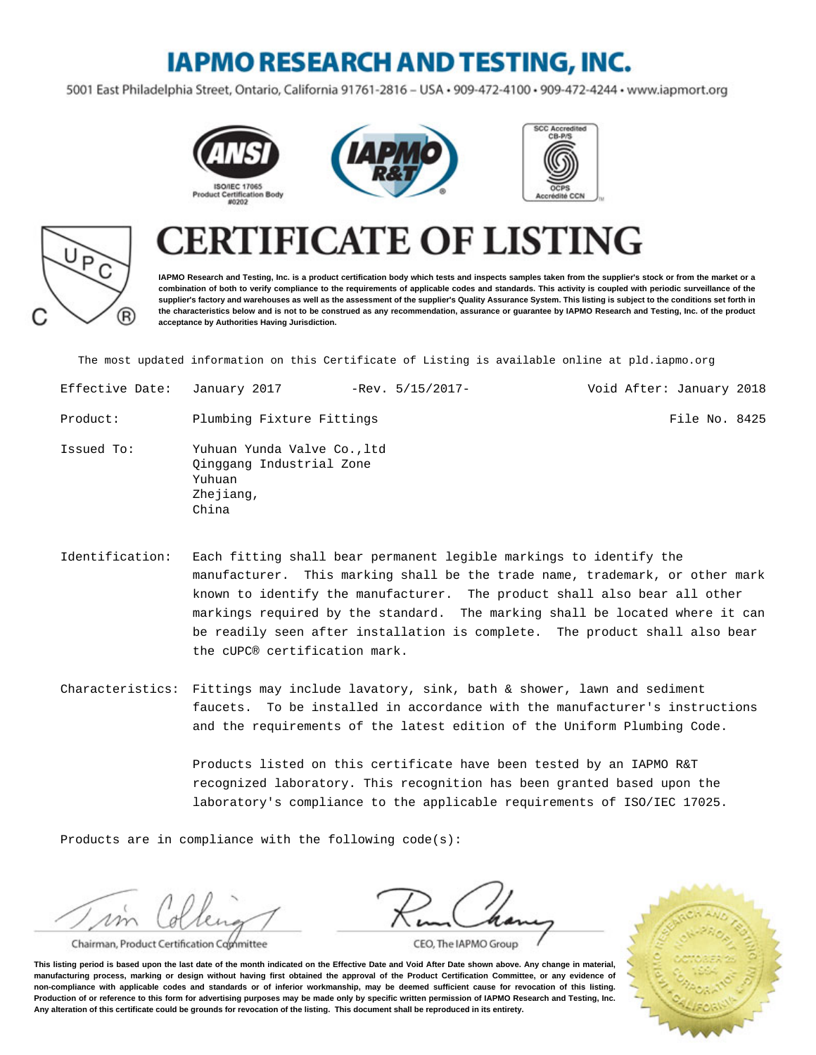## **IAPMO RESEARCH AND TESTING, INC.**

5001 East Philadelphia Street, Ontario, California 91761-2816 - USA · 909-472-4100 · 909-472-4244 · www.iapmort.org









# **CATE OF LISTING**

**IAPMO Research and Testing, Inc. is a product certification body which tests and inspects samples taken from the supplier's stock or from the market or a combination of both to verify compliance to the requirements of applicable codes and standards. This activity is coupled with periodic surveillance of the supplier's factory and warehouses as well as the assessment of the supplier's Quality Assurance System. This listing is subject to the conditions set forth in the characteristics below and is not to be construed as any recommendation, assurance or guarantee by IAPMO Research and Testing, Inc. of the product acceptance by Authorities Having Jurisdiction.**

The most updated information on this Certificate of Listing is available online at pld.iapmo.org

| Effective Date: | January 2017                                                                            | $-Rev. 5/15/2017-$ | Void After: January 2018 |               |  |
|-----------------|-----------------------------------------------------------------------------------------|--------------------|--------------------------|---------------|--|
| Product:        | Plumbing Fixture Fittings                                                               |                    |                          | File No. 8425 |  |
| Issued To:      | Yuhuan Yunda Valve Co., ltd<br>Qinggang Industrial Zone<br>Yuhuan<br>Zhejiang,<br>China |                    |                          |               |  |

- Identification: Each fitting shall bear permanent legible markings to identify the manufacturer. This marking shall be the trade name, trademark, or other mark known to identify the manufacturer. The product shall also bear all other markings required by the standard. The marking shall be located where it can be readily seen after installation is complete. The product shall also bear the cUPC® certification mark.
- Characteristics: Fittings may include lavatory, sink, bath & shower, lawn and sediment faucets. To be installed in accordance with the manufacturer's instructions and the requirements of the latest edition of the Uniform Plumbing Code.

Products listed on this certificate have been tested by an IAPMO R&T recognized laboratory. This recognition has been granted based upon the laboratory's compliance to the applicable requirements of ISO/IEC 17025.

Products are in compliance with the following code(s):

 $\nu \nu$ 

Chairman, Product Certification Committee





CEO, The IAPMO Group

**This listing period is based upon the last date of the month indicated on the Effective Date and Void After Date shown above. Any change in material, manufacturing process, marking or design without having first obtained the approval of the Product Certification Committee, or any evidence of non-compliance with applicable codes and standards or of inferior workmanship, may be deemed sufficient cause for revocation of this listing. Production of or reference to this form for advertising purposes may be made only by specific written permission of IAPMO Research and Testing, Inc. Any alteration of this certificate could be grounds for revocation of the listing. This document shall be reproduced in its entirety.**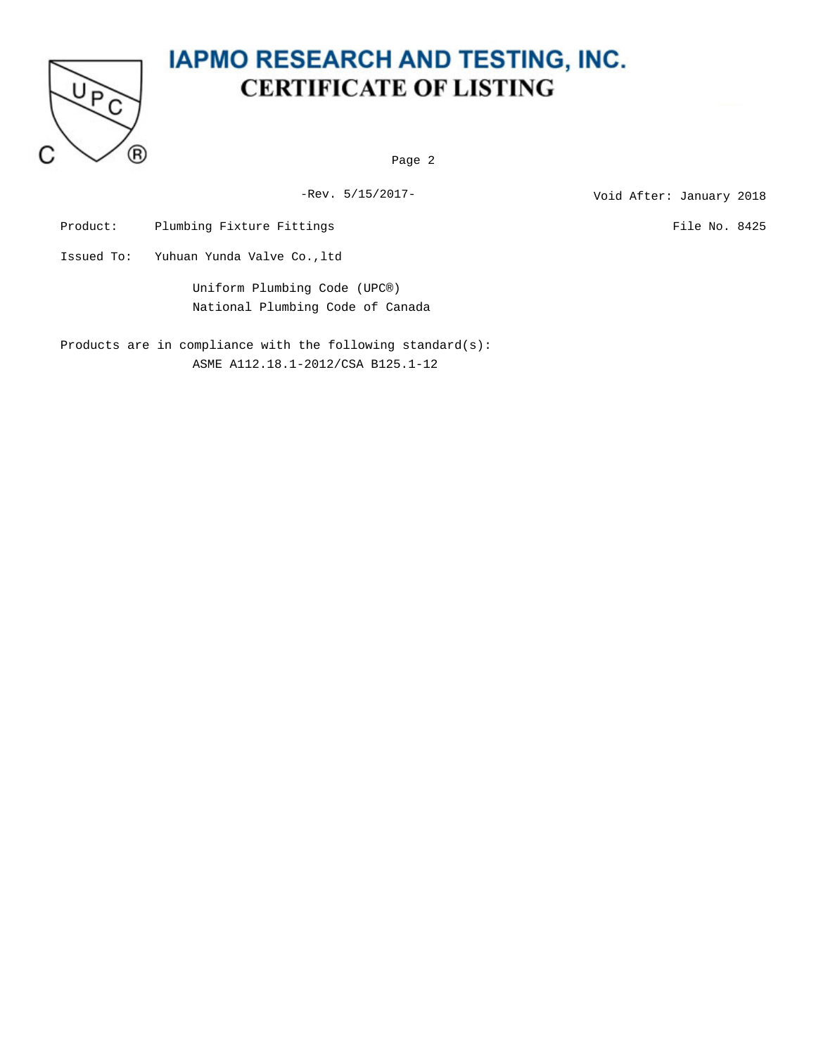

Page 2

-Rev. 5/15/2017-<br>
Void After: January 2018

Product: Plumbing Fixture Fittings File No. 8425

Issued To: Yuhuan Yunda Valve Co.,ltd

Uniform Plumbing Code (UPC®) National Plumbing Code of Canada

Products are in compliance with the following standard(s): ASME A112.18.1-2012/CSA B125.1-12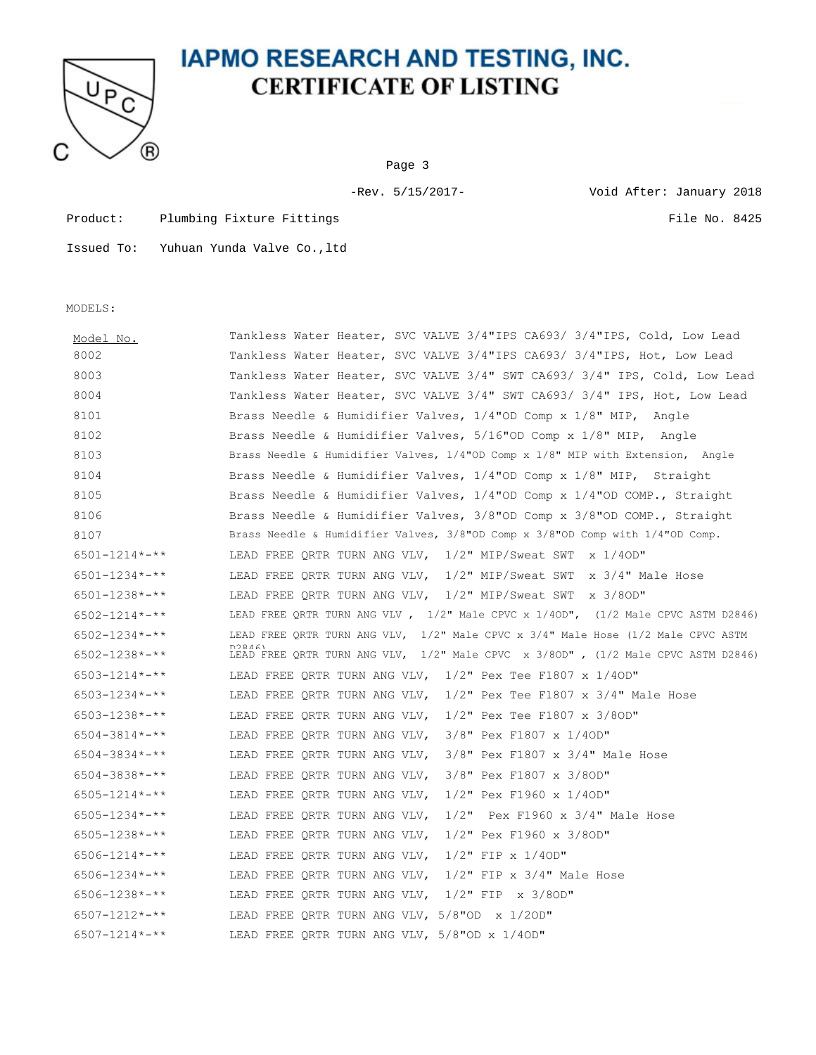

Page 3

Product: Plumbing Fixture Fittings File No. 8425

-Rev. 5/15/2017- Void After: January 2018

Issued To: Yuhuan Yunda Valve Co.,ltd

MODELS:

| Model No.                            | Tankless Water Heater, SVC VALVE 3/4"IPS CA693/ 3/4"IPS, Cold, Low Lead                         |
|--------------------------------------|-------------------------------------------------------------------------------------------------|
| 8002                                 | Tankless Water Heater, SVC VALVE 3/4"IPS CA693/ 3/4"IPS, Hot, Low Lead                          |
| 8003                                 | Tankless Water Heater, SVC VALVE 3/4" SWT CA693/ 3/4" IPS, Cold, Low Lead                       |
| 8004                                 | Tankless Water Heater, SVC VALVE 3/4" SWT CA693/ 3/4" IPS, Hot, Low Lead                        |
| 8101                                 | Brass Needle & Humidifier Valves, 1/4"OD Comp x 1/8" MIP, Angle                                 |
| 8102                                 | Brass Needle & Humidifier Valves, 5/16"OD Comp x 1/8" MIP, Angle                                |
| 8103                                 | Brass Needle & Humidifier Valves, 1/4"OD Comp x 1/8" MIP with Extension, Angle                  |
| 8104                                 | Brass Needle & Humidifier Valves, 1/4"OD Comp x 1/8" MIP, Straight                              |
| 8105                                 | Brass Needle & Humidifier Valves, $1/4$ "OD Comp x $1/4$ "OD COMP., Straight                    |
| 8106                                 | Brass Needle & Humidifier Valves, 3/8"OD Comp x 3/8"OD COMP., Straight                          |
| 8107                                 | Brass Needle & Humidifier Valves, $3/8$ "OD Comp x $3/8$ "OD Comp with $1/4$ "OD Comp.          |
| $6501 - 1214 \times - \times$        | LEAD FREE QRTR TURN ANG VLV, $1/2$ " MIP/Sweat SWT $\frac{x}{1/40D}$ "                          |
| $6501 - 1234 \times - \times \times$ | LEAD FREE QRTR TURN ANG VLV, 1/2" MIP/Sweat SWT x 3/4" Male Hose                                |
| $6501 - 1238 \times - \times \times$ | LEAD FREE ORTR TURN ANG VLV, 1/2" MIP/Sweat SWT x 3/8OD"                                        |
| $6502 - 1214 \times - \times$        | LEAD FREE QRTR TURN ANG VLV , $1/2$ " Male CPVC x $1/40D$ ", $(1/2$ Male CPVC ASTM D2846)       |
| $6502 - 1234 \times - \times \times$ | LEAD FREE QRTR TURN ANG VLV, 1/2" Male CPVC x 3/4" Male Hose (1/2 Male CPVC ASTM                |
| $6502 - 1238 \times 4 \times 4$      | D99161<br>LEAD FREE QRTR TURN ANG VLV, $1/2$ " Male CPVC x 3/80D", $(1/2$ Male CPVC ASTM D2846) |
| $6503 - 1214 \times - \times \times$ | LEAD FREE ORTR TURN ANG VLV, $1/2$ " Pex Tee F1807 x 1/40D"                                     |
| $6503 - 1234 \times - \times \times$ | LEAD FREE QRTR TURN ANG VLV, $1/2$ " Pex Tee F1807 x 3/4" Male Hose                             |
| $6503 - 1238 \times 4 \times 4$      | LEAD FREE QRTR TURN ANG VLV, $1/2$ " Pex Tee F1807 x 3/80D"                                     |
| $6504 - 3814 \times - \times \times$ | LEAD FREE QRTR TURN ANG VLV, 3/8" Pex F1807 x 1/40D"                                            |
| $6504 - 3834 \times - \times \times$ | LEAD FREE QRTR TURN ANG VLV, 3/8" Pex F1807 x 3/4" Male Hose                                    |
| $6504 - 3838 \times 3.1$             | 3/8" Pex F1807 x 3/80D"<br>LEAD FREE QRTR TURN ANG VLV,                                         |
| $6505 - 1214 \times - \times \times$ | $1/2$ " Pex F1960 x 1/40D"<br>LEAD FREE QRTR TURN ANG VLV,                                      |
| $6505 - 1234 \times - \times \times$ | $1/2$ " Pex F1960 x 3/4" Male Hose<br>LEAD FREE ORTR TURN ANG VLV,                              |
| $6505 - 1238 \times 10^{-4}$         | 1/2" Pex F1960 x 3/8OD"<br>LEAD FREE QRTR TURN ANG VLV,                                         |
| $6506 - 1214$ *-**                   | LEAD FREE QRTR TURN ANG VLV, $1/2$ " FIP x $1/40D$ "                                            |
| $6506 - 1234 \times - \times \times$ | LEAD FREE QRTR TURN ANG VLV, $1/2$ " FIP x 3/4" Male Hose                                       |
| $6506 - 1238 \times - \times \times$ | LEAD FREE QRTR TURN ANG VLV, 1/2" FIP x 3/80D"                                                  |
| $6507 - 1212 \times - \times \times$ | LEAD FREE QRTR TURN ANG VLV, $5/8"$ OD $\times$ 1/20D"                                          |
| $6507 - 1214$ *-**                   | LEAD FREE QRTR TURN ANG VLV, 5/8"OD x 1/40D"                                                    |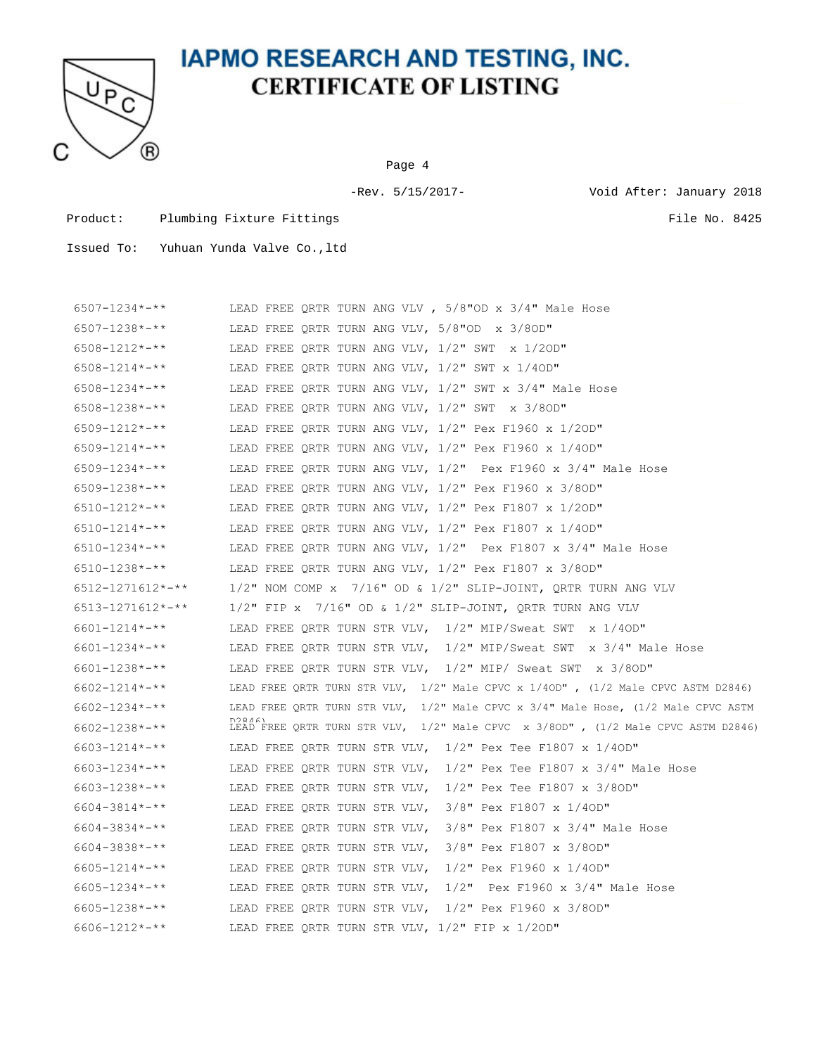

Page 4

-Rev. 5/15/2017- Void After: January 2018

Product: Plumbing Fixture Fittings File No. 8425

| $6507 - 1234 \times - \times \times$ | LEAD FREE QRTR TURN ANG VLV , $5/8"$ OD x $3/4"$ Male Hose                                 |
|--------------------------------------|--------------------------------------------------------------------------------------------|
| $6507 - 1238 \times - \times \times$ | LEAD FREE QRTR TURN ANG VLV, 5/8"OD x 3/8OD"                                               |
| $6508 - 1212 \times - \times \times$ | LEAD FREE QRTR TURN ANG VLV, $1/2$ " SWT $\,\times\,1/2$ OD"                               |
| 6508-1214*-**                        | LEAD FREE QRTR TURN ANG VLV, $1/2$ " SWT x $1/4$ OD"                                       |
| $6508 - 1234 \times - \times \times$ | LEAD FREE QRTR TURN ANG VLV, $1/2$ " SWT x $3/4$ " Male Hose                               |
| $6508 - 1238 \times - \times \times$ | LEAD FREE ORTR TURN ANG VLV, $1/2$ " SWT $\times$ 3/80D"                                   |
| $6509 - 1212 \times - \times \times$ | LEAD FREE ORTR TURN ANG VLV, 1/2" Pex F1960 x 1/20D"                                       |
| $6509 - 1214 \times - \times \times$ | LEAD FREE QRTR TURN ANG VLV, 1/2" Pex F1960 x 1/40D"                                       |
| $6509 - 1234 \times - \times \times$ | LEAD FREE QRTR TURN ANG VLV, $1/2$ " Pex F1960 x 3/4" Male Hose                            |
| 6509-1238*-**                        | LEAD FREE QRTR TURN ANG VLV, $1/2$ " Pex F1960 x 3/8OD"                                    |
| $6510 - 1212 \times - \times \times$ | LEAD FREE ORTR TURN ANG VLV, 1/2" Pex F1807 x 1/20D"                                       |
| $6510 - 1214 \times - \times \times$ | LEAD FREE QRTR TURN ANG VLV, $1/2$ " Pex F1807 x 1/40D"                                    |
| $6510 - 1234 \times - \times \times$ | LEAD FREE QRTR TURN ANG VLV, 1/2" Pex F1807 x 3/4" Male Hose                               |
| $6510 - 1238 \times - \times \times$ | LEAD FREE QRTR TURN ANG VLV, 1/2" Pex F1807 x 3/80D"                                       |
| 6512-1271612*-**                     | $1/2$ " NOM COMP x $7/16$ " OD & $1/2$ " SLIP-JOINT, QRTR TURN ANG VLV                     |
| 6513-1271612*-**                     | $1/2$ " FIP x $7/16$ " OD & $1/2$ " SLIP-JOINT, QRTR TURN ANG VLV                          |
| $6601 - 1214 \times - \times \times$ | LEAD FREE QRTR TURN STR VLV, 1/2" MIP/Sweat SWT x 1/40D"                                   |
| $6601 - 1234 \times - \times \times$ | LEAD FREE QRTR TURN STR VLV, 1/2" MIP/Sweat SWT x 3/4" Male Hose                           |
| $6601 - 1238 \times 4 \times 4$      | LEAD FREE QRTR TURN STR VLV, 1/2" MIP/ Sweat SWT x 3/8OD"                                  |
| 6602-1214*-**                        | LEAD FREE QRTR TURN STR VLV, $1/2$ " Male CPVC x $1/40D$ ", $(1/2$ Male CPVC ASTM D2846)   |
| $6602 - 1234 \times - \times \times$ | LEAD FREE QRTR TURN STR VLV, 1/2" Male CPVC x 3/4" Male Hose, (1/2 Male CPVC ASTM          |
| $6602 - 1238 \times 300$             | D98461<br>LEAD FREE QRTR TURN STR VLV, 1/2" Male CPVC x 3/80D", (1/2 Male CPVC ASTM D2846) |
| $6603 - 1214 \times - \times \times$ | LEAD FREE QRTR TURN STR VLV, 1/2" Pex Tee F1807 x 1/40D"                                   |
| $6603 - 1234 \times - \times \times$ | LEAD FREE ORTR TURN STR VLV, $1/2$ " Pex Tee F1807 x 3/4" Male Hose                        |
| 6603-1238*-**                        | LEAD FREE QRTR TURN STR VLV, $1/2$ " Pex Tee F1807 x 3/80D"                                |
| $6604 - 3814 \times - \times \times$ | LEAD FREE QRTR TURN STR VLV, 3/8" Pex F1807 x 1/40D"                                       |
| 6604-3834*-**                        | LEAD FREE QRTR TURN STR VLV, $3/8$ " Pex F1807 x 3/4" Male Hose                            |
| 6604-3838*-**                        | LEAD FREE QRTR TURN STR VLV, 3/8" Pex F1807 x 3/8OD"                                       |
| $6605 - 1214 \times - \times \times$ | LEAD FREE QRTR TURN STR VLV, 1/2" Pex F1960 x 1/40D"                                       |
| 6605-1234*-**                        | LEAD FREE QRTR TURN STR VLV, $1/2$ " Pex F1960 x 3/4" Male Hose                            |
| $6605 - 1238 \times 300$             | LEAD FREE QRTR TURN STR VLV, 1/2" Pex F1960 x 3/8OD"                                       |
| $6606 - 1212 \times - \times \times$ | LEAD FREE QRTR TURN STR VLV, 1/2" FIP x 1/20D"                                             |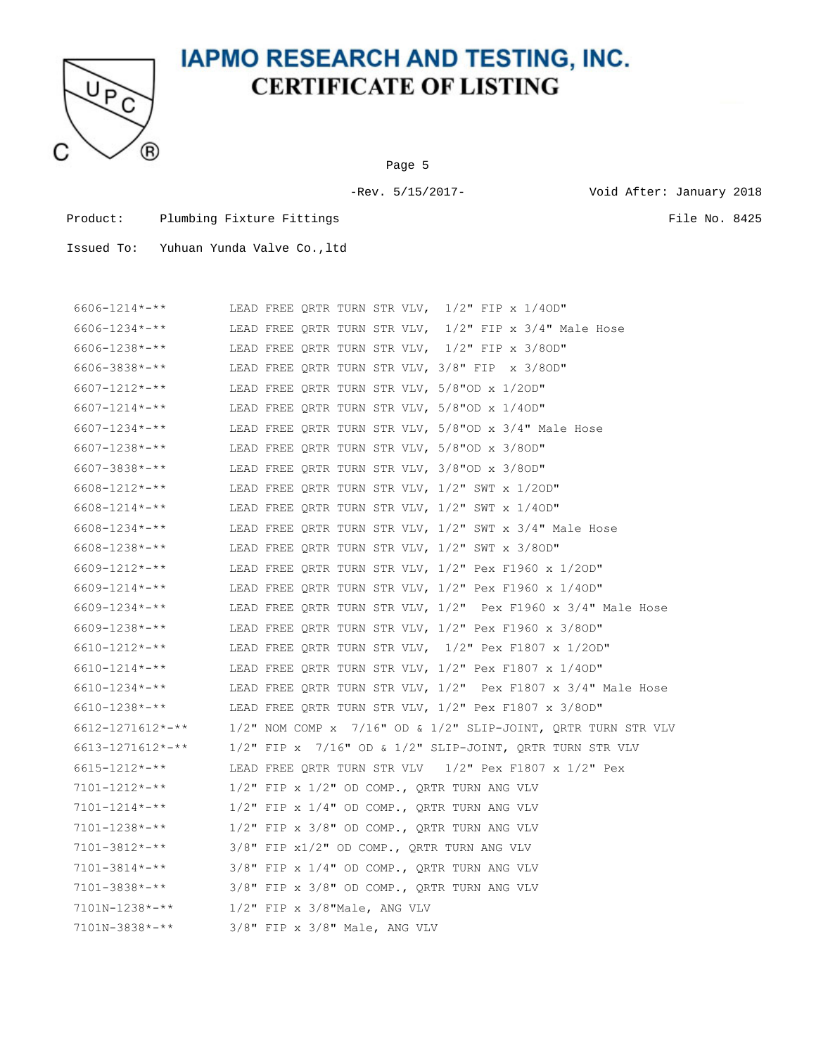

Page 5

-Rev. 5/15/2017- Void After: January 2018

Product: Plumbing Fixture Fittings File No. 8425

| $6606 - 1214 \times - \times$           |                                    |  | LEAD FREE QRTR TURN STR VLV, 1/2" FIP x 1/40D"                         |
|-----------------------------------------|------------------------------------|--|------------------------------------------------------------------------|
| 6606-1234*-**                           |                                    |  | LEAD FREE QRTR TURN STR VLV, 1/2" FIP x 3/4" Male Hose                 |
| $6606 - 1238 \times - \times \times$    |                                    |  | LEAD FREE QRTR TURN STR VLV, 1/2" FIP x 3/8OD"                         |
| 6606-3838*-**                           |                                    |  | LEAD FREE QRTR TURN STR VLV, 3/8" FIP x 3/8OD"                         |
| $6607 - 1212 \times - \times \times$    |                                    |  | LEAD FREE QRTR TURN STR VLV, 5/8"OD x 1/20D"                           |
| $6607 - 1214 \times - \times \times$    |                                    |  | LEAD FREE QRTR TURN STR VLV, 5/8"OD x 1/40D"                           |
| $6607 - 1234 \times - \times \times$    |                                    |  | LEAD FREE QRTR TURN STR VLV, 5/8"OD x 3/4" Male Hose                   |
| 6607-1238*-**                           |                                    |  | LEAD FREE QRTR TURN STR VLV, 5/8"OD x 3/8OD"                           |
| $6607 - 3838 \times 3.1$                |                                    |  | LEAD FREE QRTR TURN STR VLV, 3/8"OD x 3/8OD"                           |
| $6608 - 1212 \times 100$                |                                    |  | LEAD FREE QRTR TURN STR VLV, $1/2$ " SWT x $1/2$ OD"                   |
| $6608 - 1214 \times 4 \times 4$         |                                    |  | LEAD FREE ORTR TURN STR VLV, $1/2$ " SWT x $1/40D$ "                   |
| $6608 - 1234 \times - \times \times$    |                                    |  | LEAD FREE QRTR TURN STR VLV, 1/2" SWT x 3/4" Male Hose                 |
| 6608-1238*-**                           |                                    |  | LEAD FREE QRTR TURN STR VLV, $1/2$ " SWT x 3/80D"                      |
| $6609 - 1212 \times - \times \times$    |                                    |  | LEAD FREE QRTR TURN STR VLV, 1/2" Pex F1960 x 1/20D"                   |
| $6609 - 1214 \times - \times \times$    |                                    |  | LEAD FREE QRTR TURN STR VLV, 1/2" Pex F1960 x 1/40D"                   |
| $6609 - 1234 \times 4 \times 4$         |                                    |  | LEAD FREE QRTR TURN STR VLV, $1/2$ " Pex F1960 x $3/4$ " Male Hose     |
| $6609 - 1238 \times 10^{-4}$            |                                    |  | LEAD FREE QRTR TURN STR VLV, $1/2$ " Pex F1960 x 3/8OD"                |
| $6610 - 1212 \times - \times \times$    |                                    |  | LEAD FREE QRTR TURN STR VLV, 1/2" Pex F1807 x 1/20D"                   |
| 6610-1214*-**                           |                                    |  | LEAD FREE QRTR TURN STR VLV, 1/2" Pex F1807 x 1/40D"                   |
| 6610-1234*-**                           |                                    |  | LEAD FREE QRTR TURN STR VLV, 1/2" Pex F1807 x 3/4" Male Hose           |
| 6610-1238*-**                           |                                    |  | LEAD FREE QRTR TURN STR VLV, 1/2" Pex F1807 x 3/8OD"                   |
| $6612 - 1271612 \times - \times \times$ |                                    |  | $1/2$ " NOM COMP x $7/16$ " OD & $1/2$ " SLIP-JOINT, QRTR TURN STR VLV |
| $6613 - 1271612 \times - \times$        |                                    |  | $1/2$ " FIP x $7/16$ " OD & $1/2$ " SLIP-JOINT, QRTR TURN STR VLV      |
| 6615-1212*-**                           |                                    |  | LEAD FREE QRTR TURN STR VLV $1/2$ " Pex F1807 x $1/2$ " Pex            |
| 7101-1212*-**                           |                                    |  | $1/2$ " FIP x $1/2$ " OD COMP., QRTR TURN ANG VLV                      |
| $7101 - 1214 \times - \times \times$    |                                    |  | $1/2$ " FIP x $1/4$ " OD COMP., QRTR TURN ANG VLV                      |
| $7101 - 1238 \times - \times \times$    |                                    |  | $1/2$ " FIP x 3/8" OD COMP., QRTR TURN ANG VLV                         |
| $7101 - 3812 \times - \times \times$    |                                    |  | 3/8" FIP x1/2" OD COMP., QRTR TURN ANG VLV                             |
| $7101 - 3814 \times - \times \times$    |                                    |  | 3/8" FIP x 1/4" OD COMP., QRTR TURN ANG VLV                            |
| 7101-3838*-**                           |                                    |  | $3/8"$ FIP x $3/8"$ OD COMP., QRTR TURN ANG VLV                        |
| $7101N - 1238$ *-**                     | $1/2$ " FIP x $3/8$ "Male, ANG VLV |  |                                                                        |
| 7101N-3838*-**                          | $3/8"$ FIP x $3/8"$ Male, ANG VLV  |  |                                                                        |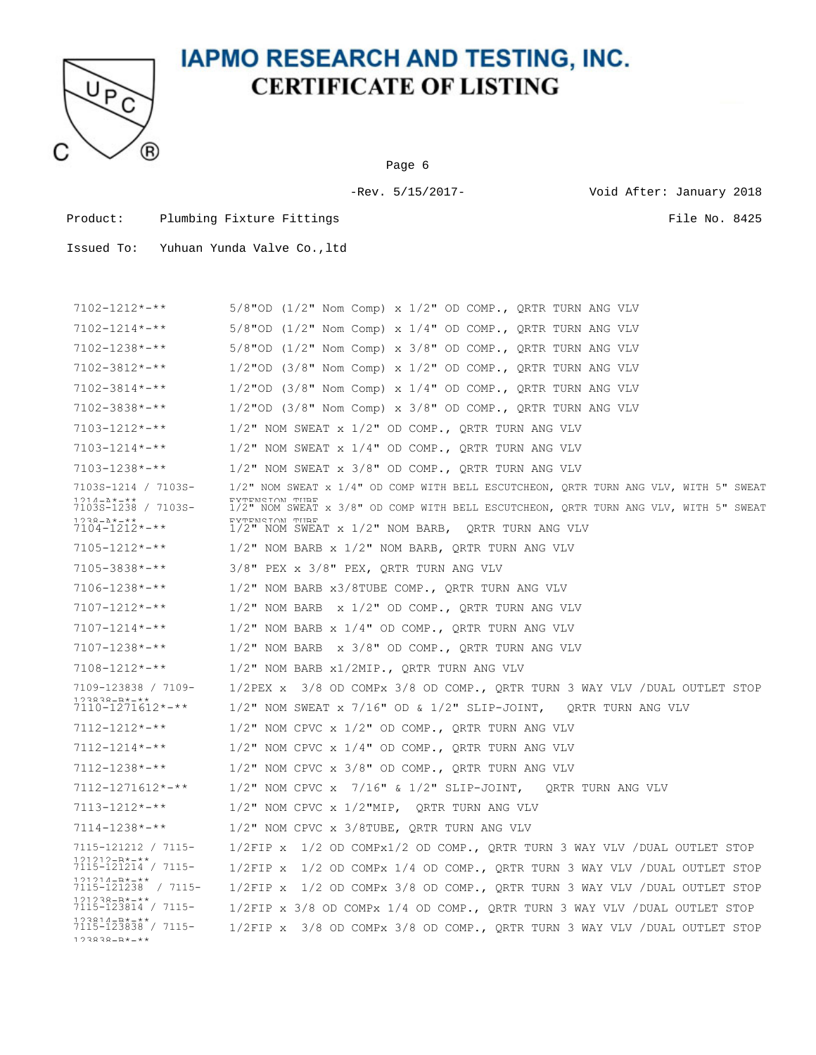

Page 6

-Rev. 5/15/2017- Void After: January 2018

Product: Plumbing Fixture Fittings File No. 8425

Issued To: Yuhuan Yunda Valve Co.,ltd

7102-1212\*-\*\* 5/8"OD (1/2" Nom Comp) x 1/2" OD COMP., QRTR TURN ANG VLV 7102-1214\*-\*\* 5/8"OD (1/2" Nom Comp) x 1/4" OD COMP., QRTR TURN ANG VLV 7102-1238\*-\*\* 5/8"OD (1/2" Nom Comp) x 3/8" OD COMP., QRTR TURN ANG VLV 7102-3812\*-\*\* 1/2"OD (3/8" Nom Comp) x 1/2" OD COMP., QRTR TURN ANG VLV 7102-3814\*-\*\* 1/2"OD (3/8" Nom Comp) x 1/4" OD COMP., QRTR TURN ANG VLV 7102-3838\*-\*\* 1/2"OD (3/8" Nom Comp) x 3/8" OD COMP., QRTR TURN ANG VLV  $7103-1212***$  1/2" NOM SWEAT x 1/2" OD COMP., ORTR TURN ANG VLV 7103-1214\*-\*\* 1/2" NOM SWEAT x 1/4" OD COMP., QRTR TURN ANG VLV 7103-1238\*-\*\* 1/2" NOM SWEAT x 3/8" OD COMP., QRTR TURN ANG VLV 7103S-1214 / 7103S-1214-A\*-\*\* EXTENSION TUBE. 7103S-1238 / 7103S-1/2" NOM SWEAT x 1/4" OD COMP WITH BELL ESCUTCHEON, QRTR TURN ANG VLV, WITH 5" SWEAT 1238-A\*-\*\*<br>7104-1212\*-\*\* EXTENSION TURE<br>1/2" NOM SWEAT x 3/8" OD COMP WITH BELL ESCUTCHEON, QRTR TURN ANG VLV, WITH 5" SWEAT EXTENSION TUBE.<br>1/2" NOM SWEAT x 1/2" NOM BARB, QRTR TURN ANG VLV 7105-1212\*-\*\* 1/2" NOM BARB x 1/2" NOM BARB, QRTR TURN ANG VLV 7105-3838\*-\*\* 3/8" PEX x 3/8" PEX, QRTR TURN ANG VLV 7106-1238\*-\*\* 1/2" NOM BARB x3/8TUBE COMP., QRTR TURN ANG VLV 7107-1212\*-\*\* 1/2" NOM BARB x 1/2" OD COMP., QRTR TURN ANG VLV 7107-1214\*-\*\* 1/2" NOM BARB x 1/4" OD COMP., QRTR TURN ANG VLV 7107-1238\*-\*\* 1/2" NOM BARB x 3/8" OD COMP., QRTR TURN ANG VLV 7108-1212\*-\*\* 1/2" NOM BARB x1/2MIP., QRTR TURN ANG VLV 7109-123838 / 7109- 123838-B\*-\*\*<br>7110-1271612\*-\*\* 1/2PEX x 3/8 OD COMPx 3/8 OD COMP., QRTR TURN 3 WAY VLV /DUAL OUTLET STOP  $1/2$ " NOM SWEAT x 7/16" OD &  $1/2$ " SLIP-JOINT, ORTR TURN ANG VLV 7112-1212\*-\*\* 1/2" NOM CPVC x 1/2" OD COMP., QRTR TURN ANG VLV 7112-1214\*-\*\* 1/2" NOM CPVC x 1/4" OD COMP., QRTR TURN ANG VLV 7112-1238\*-\*\* 1/2" NOM CPVC x 3/8" OD COMP., QRTR TURN ANG VLV 7112-1271612\*-\*\* 1/2" NOM CPVC x 7/16" & 1/2" SLIP-JOINT, QRTR TURN ANG VLV 7113-1212\*-\*\* 1/2" NOM CPVC x 1/2"MIP, QRTR TURN ANG VLV 7114-1238\*-\*\* 1/2" NOM CPVC x 3/8TUBE, QRTR TURN ANG VLV 7115-121212 / 7115- 121212-B\*-\*\* 7115-121214 / 7115- 1/2FIP x 1/2 OD COMPx1/2 OD COMP., QRTR TURN 3 WAY VLV /DUAL OUTLET STOP 121214-B\*-\*\* 7115-121238 / 7115- 1/2FIP x 1/2 OD COMPx 1/4 OD COMP., QRTR TURN 3 WAY VLV /DUAL OUTLET STOP 121238-B\*-\*\* 7115-123814 / 7115- 1/2FIP x 1/2 OD COMPx 3/8 OD COMP., QRTR TURN 3 WAY VLV /DUAL OUTLET STOP 123814-B\*-\*\* 7115-123838 / 7115- 1/2FIP x 3/8 OD COMPx 1/4 OD COMP., QRTR TURN 3 WAY VLV /DUAL OUTLET STOP  $123838 - B* - **$ 1/2FIP x 3/8 OD COMPx 3/8 OD COMP., QRTR TURN 3 WAY VLV /DUAL OUTLET STOP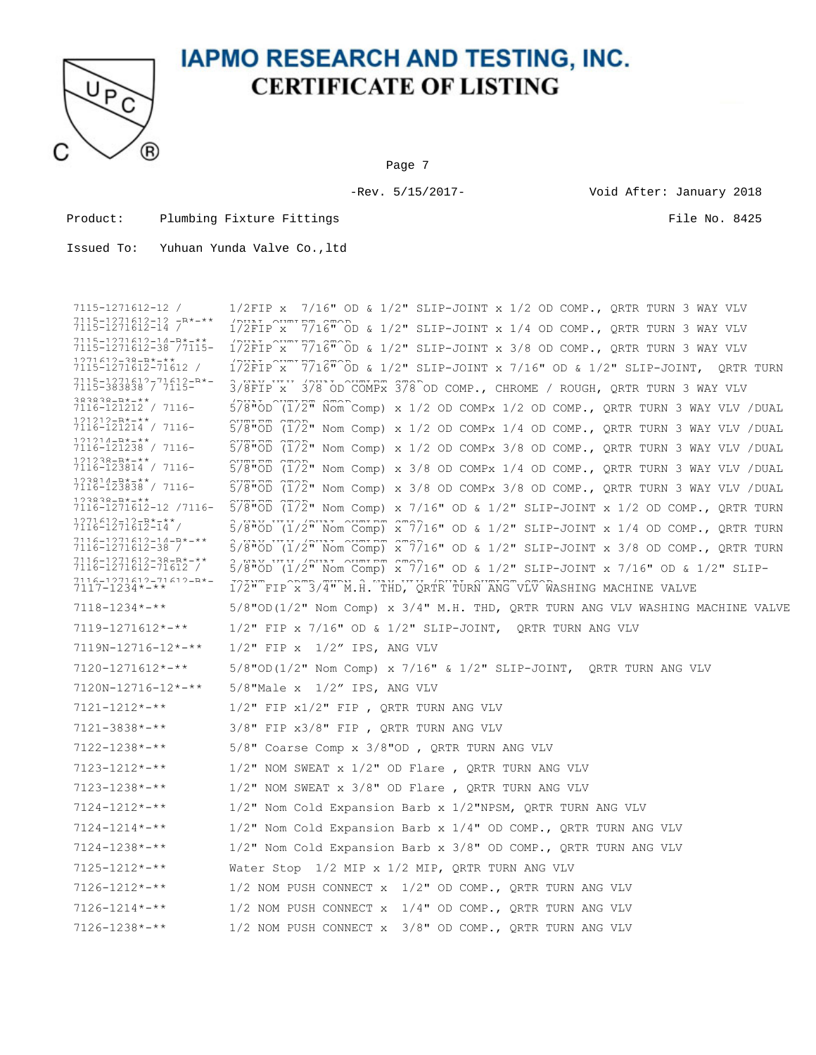

Page 7

-Rev. 5/15/2017- Void After: January 2018

Product: Plumbing Fixture Fittings File No. 8425

Issued To: Yuhuan Yunda Valve Co.,ltd

7115-1271612-12 /  $7115-1271612-12$   $-R*-*$ <br> $7115-1271612-14$  /  $1/2$ FIP x 7/16" OD &  $1/2$ " SLIP-JOINT x 1/2 OD COMP., QRTR TURN 3 WAY VLV  $7115-1271612-13$   $-18-18$   $1/2$   $-1/2$   $1/2$   $-1/2$   $-7/16$   $-0$   $-1/2$   $-1/2$   $-1/2$   $-1/2$   $-1/2$   $-1/2$   $-1/2$   $-1/2$   $-1/2$   $-1/2$   $-1/2$   $-1/2$   $-1/2$   $-1/2$   $-1/2$   $-1/2$   $-1/2$   $-1/2$   $-1/2$   $-1/2$   $-1/2$   $-1/2$  7115-1271612-14-B\*-\*\* 7115-1271612-14-R\*-\*\*<br>7115-1271612-38 /7115- 1/2FIP x 7716" OD & 1/2" SLIP-JOINT x 3/8 OD COMP., QRTR TURN 3 WAY VLV 1271612-38-B\*-\*\*<br>7115-1271612-71612 / 1271612-38-B\*-\*\*<br>7115-1271612-71612 / 172FIP^x^^7716"^OD & 1/2" SLIP-JOINT x 7/16" OD & 1/2" SLIP-JOINT, QRTR TURN 7115-1271612-71612-B\*-<br>7115-383838 / 7115- $7115-1971419-71419-8*-\phantom{100}3/8\text{FIP X}$   $378^\circ$ OD COMPx  $378^\circ$ OD COMP., CHROME / ROUGH, QRTR TURN 3 WAY VLV 383838-B\*-\*\* 7116-121212 / 7116- /DUAL OUTLET STOP 121212-B\*-\*\* 7116-121214 / 7116- OUTLET STOP  $5/8$ "OD ( $1/2$ "  $\widehat{N}$ om Comp) x 1/2 OD COMPx 1/2 OD COMP., ORTR TURN 3 WAY VLV /DUAL 121214-B\*-\*\* 7116-121238 / 7116- OUTLET STOP  $5\overline{3}$  $\overline{6}$  $\overline{1}$  $\overline{2}$  $\overline{1}$  $\overline{2}$  $\overline{1}$  Nom Comp) x 1/2 OD COMPx 1/4 OD COMP., ORTR TURN 3 WAY VLV /DUAL 121238-B\*-\*\* 7116-123814 / 7116- OUTLET STOP  $5/8"$ OD  $(1/2"$  Nom Comp) x 1/2 OD COMPx 3/8 OD COMP., QRTR TURN 3 WAY VLV /DUAL 123814-B\*-\*\* 7116-123838 / 7116- OUTLET STOP  $5/8$ " $\overline{OB}$   $(1/2)$ " Nom Comp) x 3/8 OD COMPx 1/4 OD COMP., QRTR TURN 3 WAY VLV /DUAL 123838-B\*-\*\*<br>7116-1271612-12 /7116- S/8"OD (1/2" Nom Comp) x 7/16" OD & 1/2" SLIP-JOINT x 1/2 OD COMP., QRTR TURN  $5/8"$ OD  $(1/2"$  Nom Comp) x 3/8 OD COMPx 3/8 OD COMP., QRTR TURN 3 WAY VLV /DUAL 1271612-12-b\*-\*\*<br>7116-1271612-14 7116-1271612-14 / 3 WAY VLV /DUAL OUTLET STOP 5/8"OD (1/2" Nom Comp) x 7/16" OD & 1/2" SLIP-JOINT x 1/4 OD COMP., QRTR TURN 7116-1271612-14-B\*-\*\* 7116-1271612-38 / 3 WAY VLV /DUAL OUTLET STOP 5/8"OD (1/2" Nom Comp) x 7/16" OD & 1/2" SLIP-JOINT x 3/8 OD COMP., QRTR TURN 7116-1271612-38-B\*-\*\* 7116-1271612-71612 / 3 WAY VLV /DUAL OUTLET STOP 5/8"OD (1/2" Nom Comp) x 7/16" OD & 1/2" SLIP-JOINT x 7/16" OD & 1/2" SLIP-7116-1271612-71612-B\*- JOINT, QRTR TURN 3 WAY VLV /DUAL OUTLET STOP 7117-1234\*-\*\* 1/2" FIP x 3/4" M.H. THD, QRTR TURN ANG VLV WASHING MACHINE VALVE 7118-1234\*-\*\* 5/8"OD(1/2" Nom Comp) x 3/4" M.H. THD, QRTR TURN ANG VLV WASHING MACHINE VALVE 7119-1271612\*-\*\* 1/2" FIP x 7/16" OD & 1/2" SLIP-JOINT, QRTR TURN ANG VLV 7119N-12716-12\*-\*\* 1/2" FIP x 1/2" IPS, ANG VLV 7120-1271612\*-\*\* 5/8"OD(1/2" Nom Comp) x 7/16" & 1/2" SLIP-JOINT, QRTR TURN ANG VLV 7120N-12716-12\*-\*\* 5/8"Male x 1/2" IPS, ANG VLV 7121-1212\*-\*\* 1/2" FIP x1/2" FIP , QRTR TURN ANG VLV 7121-3838\*-\*\* 3/8" FIP x3/8" FIP , QRTR TURN ANG VLV 7122-1238\*-\*\* 5/8" Coarse Comp x 3/8"OD , QRTR TURN ANG VLV 7123-1212\*-\*\* 1/2" NOM SWEAT x 1/2" OD Flare , QRTR TURN ANG VLV 7123-1238\*-\*\* 1/2" NOM SWEAT x 3/8" OD Flare , QRTR TURN ANG VLV 7124-1212\*-\*\* 1/2" Nom Cold Expansion Barb x 1/2"NPSM, QRTR TURN ANG VLV 7124-1214\*-\*\* 1/2" Nom Cold Expansion Barb x 1/4" OD COMP., QRTR TURN ANG VLV 7124-1238\*-\*\* 1/2" Nom Cold Expansion Barb x 3/8" OD COMP., QRTR TURN ANG VLV 7125-1212\*-\*\* Water Stop 1/2 MIP x 1/2 MIP, QRTR TURN ANG VLV 7126-1212\*-\*\* 1/2 NOM PUSH CONNECT x 1/2" OD COMP., QRTR TURN ANG VLV 7126-1214\*-\*\* 1/2 NOM PUSH CONNECT x 1/4" OD COMP., QRTR TURN ANG VLV 7126-1238\*-\*\* 1/2 NOM PUSH CONNECT x 3/8" OD COMP., QRTR TURN ANG VLV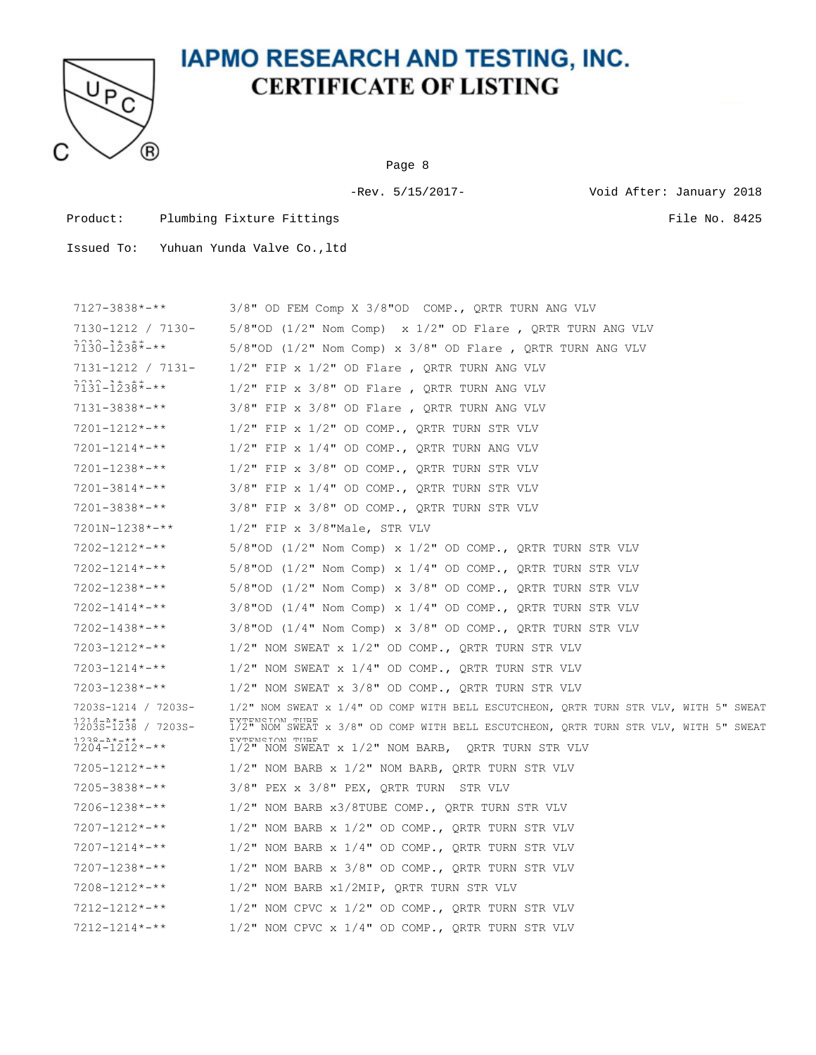

Page 8

-Rev. 5/15/2017- Void After: January 2018

Product: Plumbing Fixture Fittings File No. 8425

| $7127 - 3838 \times 311$                                                                                        | $3/8$ " OD FEM Comp X $3/8$ "OD COMP., QRTR TURN ANG VLV                                                                                                                                                                                                                    |
|-----------------------------------------------------------------------------------------------------------------|-----------------------------------------------------------------------------------------------------------------------------------------------------------------------------------------------------------------------------------------------------------------------------|
| 7130-1212 / 7130-                                                                                               | $5/8"$ OD (1/2" Nom Comp) x 1/2" OD Flare, QRTR TURN ANG VLV                                                                                                                                                                                                                |
| $7130 - 1238 \div - \times$                                                                                     | $5/8$ "OD (1/2" Nom Comp) x $3/8$ " OD Flare, QRTR TURN ANG VLV                                                                                                                                                                                                             |
| 7131-1212 / 7131-                                                                                               | $1/2$ " FIP x $1/2$ " OD Flare, QRTR TURN ANG VLV                                                                                                                                                                                                                           |
| $7131 - 1238$ *-**                                                                                              | $1/2$ " FIP x $3/8$ " OD Flare, QRTR TURN ANG VLV                                                                                                                                                                                                                           |
| $7131 - 3838 \times 311$                                                                                        | $3/8"$ FIP x $3/8"$ OD Flare , QRTR TURN ANG VLV                                                                                                                                                                                                                            |
| $7201 - 1212 \times - \times$                                                                                   | $1/2$ " FIP x $1/2$ " OD COMP., QRTR TURN STR VLV                                                                                                                                                                                                                           |
| $7201 - 1214 \times - \times$                                                                                   | $1/2$ " FIP x $1/4$ " OD COMP., QRTR TURN ANG VLV                                                                                                                                                                                                                           |
| $7201 - 1238 \times - \times \times$                                                                            | $1/2$ " FIP x 3/8" OD COMP., QRTR TURN STR VLV                                                                                                                                                                                                                              |
| $7201 - 3814 \times - \times \times$                                                                            | $3/8"$ FIP x $1/4"$ OD COMP., QRTR TURN STR VLV                                                                                                                                                                                                                             |
| $7201 - 3838 \times - \times \times$                                                                            | $3/8"$ FIP x $3/8"$ OD COMP., QRTR TURN STR VLV                                                                                                                                                                                                                             |
| 7201N-1238*-**                                                                                                  | $1/2$ " FIP x $3/8$ "Male, STR VLV                                                                                                                                                                                                                                          |
| $7202 - 1212 \times - \times \times$                                                                            | $5/8$ "OD (1/2" Nom Comp) x 1/2" OD COMP., QRTR TURN STR VLV                                                                                                                                                                                                                |
| $7202 - 1214 \times - \times \times$                                                                            | $5/8$ "OD (1/2" Nom Comp) x 1/4" OD COMP., QRTR TURN STR VLV                                                                                                                                                                                                                |
| $7202 - 1238 \times - \times \times$                                                                            | $5/8$ "OD (1/2" Nom Comp) x $3/8$ " OD COMP., QRTR TURN STR VLV                                                                                                                                                                                                             |
| $7202 - 1414$ *-**                                                                                              | $3/8$ "OD (1/4" Nom Comp) x 1/4" OD COMP., QRTR TURN STR VLV                                                                                                                                                                                                                |
| $7202 - 1438$ *-**                                                                                              | $3/8$ "OD (1/4" Nom Comp) x $3/8$ " OD COMP., QRTR TURN STR VLV                                                                                                                                                                                                             |
| $7203 - 1212 \times - \times \times$                                                                            | $1/2$ " NOM SWEAT x $1/2$ " OD COMP., QRTR TURN STR VLV                                                                                                                                                                                                                     |
| $7203 - 1214 \times - \times \times$                                                                            | $1/2$ " NOM SWEAT $x$ $1/4$ " OD COMP., QRTR TURN STR VLV                                                                                                                                                                                                                   |
| $7203 - 1238 \times - \times \times$                                                                            | $1/2$ " NOM SWEAT x $3/8$ " OD COMP., QRTR TURN STR VLV                                                                                                                                                                                                                     |
| 7203S-1214 / 7203S-<br>1214-1*-**<br>72035-1238 / 72035-<br>$0.38 - 200 - 400$<br>$7204 - 1212 \times + \times$ | 1/2" NOM SWEAT x 1/4" OD COMP WITH BELL ESCUTCHEON, QRTR TURN STR VLV, WITH 5" SWEAT<br>EXTENSION TURE<br>1/2" NOM SWEAT x 3/8" OD COMP WITH BELL ESCUTCHEON, QRTR TURN STR VLV, WITH 5" SWEAT<br>RYTRNSTON THRR<br>$1/2$ " NOM SWEAT x $1/2$ " NOM BARB, QRTR TURN STR VLV |
| $7205 - 1212 \times - \times \times$                                                                            | $1/2$ " NOM BARB x $1/2$ " NOM BARB, QRTR TURN STR VLV                                                                                                                                                                                                                      |
| $7205 - 3838 \times - \times \times$                                                                            | $3/8"$ PEX x $3/8"$ PEX, QRTR TURN<br>STR VLV                                                                                                                                                                                                                               |
| $7206 - 1238$ *-**                                                                                              | $1/2$ " NOM BARB x3/8TUBE COMP., QRTR TURN STR VLV                                                                                                                                                                                                                          |
| $7207 - 1212 \times - \times \times$                                                                            | $1/2$ " NOM BARB x $1/2$ " OD COMP., QRTR TURN STR VLV                                                                                                                                                                                                                      |
| $7207 - 1214$ *-**                                                                                              | $1/2$ " NOM BARB x $1/4$ " OD COMP., QRTR TURN STR VLV                                                                                                                                                                                                                      |
| $7207 - 1238 \times 100$                                                                                        | $1/2$ " NOM BARB x $3/8$ " OD COMP., QRTR TURN STR VLV                                                                                                                                                                                                                      |
| $7208 - 1212 \times - \times \times$                                                                            | 1/2" NOM BARB x1/2MIP, QRTR TURN STR VLV                                                                                                                                                                                                                                    |
| $7212 - 1212 \times - \times \times$                                                                            | $1/2$ " NOM CPVC x $1/2$ " OD COMP., QRTR TURN STR VLV                                                                                                                                                                                                                      |
| $7212 - 1214 \times - \times \times$                                                                            | 1/2" NOM CPVC x 1/4" OD COMP., QRTR TURN STR VLV                                                                                                                                                                                                                            |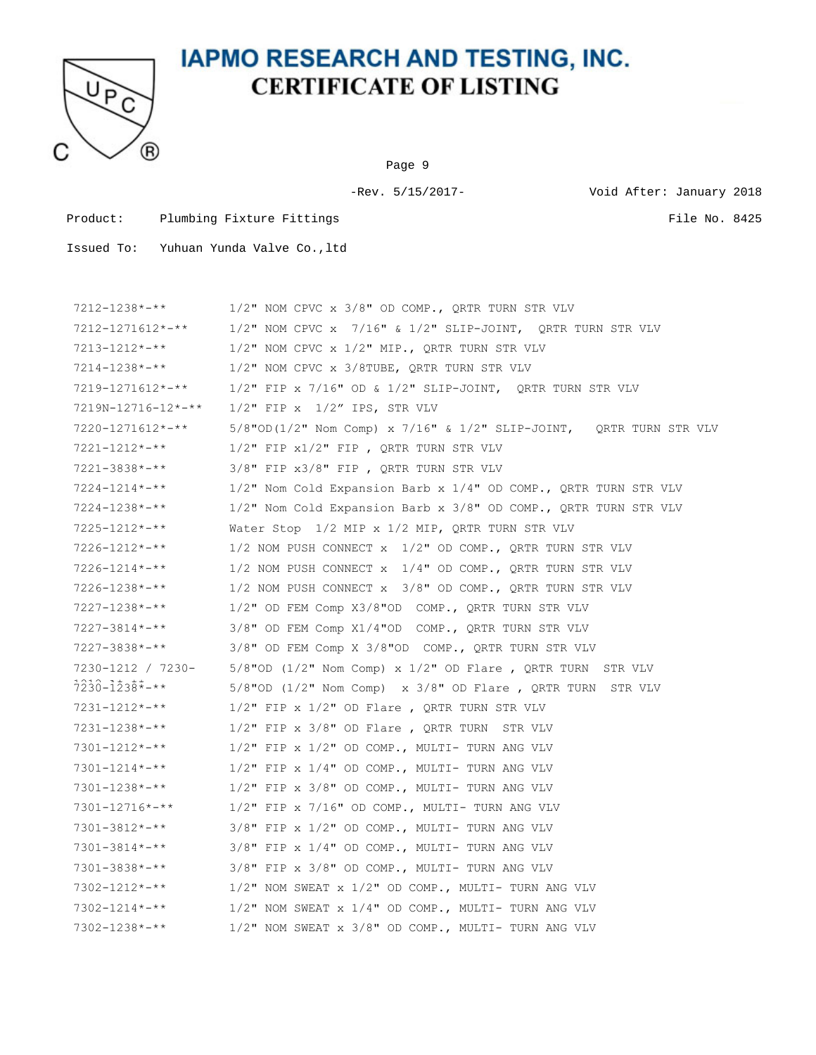

Page 9

-Rev. 5/15/2017- Void After: January 2018

Product: Plumbing Fixture Fittings File No. 8425

| $7212 - 1238 \times - \times \times$ | $1/2$ " NOM CPVC x $3/8$ " OD COMP., QRTR TURN STR VLV                |
|--------------------------------------|-----------------------------------------------------------------------|
| 7212-1271612*-**                     | $1/2$ " NOM CPVC x $7/16$ " & $1/2$ " SLIP-JOINT, QRTR TURN STR VLV   |
| $7213 - 1212 \times - \times \times$ | $1/2$ " NOM CPVC x $1/2$ " MIP., QRTR TURN STR VLV                    |
| 7214-1238*-**                        | $1/2$ " NOM CPVC x $3/8$ TUBE, QRTR TURN STR VLV                      |
| 7219-1271612*-**                     | $1/2$ " FIP x 7/16" OD & 1/2" SLIP-JOINT, QRTR TURN STR VLV           |
| 7219N-12716-12*-**                   | $1/2$ " FIP x $1/2$ " IPS, STR VLV                                    |
| 7220-1271612*-**                     | $5/8$ "OD(1/2" Nom Comp) x 7/16" & 1/2" SLIP-JOINT, QRTR TURN STR VLV |
| $7221 - 1212 \times - \times \times$ | $1/2"$ FIP $x1/2"$ FIP, QRTR TURN STR VLV                             |
| $7221 - 3838 \times - \times \times$ | $3/8"$ FIP $x3/8"$ FIP, QRTR TURN STR VLV                             |
| $7224 - 1214 \times - \times \times$ | $1/2$ " Nom Cold Expansion Barb x $1/4$ " OD COMP., QRTR TURN STR VLV |
| $7224 - 1238 \times - \times \times$ | 1/2" Nom Cold Expansion Barb x 3/8" OD COMP., QRTR TURN STR VLV       |
| $7225 - 1212 \times - \times \times$ | Water Stop 1/2 MIP x 1/2 MIP, QRTR TURN STR VLV                       |
| $7226 - 1212 \times - \times \times$ | 1/2 NOM PUSH CONNECT $x$ 1/2" OD COMP., QRTR TURN STR VLV             |
| $7226 - 1214 \times - \times \times$ | 1/2 NOM PUSH CONNECT $x$ 1/4" OD COMP., QRTR TURN STR VLV             |
| $7226 - 1238 \times - \times \times$ | 1/2 NOM PUSH CONNECT $x$ 3/8" OD COMP., QRTR TURN STR VLV             |
| $7227 - 1238 \times - \times \times$ | $1/2$ " OD FEM Comp X3/8"OD COMP., QRTR TURN STR VLV                  |
| $7227 - 3814 \times - \times \times$ | $3/8$ " OD FEM Comp X1/4"OD COMP., QRTR TURN STR VLV                  |
| $7227 - 3838 \times 3.1$             | $3/8$ " OD FEM Comp X $3/8$ "OD COMP., QRTR TURN STR VLV              |
| 7230-1212 / 7230-                    | $5/8$ "OD (1/2" Nom Comp) x 1/2" OD Flare, QRTR TURN STR VLV          |
| $7230 - 1238 \div - \times$          | $5/8$ "OD (1/2" Nom Comp) x 3/8" OD Flare, QRTR TURN STR VLV          |
| 7231-1212*-**                        | $1/2$ " FIP x $1/2$ " OD Flare, QRTR TURN STR VLV                     |
| $7231 - 1238 \times - \times \times$ | $1/2$ " FIP x $3/8$ " OD Flare, QRTR TURN STR VLV                     |
| $7301 - 1212 \times - \times \times$ | $1/2$ " FIP x $1/2$ " OD COMP., MULTI- TURN ANG VLV                   |
| $7301 - 1214 \times - \times \times$ | 1/2" FIP x 1/4" OD COMP., MULTI- TURN ANG VLV                         |
| $7301 - 1238 \times - \times \times$ | 1/2" FIP x 3/8" OD COMP., MULTI- TURN ANG VLV                         |
| 7301-12716*-**                       | $1/2$ " FIP x 7/16" OD COMP., MULTI- TURN ANG VLV                     |
| 7301-3812*-**                        | 3/8" FIP x 1/2" OD COMP., MULTI- TURN ANG VLV                         |
| $7301 - 3814 \times - \times \times$ | 3/8" FIP x 1/4" OD COMP., MULTI- TURN ANG VLV                         |
| $7301 - 3838 \times 311$             | 3/8" FIP x 3/8" OD COMP., MULTI- TURN ANG VLV                         |
| $7302 - 1212 \times - \times \times$ | $1/2$ " NOM SWEAT x $1/2$ " OD COMP., MULTI- TURN ANG VLV             |
| $7302 - 1214 \times - \times \times$ | $1/2$ " NOM SWEAT x $1/4$ " OD COMP., MULTI- TURN ANG VLV             |
| $7302 - 1238 \times - \times \times$ | 1/2" NOM SWEAT x 3/8" OD COMP., MULTI- TURN ANG VLV                   |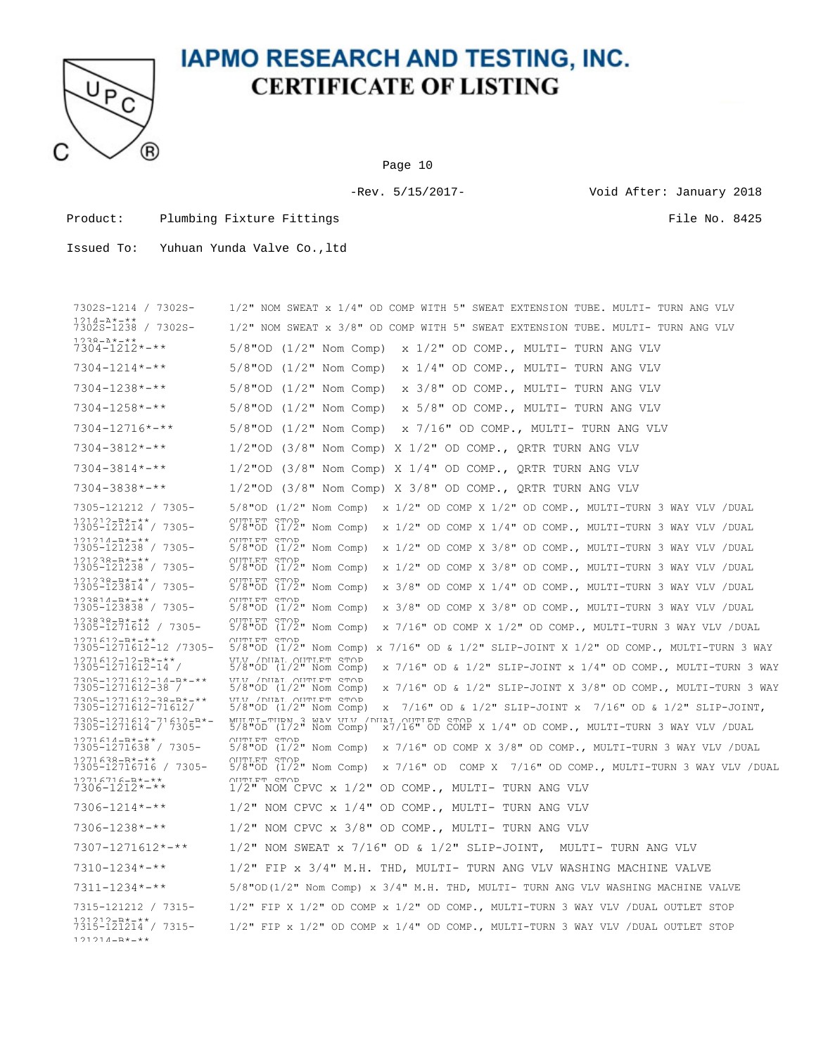

Page 10

-Rev. 5/15/2017- Void After: January 2018

Product: Plumbing Fixture Fittings File No. 8425

| 7302S-1214 / 7302S-                                           | 1/2" NOM SWEAT x 1/4" OD COMP WITH 5" SWEAT EXTENSION TUBE. MULTI- TURN ANG VLV                                                                          |
|---------------------------------------------------------------|----------------------------------------------------------------------------------------------------------------------------------------------------------|
| $1214 - 2* - * *$<br>7302S-1238 / 7302S-                      | 1/2" NOM SWEAT x 3/8" OD COMP WITH 5" SWEAT EXTENSION TUBE. MULTI- TURN ANG VLV                                                                          |
| $778 - 411$<br>$7304 - 1212 \times 100$                       | $5/8$ "OD $(1/2"$ Nom Comp)<br>x 1/2" OD COMP., MULTI- TURN ANG VLV                                                                                      |
| $7304 - 1214 \times - \times \times$                          | $5/8$ "OD $(1/2"$ Nom Comp)<br>x 1/4" OD COMP., MULTI- TURN ANG VLV                                                                                      |
| $7304 - 1238 \times 4 \times 4$                               | $5/8$ "OD $(1/2"$ Nom Comp)<br>x 3/8" OD COMP., MULTI- TURN ANG VLV                                                                                      |
| $7304 - 1258 \times 4 \times 4$                               | $5/8$ "OD $(1/2"$ Nom Comp)<br>x 5/8" OD COMP., MULTI- TURN ANG VLV                                                                                      |
| $7304 - 12716* - **$                                          | $5/8$ "OD $(1/2"$ Nom Comp)<br>x 7/16" OD COMP., MULTI- TURN ANG VLV                                                                                     |
| $7304 - 3812 \times 4 \times 4$                               | $1/2$ "OD (3/8" Nom Comp) X $1/2$ " OD COMP., QRTR TURN ANG VLV                                                                                          |
| $7304 - 3814 \times 4 \times 4$                               | $1/2$ "OD (3/8" Nom Comp) X $1/4$ " OD COMP., QRTR TURN ANG VLV                                                                                          |
| $7304 - 3838 \times 4 \times 4$                               | $1/2$ "OD (3/8" Nom Comp) X 3/8" OD COMP., QRTR TURN ANG VLV                                                                                             |
| 7305-121212 / 7305-                                           | $5/8$ "OD $(1/2"$ Nom Comp)<br>$x$ 1/2" OD COMP X 1/2" OD COMP., MULTI-TURN 3 WAY VLV /DUAL                                                              |
| 121212-R*-**<br>7305-121214 / 7305-                           | <b>OUTTLET STOP</b><br>$5/8$ "OD $(1/2"$ Nom Comp)<br>x 1/2" OD COMP X 1/4" OD COMP., MULTI-TURN 3 WAY VLV /DUAL                                         |
| $121214 - R* - * *$<br>7305-121238 / 7305-                    | ULILLET STOP<br>$5/8$ "OD $(1/2"$ Nom Comp)<br>x 1/2" OD COMP X 3/8" OD COMP., MULTI-TURN 3 WAY VLV / DUAL                                               |
| $121222 - R* - * *$<br>7305-121238 / 7305-                    | <b>OUTTLET STOP</b><br>$5/8$ "OD $(1/2$ " Nom Comp)<br>x 1/2" OD COMP X 3/8" OD COMP., MULTI-TURN 3 WAY VLV / DUAL                                       |
| $121232 - R* - * *$<br>7305-123814 / 7305-                    | <b>OUTTLET STOP</b><br>$5/8$ "OD $(1/2$ " Nom Comp)<br>x 3/8" OD COMP X 1/4" OD COMP., MULTI-TURN 3 WAY VLV /DUAL                                        |
| $123814 - R* - **$<br>7305-123838 / 7305-                     | OUTTIFT STOP<br>$5/8$ "OD $(1/2"$ Nom Comp)<br>x 3/8" OD COMP X 3/8" OD COMP., MULTI-TURN 3 WAY VLV / DUAL                                               |
| $123838 - R* - **$<br>7305-1271612 / 7305-                    | ULLET STOP<br>$5/8$ "OD $(1/2"$ Nom Comp)<br>x 7/16" OD COMP X 1/2" OD COMP., MULTI-TURN 3 WAY VLV /DUAL                                                 |
| $1271612 - R* - **$<br>7305-1271612-12 /7305-                 | <b>OUTLET STOP</b><br>$5/8$ "OD (1/2" Nom Comp) x 7/16" OD & 1/2" SLIP-JOINT X 1/2" OD COMP., MULTI-TURN 3 WAY                                           |
| $1271612 - 12 - R* - * *$<br>7305-1271612-14 /                | סחיף יהודייווח. חבוות/ 1.17.1<br>$5/8$ "OD $(1/2"$ Nom Comp)<br>$\overline{x}$ 7/16" OD & 1/2" SLIP-JOINT $\overline{x}$ 1/4" OD COMP., MULTI-TURN 3 WAY |
| $7305 - 1271612 - 14 - R* - **$<br>7305-1271612-38 /          | VIN / DILAT OUTTER STOP<br>$5/8$ "OD $(1/2"$ Nom Comp)<br>x 7/16" OD & 1/2" SLIP-JOINT X 3/8" OD COMP., MULTI-TURN 3 WAY                                 |
| $7305 - 1271612 - 38 - R* - **$<br>7305-1271612-71612/        | ס תה לידות המוזמן . דמוזמ / זו, זו<br>$5/8$ "OD $(1/2"$ Nom Comp)<br>$\text{x}$ 7/16" OD & 1/2" SLIP-JOINT $\text{x}$ 7/16" OD & 1/2" SLIP-JOINT,        |
| $7305 - 1271612 - 71612 - R* -$<br>7305-1271614 / 7305-       | MILTT-TIRN 3 MAY VIN / ONAL OUTLET STOP 5/8"OD (1/2" Nom Comp) x7/16" OD COMP<br>$x7/16$ " OD COMP X $1/4$ " OD COMP., MULTI-TURN 3 WAY VLV / DUAL       |
| 1271614-R*-**<br>7305-1271638 / 7305-                         | <b>OUTTLET STOP</b><br>$5/8$ "OD $(1/2"$ Nom Comp)<br>x 7/16" OD COMP X 3/8" OD COMP., MULTI-TURN 3 WAY VLV /DUAL                                        |
| $1271638 - R* - **$<br>7305-12716716 / 7305-                  | OUTTLET STOP<br>$5/8$ "OD $(1/2"$ Nom Comp)<br>x 7/16" OD COMP X 7/16" OD COMP., MULTI-TURN 3 WAY VLV /DUAL                                              |
| $12716716 - R* - * *$<br>$7306 - 1212 \times - \times \times$ | OUTTLET STOP<br>$1/2$ " NOM CPVC x $1/2$ " OD COMP., MULTI- TURN ANG VLV                                                                                 |
| $7306 - 1214$ *-**                                            | $1/2$ " NOM CPVC x $1/4$ " OD COMP., MULTI- TURN ANG VLV                                                                                                 |
| $7306 - 1238 \times - \times \times$                          | $1/2$ " NOM CPVC x $3/8$ " OD COMP., MULTI- TURN ANG VLV                                                                                                 |
| $7307 - 1271612 \times - \times \times$                       | $1/2$ " NOM SWEAT x 7/16" OD & 1/2" SLIP-JOINT,<br>MULTI- TURN ANG VLV                                                                                   |
| $7310 - 1234 \times - \times \times$                          | 1/2" FIP x 3/4" M.H. THD, MULTI- TURN ANG VLV WASHING MACHINE VALVE                                                                                      |
| $7311 - 1234 \times - \times \times$                          | $5/8$ "OD(1/2" Nom Comp) x $3/4$ " M.H. THD, MULTI- TURN ANG VLV WASHING MACHINE VALVE                                                                   |
| 7315-121212 / 7315-                                           | $1/2$ " FIP X $1/2$ " OD COMP x $1/2$ " OD COMP., MULTI-TURN 3 WAY VLV / DUAL OUTLET STOP                                                                |
| 01010-R*-**<br>7315-121214 / 7315-<br>$121214 - R* - * *$     | $1/2$ " FIP x $1/2$ " OD COMP x $1/4$ " OD COMP., MULTI-TURN 3 WAY VLV /DUAL OUTLET STOP                                                                 |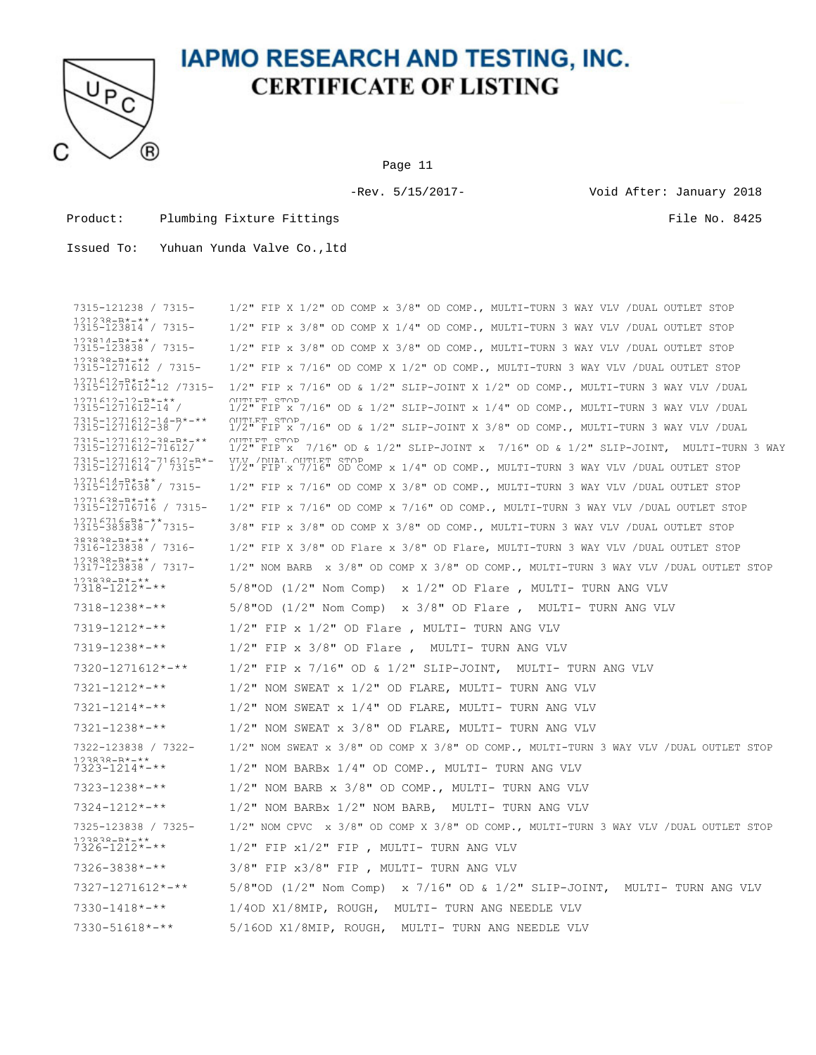

Page 11

-Rev. 5/15/2017- Void After: January 2018

Product: Plumbing Fixture Fittings File No. 8425

| 7315-121238 / 7315-                                         | $1/2$ " FIP X $1/2$ " OD COMP x $3/8$ " OD COMP., MULTI-TURN 3 WAY VLV /DUAL OUTLET STOP                      |
|-------------------------------------------------------------|---------------------------------------------------------------------------------------------------------------|
| $121222 - R* - * *$<br>7315-123814 / 7315-                  | $1/2$ " FIP x 3/8" OD COMP X 1/4" OD COMP., MULTI-TURN 3 WAY VLV /DUAL OUTLET STOP                            |
| $123814 - R* - * *$<br>7315-123838 / 7315-                  | $1/2$ " FIP x 3/8" OD COMP X 3/8" OD COMP., MULTI-TURN 3 WAY VLV / DUAL OUTLET STOP                           |
| 123838-B*-**<br>7315-1271612 / 7315-                        | $1/2$ " FIP x 7/16" OD COMP X 1/2" OD COMP., MULTI-TURN 3 WAY VLV /DUAL OUTLET STOP                           |
| $1271612 - R* - **$<br>7315-1271612-12 /7315-               | $1/2$ " FIP x 7/16" OD & $1/2$ " SLIP-JOINT X 1/2" OD COMP., MULTI-TURN 3 WAY VLV /DUAL                       |
| $1271612 - 12 - R* - * *$<br>7315-1271612-14 /              | OUTTLET STOP<br>$1/2$ " FIP x 7/16" OD & 1/2" SLIP-JOINT x 1/4" OD COMP., MULTI-TURN 3 WAY VLV /DUAL          |
| $7315 - 1271612 - 14 - R* - **$<br>7315-1271612-38 /        | OUTLET STOP<br>$1/2$ " FIP x 7/16" OD & $1/2$ " SLIP-JOINT X 3/8" OD COMP., MULTI-TURN 3 WAY VLV /DUAL        |
| 731 5-1271 612-38-¤*-**<br>7315-1271612-71612/              | OUTTLET STOP<br>1/2" FIP x 7/16" OD & 1/2" SLIP-JOINT x 7/16" OD & 1/2" SLIP-JOINT, MULTI-TURN 3 WAY          |
| 7315-1271612-71612-R*-<br>7315-1271614 / 7315-              | VIV / DIIAT. OHTT.RT STOP<br>1/2" FIP x 7/16" OD COMP x 1/4" OD COMP., MULTI-TURN 3 WAY VLV /DUAL OUTLET STOP |
| $1271614 - R* - **$<br>7315-1271638 / 7315-                 | $1/2$ " FIP x 7/16" OD COMP X 3/8" OD COMP., MULTI-TURN 3 WAY VLV /DUAL OUTLET STOP                           |
| $1271638 - R* - **$<br>7315-12716716 / 7315-                | $1/2$ " FIP x 7/16" OD COMP x 7/16" OD COMP., MULTI-TURN 3 WAY VLV /DUAL OUTLET STOP                          |
| $12716716 - R* - * *$<br>7315-383838 / 7315-                | 3/8" FIP x 3/8" OD COMP X 3/8" OD COMP., MULTI-TURN 3 WAY VLV /DUAL OUTLET STOP                               |
| $383838 - R* - **$<br>7316-123838 / 7316-                   | $1/2$ " FIP X 3/8" OD Flare x 3/8" OD Flare, MULTI-TURN 3 WAY VLV /DUAL OUTLET STOP                           |
| $123838 - R* - * *$<br>7317-123838 / 7317-                  | $1/2$ " NOM BARB x 3/8" OD COMP X 3/8" OD COMP., MULTI-TURN 3 WAY VLV /DUAL OUTLET STOP                       |
| $73838 - R* - **$<br>$7318 - 1212 \times - \times \times$   | $5/8"$ OD (1/2" Nom Comp) x 1/2" OD Flare , MULTI- TURN ANG VLV                                               |
| $7318 - 1238 \times - \times \times$                        | $5/8"$ OD (1/2" Nom Comp) x 3/8" OD Flare, MULTI- TURN ANG VLV                                                |
| $7319 - 1212 \times - \times \times$                        | $1/2$ " FIP x $1/2$ " OD Flare, MULTI- TURN ANG VLV                                                           |
| $7319 - 1238 \times 100$                                    | $1/2$ " FIP x 3/8" OD Flare, MULTI- TURN ANG VLV                                                              |
| $7320 - 1271612 \times - \times \times$                     | $1/2$ " FIP x 7/16" OD & 1/2" SLIP-JOINT,<br>MULTI- TURN ANG VLV                                              |
| $7321 - 1212 \times - \times \times$                        | $1/2$ " NOM SWEAT x $1/2$ " OD FLARE, MULTI- TURN ANG VLV                                                     |
| $7321 - 1214$ *-**                                          | 1/2" NOM SWEAT x 1/4" OD FLARE, MULTI- TURN ANG VLV                                                           |
| $7321 - 1238 \times - \times \times$                        | $1/2$ " NOM SWEAT x $3/8$ " OD FLARE, MULTI- TURN ANG VLV                                                     |
| 7322-123838 / 7322-                                         | 1/2" NOM SWEAT x 3/8" OD COMP X 3/8" OD COMP., MULTI-TURN 3 WAY VLV /DUAL OUTLET STOP                         |
| $123838 - R* - **$<br>$7323 - 1214 \times - \times \times$  | $1/2$ " NOM BARBx $1/4$ " OD COMP., MULTI- TURN ANG VLV                                                       |
| $7323 - 1238 \times 100$                                    | $1/2$ " NOM BARB x $3/8$ " OD COMP., MULTI- TURN ANG VLV                                                      |
| $7324 - 1212 \times + \times$                               | $1/2$ " NOM BARBx $1/2$ " NOM BARB, MULTI- TURN ANG VLV                                                       |
| 7325-123838 / 7325-                                         | $1/2$ " NOM CPVC x 3/8" OD COMP X 3/8" OD COMP., MULTI-TURN 3 WAY VLV /DUAL OUTLET STOP                       |
| $123838 - R* - * *$<br>$7326 - 1212 \times - \times \times$ | $1/2"$ FIP $x1/2"$ FIP, MULTI-TURN ANG VLV                                                                    |
| $7326 - 3838 \times - \times \times$                        | 3/8" FIP x3/8" FIP , MULTI- TURN ANG VLV                                                                      |
| $7327 - 1271612 \times - \times \times$                     | 5/8"OD (1/2" Nom Comp) $\times$ 7/16" OD $\&$ 1/2" SLIP-JOINT,<br>MULTI- TURN ANG VLV                         |
| $7330 - 1418 \times - \times \times$                        | 1/40D X1/8MIP, ROUGH, MULTI- TURN ANG NEEDLE VLV                                                              |
| $7330 - 51618$ *-**                                         | 5/16OD X1/8MIP, ROUGH, MULTI- TURN ANG NEEDLE VLV                                                             |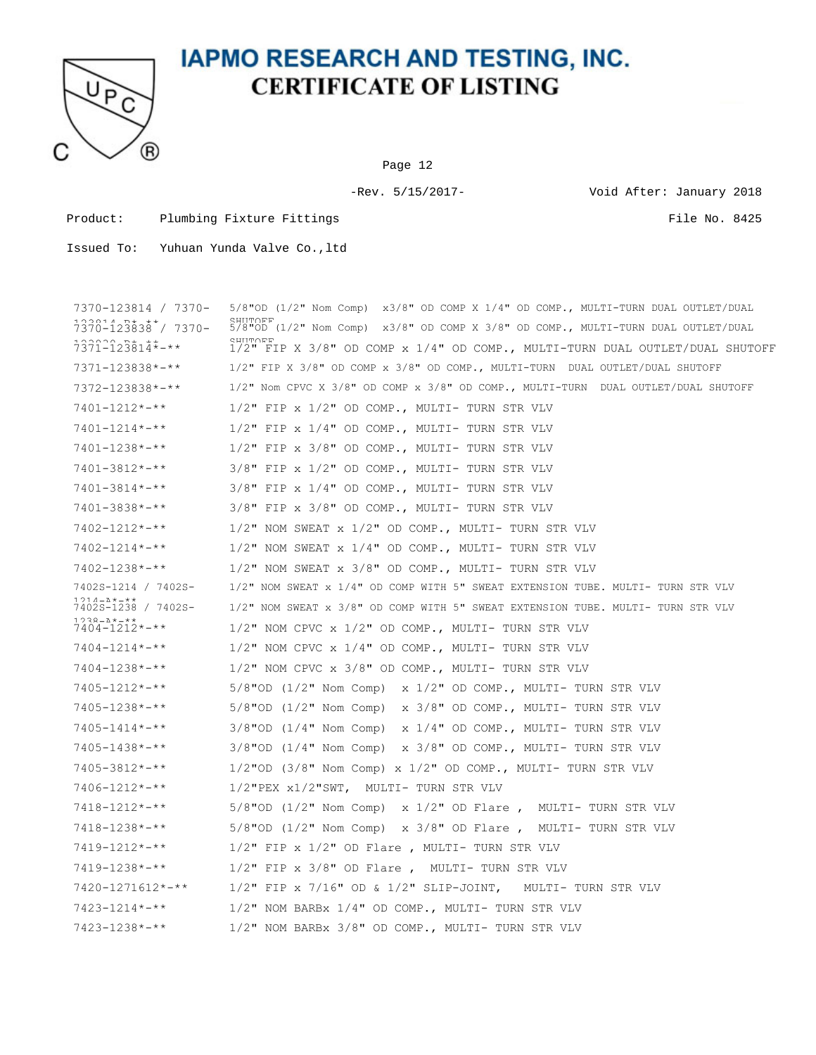

Page 12

-Rev. 5/15/2017- Void After: January 2018

Product: Plumbing Fixture Fittings File No. 8425

| 7370-123814 / 7370-                                          | $5/8$ "OD (1/2" Nom Comp) x3/8" OD COMP X 1/4" OD COMP., MULTI-TURN DUAL OUTLET/DUAL                  |
|--------------------------------------------------------------|-------------------------------------------------------------------------------------------------------|
| $7370 - 123838$ / 7370-                                      | <b>CHILLUTE</b><br>5/8"OD (1/2" Nom Comp) x3/8" OD COMP X 3/8" OD COMP., MULTI-TURN DUAL OUTLET/DUAL  |
| $7371 - 123814$ *-**                                         | <b>CHILLUTE</b><br>$1/2$ " FIP X 3/8" OD COMP x $1/4$ " OD COMP., MULTI-TURN DUAL OUTLET/DUAL SHUTOFF |
| $7371 - 123838 \times - \times \times$                       | 1/2" FIP X 3/8" OD COMP x 3/8" OD COMP., MULTI-TURN DUAL OUTLET/DUAL SHUTOFF                          |
| 7372-123838*-**                                              | $1/2$ " Nom CPVC X $3/8$ " OD COMP x $3/8$ " OD COMP., MULTI-TURN DUAL OUTLET/DUAL SHUTOFF            |
| $7401 - 1212 \times - \times \times$                         | $1/2$ " FIP x $1/2$ " OD COMP., MULTI- TURN STR VLV                                                   |
| $7401 - 1214$ *-**                                           | $1/2$ " FIP x $1/4$ " OD COMP., MULTI- TURN STR VLV                                                   |
| 7401-1238*-**                                                | $1/2$ " FIP x 3/8" OD COMP., MULTI- TURN STR VLV                                                      |
| 7401-3812*-**                                                | $3/8"$ FIP x $1/2"$ OD COMP., MULTI- TURN STR VLV                                                     |
| $7401 - 3814$ *-**                                           | $3/8"$ FIP x $1/4"$ OD COMP., MULTI- TURN STR VLV                                                     |
| $7401 - 3838 \times 38 + 4 \times 6$                         | 3/8" FIP x 3/8" OD COMP., MULTI- TURN STR VLV                                                         |
| $7402 - 1212 \times - \times \times$                         | 1/2" NOM SWEAT x 1/2" OD COMP., MULTI- TURN STR VLV                                                   |
| 7402-1214*-**                                                | 1/2" NOM SWEAT x 1/4" OD COMP., MULTI- TURN STR VLV                                                   |
| 7402-1238*-**                                                | $1/2$ " NOM SWEAT x $3/8$ " OD COMP., MULTI- TURN STR VLV                                             |
| 7402S-1214 / 7402S-                                          | $1/2$ " NOM SWEAT x $1/4$ " OD COMP WITH 5" SWEAT EXTENSION TUBE. MULTI- TURN STR VLV                 |
| 1214-1*1**<br>7402S-1238 / 7402S-                            | 1/2" NOM SWEAT x 3/8" OD COMP WITH 5" SWEAT EXTENSION TUBE. MULTI- TURN STR VLV                       |
| $1238 - 2000 + 1000$<br>$7404 - 1212 \times - \times \times$ | $1/2$ " NOM CPVC x $1/2$ " OD COMP., MULTI- TURN STR VLV                                              |
| $7404 - 1214 \times - \times$                                | $1/2$ " NOM CPVC x $1/4$ " OD COMP., MULTI- TURN STR VLV                                              |
| $7404 - 1238 \times 74$                                      | $1/2$ " NOM CPVC x $3/8$ " OD COMP., MULTI- TURN STR VLV                                              |
| 7405-1212*-**                                                | $5/8"$ OD (1/2" Nom Comp) x 1/2" OD COMP., MULTI- TURN STR VLV                                        |
| $7405 - 1238 \times 74$                                      | $5/8"$ OD (1/2" Nom Comp) x 3/8" OD COMP., MULTI- TURN STR VLV                                        |
| $7405 - 1414$ *-**                                           | $3/8"$ OD (1/4" Nom Comp) x 1/4" OD COMP., MULTI- TURN STR VLV                                        |
| $7405 - 1438$ *-**                                           | $3/8$ "OD ( $1/4$ " Nom Comp) x $3/8$ " OD COMP., MULTI- TURN STR VLV                                 |
| $7405 - 3812 \times 4 \times 4$                              | $1/2$ "OD (3/8" Nom Comp) x $1/2$ " OD COMP., MULTI- TURN STR VLV                                     |
| $7406 - 1212 \times - \times \times$                         | $1/2$ "PEX $x1/2$ "SWT, MULTI- TURN STR VLV                                                           |
| $7418 - 1212 \times - \times \times$                         | $5/8"$ OD (1/2" Nom Comp) x 1/2" OD Flare, MULTI- TURN STR VLV                                        |
| $7418 - 1238 \times - \times \times$                         | $5/8"$ OD (1/2" Nom Comp) x 3/8" OD Flare, MULTI- TURN STR VLV                                        |
| $7419 - 1212 \times + \times$                                | $1/2$ " FIP x $1/2$ " OD Flare, MULTI- TURN STR VLV                                                   |
| $7419 - 1238 \times - \times \times$                         | $1/2$ " FIP x $3/8$ " OD Flare, MULTI- TURN STR VLV                                                   |
| $7420 - 1271612 \times - \times \times$                      | $1/2$ " FIP x 7/16" OD & $1/2$ " SLIP-JOINT,<br>MULTI- TURN STR VLV                                   |
| $7423 - 1214$ *-**                                           | 1/2" NOM BARBx 1/4" OD COMP., MULTI- TURN STR VLV                                                     |
| $7423 - 1238 \times - \times \times$                         | 1/2" NOM BARBx 3/8" OD COMP., MULTI- TURN STR VLV                                                     |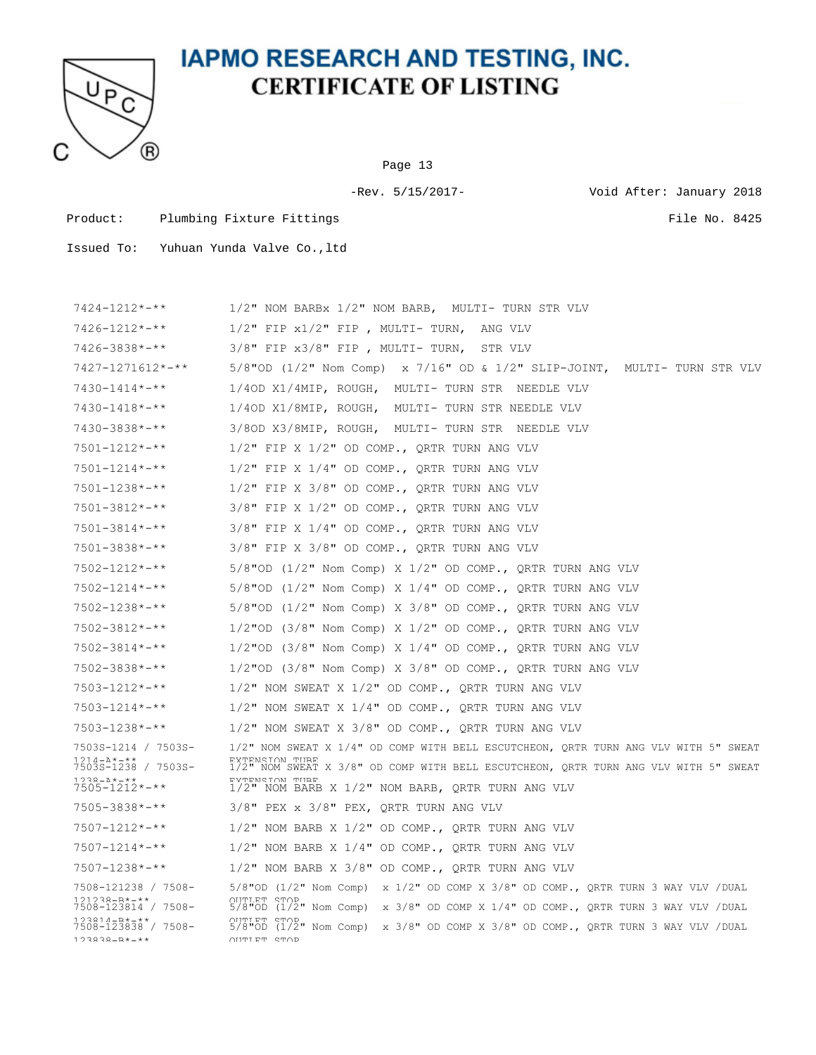

Page 13

-Rev. 5/15/2017- Void After: January 2018

Product: Plumbing Fixture Fittings File No. 8425

| $7424 - 1212 \times - \times \times$                             | 1/2" NOM BARBx 1/2" NOM BARB, MULTI- TURN STR VLV                                                                        |
|------------------------------------------------------------------|--------------------------------------------------------------------------------------------------------------------------|
| $7426 - 1212 \times - \times \times$                             | $1/2"$ FIP $x1/2"$ FIP, MULTI-TURN,<br>ANG VLV                                                                           |
| $7426 - 3838 \times - \times \times$                             | $3/8"$ FIP $x3/8"$ FIP, MULTI-TURN,<br>STR VLV                                                                           |
| $7427 - 1271612 \times - \times \times$                          | 5/8"OD (1/2" Nom Comp) $\,$ x 7/16" OD & 1/2" SLIP-JOINT, $\,$ MULTI- TURN STR VLV                                       |
| $7430 - 1414$ *-**                                               | 1/40D X1/4MIP, ROUGH, MULTI- TURN STR NEEDLE VLV                                                                         |
| $7430 - 1418$ *-**                                               | 1/40D X1/8MIP, ROUGH, MULTI- TURN STR NEEDLE VLV                                                                         |
| $7430 - 3838 \times 3.1$                                         | 3/8OD X3/8MIP, ROUGH, MULTI- TURN STR NEEDLE VLV                                                                         |
| $7501 - 1212 \times - \times \times$                             | $1/2$ " FIP X $1/2$ " OD COMP., QRTR TURN ANG VLV                                                                        |
| $7501 - 1214$ *-**                                               | $1/2$ " FIP X $1/4$ " OD COMP., QRTR TURN ANG VLV                                                                        |
| $7501 - 1238 \times - \times \times$                             | $1/2$ " FIP X 3/8" OD COMP., QRTR TURN ANG VLV                                                                           |
| $7501 - 3812 \times 4 \times 4$                                  | $3/8$ " FIP X $1/2$ " OD COMP., ORTR TURN ANG VLV                                                                        |
| $7501 - 3814 \times - \times \times$                             | $3/8$ " FIP X $1/4$ " OD COMP., ORTR TURN ANG VLV                                                                        |
| $7501 - 3838 \times 4 \times 4$                                  | 3/8" FIP X 3/8" OD COMP., ORTR TURN ANG VLV                                                                              |
| $7502 - 1212 \times - \times \times$                             | $5/8$ "OD (1/2" Nom Comp) X 1/2" OD COMP., QRTR TURN ANG VLV                                                             |
| $7502 - 1214 \times - \times \times$                             | $5/8$ "OD (1/2" Nom Comp) X 1/4" OD COMP., QRTR TURN ANG VLV                                                             |
| $7502 - 1238 \times - \times \times$                             | $5/8$ "OD (1/2" Nom Comp) X 3/8" OD COMP., QRTR TURN ANG VLV                                                             |
| $7502 - 3812 \times 4 \times 4$                                  | $1/2$ "OD (3/8" Nom Comp) X $1/2$ " OD COMP., QRTR TURN ANG VLV                                                          |
| $7502 - 3814 \times - \times \times$                             | 1/2"OD (3/8" Nom Comp) X 1/4" OD COMP., QRTR TURN ANG VLV                                                                |
| $7502 - 3838 \times 311$                                         | $1/2$ "OD (3/8" Nom Comp) X 3/8" OD COMP., QRTR TURN ANG VLV                                                             |
| $7503 - 1212 \times - \times \times$                             | $1/2$ " NOM SWEAT X $1/2$ " OD COMP., QRTR TURN ANG VLV                                                                  |
| $7503 - 1214 \times - \times \times$                             | $1/2$ " NOM SWEAT X $1/4$ " OD COMP., QRTR TURN ANG VLV                                                                  |
| $7503 - 1238 \times 100$                                         | $1/2$ " NOM SWEAT X 3/8" OD COMP., QRTR TURN ANG VLV                                                                     |
| 7503S-1214 / 7503S-                                              | 1/2" NOM SWEAT X 1/4" OD COMP WITH BELL ESCUTCHEON, QRTR TURN ANG VLV WITH 5" SWEAT                                      |
| 1 2 1 4 - 2 * - * *<br>7503S-1238 / 7503S-                       | <b>EXTENSION THRE</b><br>1/2" NOM SWEAT X 3/8" OD COMP WITH BELL ESCUTCHEON, QRTR TURN ANG VLV WITH 5" SWEAT             |
| $738 - 21 + 11$<br>$7505 - 1212 \times - \times$                 | <b>EXTENSION THRE</b><br>$1/2$ " NOM BARB X $1/2$ " NOM BARB, QRTR TURN ANG VLV                                          |
| $7505 - 3838 \times 3.1$                                         | $3/8"$ PEX x $3/8"$ PEX, QRTR TURN ANG VLV                                                                               |
| $7507 - 1212 \times - \times \times$                             | $1/2$ " NOM BARB X $1/2$ " OD COMP., QRTR TURN ANG VLV                                                                   |
| $7507 - 1214 \times - \times \times$                             | $1/2$ " NOM BARB X $1/4$ " OD COMP., QRTR TURN ANG VLV                                                                   |
| $7507 - 1238 \times - \times \times$                             | $1/2$ " NOM BARB X 3/8" OD COMP., QRTR TURN ANG VLV                                                                      |
| 7508-121238 / 7508-                                              | $5/8$ "OD (1/2" Nom Comp) x 1/2" OD COMP X 3/8" OD COMP., QRTR TURN 3 WAY VLV /DUAL                                      |
| $121232 - R* - * *$<br>7508-123814 / 7508-                       | OUTTLET STOP<br>$5/8$ "OD $(1/2$ " Nom Comp)<br>x 3/8" OD COMP X 1/4" OD COMP., QRTR TURN 3 WAY VLV /DUAL                |
| $123814 - R* - **$<br>7508-123838 / 7508-<br>$123838 - R* - * *$ | OUTLET STOP<br>$5/8$ "OD (1/2" Nom Comp) x $3/8$ " OD COMP X $3/8$ " OD COMP., QRTR TURN 3 WAY VLV /DUAL<br>OUTTLET STOP |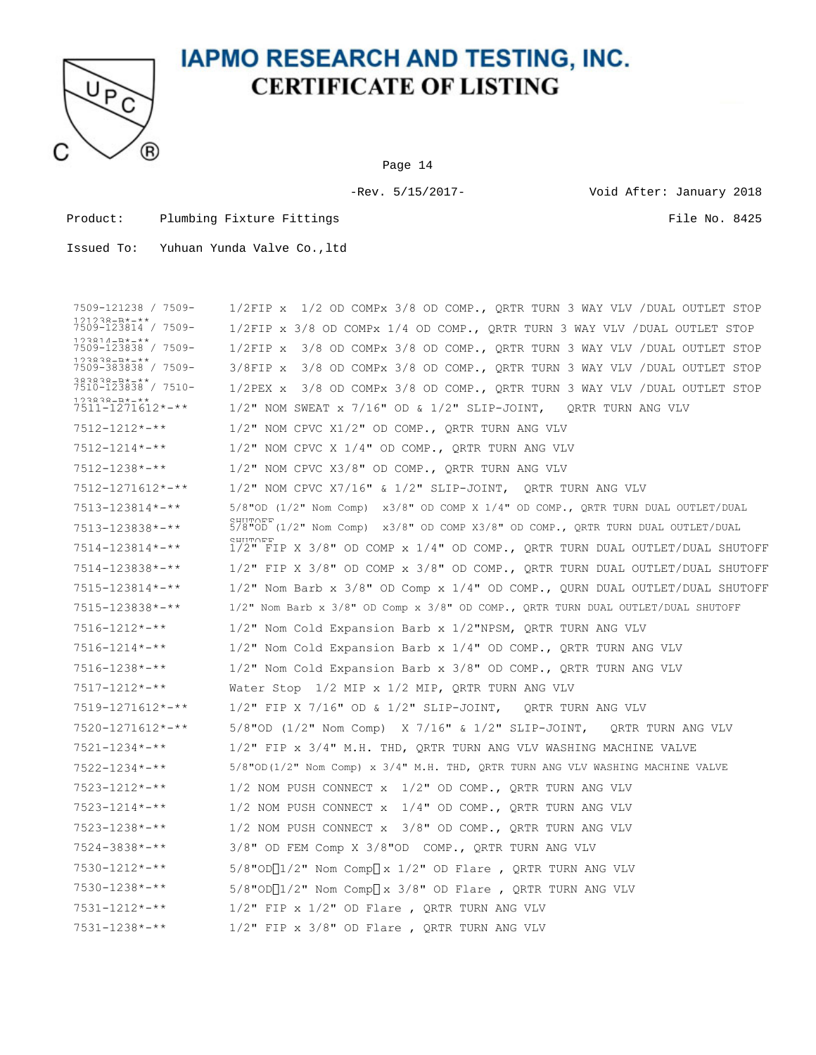

Page 14

-Rev. 5/15/2017- Void After: January 2018

Product: Plumbing Fixture Fittings File No. 8425

| 7509-121238 / 7509-                            | 1/2 OD COMPx 3/8 OD COMP., QRTR TURN 3 WAY VLV / DUAL OUTLET STOP<br>$1/2$ FIP $x$                       |
|------------------------------------------------|----------------------------------------------------------------------------------------------------------|
| $121238 - R* - * *$<br>7509-123814 / 7509-     | $1/2$ FIP x 3/8 OD COMPx 1/4 OD COMP., QRTR TURN 3 WAY VLV /DUAL OUTLET STOP                             |
| 1 2 3 8 1 4 − R * − * *<br>7509-123838 / 7509- | 3/8 OD COMPx 3/8 OD COMP., QRTR TURN 3 WAY VLV /DUAL OUTLET STOP<br>$1/2$ FIP $x$                        |
| $123838 - R* - * *$<br>7509-383838 / 7509-     | $3/8$ FIP x<br>3/8 OD COMPx 3/8 OD COMP., QRTR TURN 3 WAY VLV / DUAL OUTLET STOP                         |
| $383838 - R* - **$<br>7510-123838 / 7510-      | 3/8 OD COMPx 3/8 OD COMP., QRTR TURN 3 WAY VLV /DUAL OUTLET STOP<br>$1/2$ PEX $x$                        |
| $123838 - R* - **$<br>7511-1271612*-**         | $1/2$ " NOM SWEAT x 7/16" OD & $1/2$ " SLIP-JOINT,<br>ORTR TURN ANG VLV                                  |
| $7512 - 1212 \times - \times \times$           | $1/2$ " NOM CPVC X $1/2$ " OD COMP., QRTR TURN ANG VLV                                                   |
| $7512 - 1214 \times - \times \times$           | $1/2$ " NOM CPVC X $1/4$ " OD COMP., QRTR TURN ANG VLV                                                   |
| $7512 - 1238 \times - \times \times$           | 1/2" NOM CPVC X3/8" OD COMP., QRTR TURN ANG VLV                                                          |
| $7512 - 1271612 \times - \times \times$        | $1/2$ " NOM CPVC X7/16" & $1/2$ " SLIP-JOINT, ORTR TURN ANG VLV                                          |
| $7513 - 123814$ *-**                           | $5/8$ "OD (1/2" Nom Comp) x3/8" OD COMP X 1/4" OD COMP., QRTR TURN DUAL OUTLET/DUAL                      |
| 7513-123838*-**                                | <b>SHILLUM</b><br>$5/8$ "OD ( $1/2$ " Nom Comp) x3/8" OD COMP X3/8" OD COMP., QRTR TURN DUAL OUTLET/DUAL |
| $7514 - 123814$ *-**                           | <b>SHIIT∩FF</b><br>$1/2$ " FIP X 3/8" OD COMP x $1/4$ " OD COMP., QRTR TURN DUAL OUTLET/DUAL SHUTOFF     |
| 7514-123838*-**                                | 1/2" FIP X 3/8" OD COMP x 3/8" OD COMP., ORTR TURN DUAL OUTLET/DUAL SHUTOFF                              |
| $7515 - 123814$ *-**                           | $1/2$ " Nom Barb x 3/8" OD Comp x 1/4" OD COMP., OURN DUAL OUTLET/DUAL SHUTOFF                           |
| 7515-123838*-**                                | 1/2" Nom Barb x 3/8" OD Comp x 3/8" OD COMP., QRTR TURN DUAL OUTLET/DUAL SHUTOFF                         |
| $7516 - 1212 \times - \times \times$           | $1/2$ " Nom Cold Expansion Barb x $1/2$ "NPSM, ORTR TURN ANG VLV                                         |
| $7516 - 1214$ *-**                             | 1/2" Nom Cold Expansion Barb x 1/4" OD COMP., QRTR TURN ANG VLV                                          |
| $7516 - 1238 \times - \times \times$           | $1/2$ " Nom Cold Expansion Barb x $3/8$ " OD COMP., QRTR TURN ANG VLV                                    |
| $7517 - 1212 \times - \times \times$           | Water Stop $1/2$ MIP x $1/2$ MIP, QRTR TURN ANG VLV                                                      |
| $7519 - 1271612 \times - \times \times$        | $1/2$ " FIP X 7/16" OD & $1/2$ " SLIP-JOINT,<br>QRTR TURN ANG VLV                                        |
| $7520 - 1271612 \times - \times \times$        | 5/8"OD (1/2" Nom Comp) $\chi$ 7/16" $\&$ 1/2" SLIP-JOINT,<br>ORTR TURN ANG VLV                           |
| $7521 - 1234 \times - \times \times$           | 1/2" FIP x 3/4" M.H. THD, QRTR TURN ANG VLV WASHING MACHINE VALVE                                        |
| $7522 - 1234 \times - \times \times$           | $5/8$ "OD(1/2" Nom Comp) x $3/4$ " M.H. THD, QRTR TURN ANG VLV WASHING MACHINE VALVE                     |
| $7523 - 1212 \times - \times \times$           | $1/2$ NOM PUSH CONNECT $x$ $1/2$ " OD COMP., QRTR TURN ANG VLV                                           |
| $7523 - 1214$ *-**                             | 1/2 NOM PUSH CONNECT $x$ 1/4" OD COMP., QRTR TURN ANG VLV                                                |
| $7523 - 1238 \times - \times \times$           | 1/2 NOM PUSH CONNECT x 3/8" OD COMP., QRTR TURN ANG VLV                                                  |
| $7524 - 3838 \times 311$                       | 3/8" OD FEM Comp X 3/8"OD COMP., QRTR TURN ANG VLV                                                       |
| $7530 - 1212 \times - \times \times$           | $5/8$ "OD $\lceil 1/2$ " Nom Comp $\lceil x \frac{1}{2} \rceil$ OD Flare, QRTR TURN ANG VLV              |
| $7530 - 1238 \times - \times \times$           | $5/8$ "OD $\lceil 1/2$ " Nom Comp $\lceil x \rceil \leq 3/8$ " OD Flare , QRTR TURN ANG VLV              |
| $7531 - 1212 \times - \times \times$           | $1/2$ " FIP x $1/2$ " OD Flare, QRTR TURN ANG VLV                                                        |
| $7531 - 1238 \times - \times \times$           | $1/2$ " FIP x $3/8$ " OD Flare, QRTR TURN ANG VLV                                                        |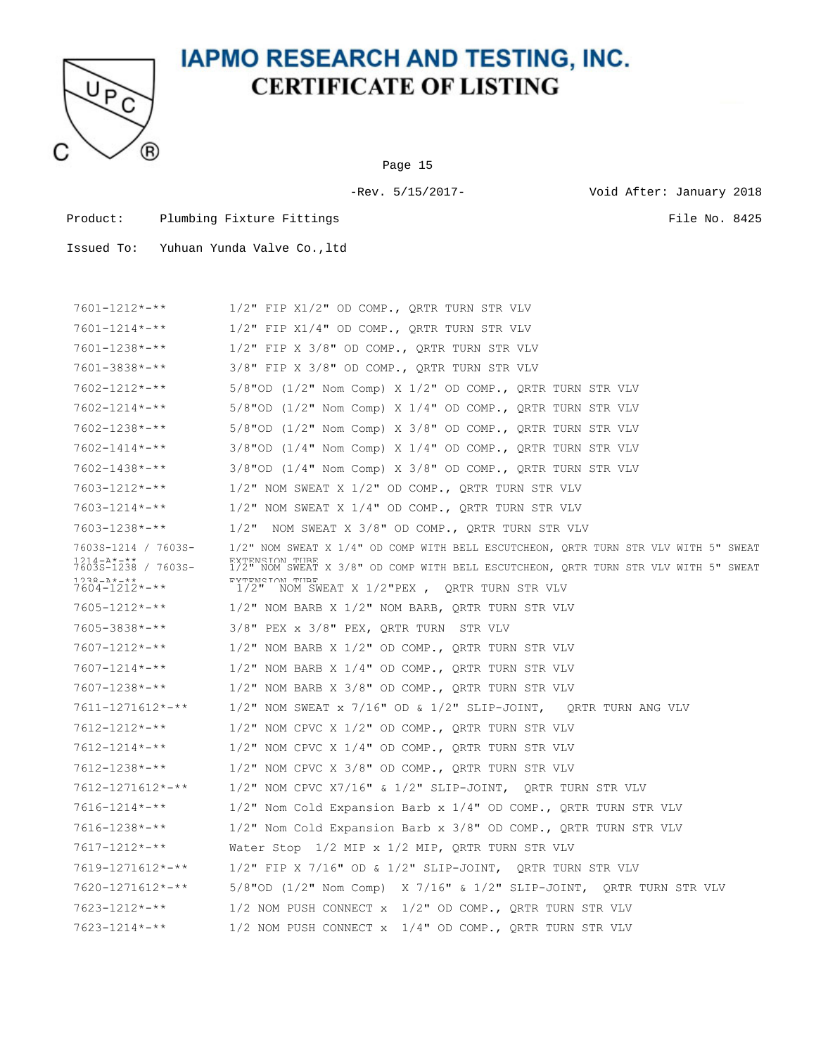

Page 15

-Rev. 5/15/2017- Void After: January 2018

Product: Plumbing Fixture Fittings File No. 8425

| $7601 - 1212 \times - \times \times$               | $1/2$ " FIP X $1/2$ " OD COMP., QRTR TURN STR VLV                                                     |
|----------------------------------------------------|-------------------------------------------------------------------------------------------------------|
| $7601 - 1214$ *-**                                 | $1/2$ " FIP X $1/4$ " OD COMP., QRTR TURN STR VLV                                                     |
| $7601 - 1238 \times 100$                           | $1/2$ " FIP X 3/8" OD COMP., QRTR TURN STR VLV                                                        |
| $7601 - 3838 \times 3.1$                           | $3/8"$ FIP X $3/8"$ OD COMP., QRTR TURN STR VLV                                                       |
| $7602 - 1212 \times - \times \times$               | $5/8$ "OD (1/2" Nom Comp) X 1/2" OD COMP., QRTR TURN STR VLV                                          |
| $7602 - 1214 \times - \times \times$               | $5/8$ "OD (1/2" Nom Comp) X 1/4" OD COMP., QRTR TURN STR VLV                                          |
| $7602 - 1238 \times - \times \times$               | 5/8"OD (1/2" Nom Comp) X 3/8" OD COMP., QRTR TURN STR VLV                                             |
| $7602 - 1414$ *-**                                 | $3/8$ "OD ( $1/4$ " Nom Comp) X $1/4$ " OD COMP., QRTR TURN STR VLV                                   |
| $7602 - 1438$ *-**                                 | $3/8$ "OD ( $1/4$ " Nom Comp) X $3/8$ " OD COMP., QRTR TURN STR VLV                                   |
| $7603 - 1212 \times - \times \times$               | 1/2" NOM SWEAT X 1/2" OD COMP., QRTR TURN STR VLV                                                     |
| $7603 - 1214 \times - \times \times$               | $1/2$ " NOM SWEAT X $1/4$ " OD COMP., QRTR TURN STR VLV                                               |
| $7603 - 1238 \times 7 \times 7$                    | NOM SWEAT X 3/8" OD COMP., QRTR TURN STR VLV<br>$1/2$ "                                               |
| 7603S-1214 / 7603S-                                | 1/2" NOM SWEAT X 1/4" OD COMP WITH BELL ESCUTCHEON, QRTR TURN STR VLV WITH 5" SWEAT                   |
| 1 21 4 – ∆ * – * *<br>7603S-1238 / 7603S-          | RYTRNSTON THRR<br>1/2" NOM SWEAT X 3/8" OD COMP WITH BELL ESCUTCHEON, QRTR TURN STR VLV WITH 5" SWEAT |
| 1つマヌ―∆*―**<br>$7604 - 1212 \times - \times \times$ | <b>EYTENSTON THRE</b><br>$1/2$ " NOM SWEAT X $1/2$ "PEX, QRTR TURN STR VLV                            |
| $7605 - 1212 \times - \times \times$               | $1/2$ " NOM BARB X $1/2$ " NOM BARB, QRTR TURN STR VLV                                                |
| $7605 - 3838 \times - \times \times$               | $3/8$ " PEX x $3/8$ " PEX, ORTR TURN STR VLV                                                          |
| $7607 - 1212 \times - \times \times$               | $1/2$ " NOM BARB X $1/2$ " OD COMP., QRTR TURN STR VLV                                                |
| $7607 - 1214 \times - \times \times$               | 1/2" NOM BARB X 1/4" OD COMP., QRTR TURN STR VLV                                                      |
| $7607 - 1238 \times 100$                           | $1/2$ " NOM BARB X 3/8" OD COMP., QRTR TURN STR VLV                                                   |
| $7611 - 1271612 \times \frac{+}{+}$                | $1/2$ " NOM SWEAT x 7/16" OD & 1/2" SLIP-JOINT, QRTR TURN ANG VLV                                     |
| $7612 - 1212 \times - \times \times$               | $1/2$ " NOM CPVC X $1/2$ " OD COMP., QRTR TURN STR VLV                                                |
| $7612 - 1214$ *-**                                 | $1/2$ " NOM CPVC X $1/4$ " OD COMP., QRTR TURN STR VLV                                                |
| $7612 - 1238 \times - \times \times$               | $1/2$ " NOM CPVC X 3/8" OD COMP., QRTR TURN STR VLV                                                   |
| $7612 - 1271612 \times \frac{+}{+}$                | $1/2$ " NOM CPVC X7/16" & $1/2$ " SLIP-JOINT, QRTR TURN STR VLV                                       |
| $7616 - 1214 \times - \times$                      | $1/2$ " Nom Cold Expansion Barb x $1/4$ " OD COMP., QRTR TURN STR VLV                                 |
| $7616 - 1238 \times - \times \times$               | $1/2$ " Nom Cold Expansion Barb x $3/8$ " OD COMP., QRTR TURN STR VLV                                 |
| $7617 - 1212 \times - \times \times$               | Water Stop $1/2$ MIP x $1/2$ MIP, QRTR TURN STR VLV                                                   |
| 7619-1271612*-**                                   | $1/2$ " FIP X 7/16" OD & $1/2$ " SLIP-JOINT, ORTR TURN STR VLV                                        |
| $7620 - 1271612 \times - \times \times$            | $5/8$ "OD (1/2" Nom Comp) X 7/16" & 1/2" SLIP-JOINT, QRTR TURN STR VLV                                |
| $7623 - 1212 \times - \times \times$               | 1/2 NOM PUSH CONNECT $x$ 1/2" OD COMP., QRTR TURN STR VLV                                             |
| $7623 - 1214 \times - \times \times$               | 1/2 NOM PUSH CONNECT x 1/4" OD COMP., QRTR TURN STR VLV                                               |
|                                                    |                                                                                                       |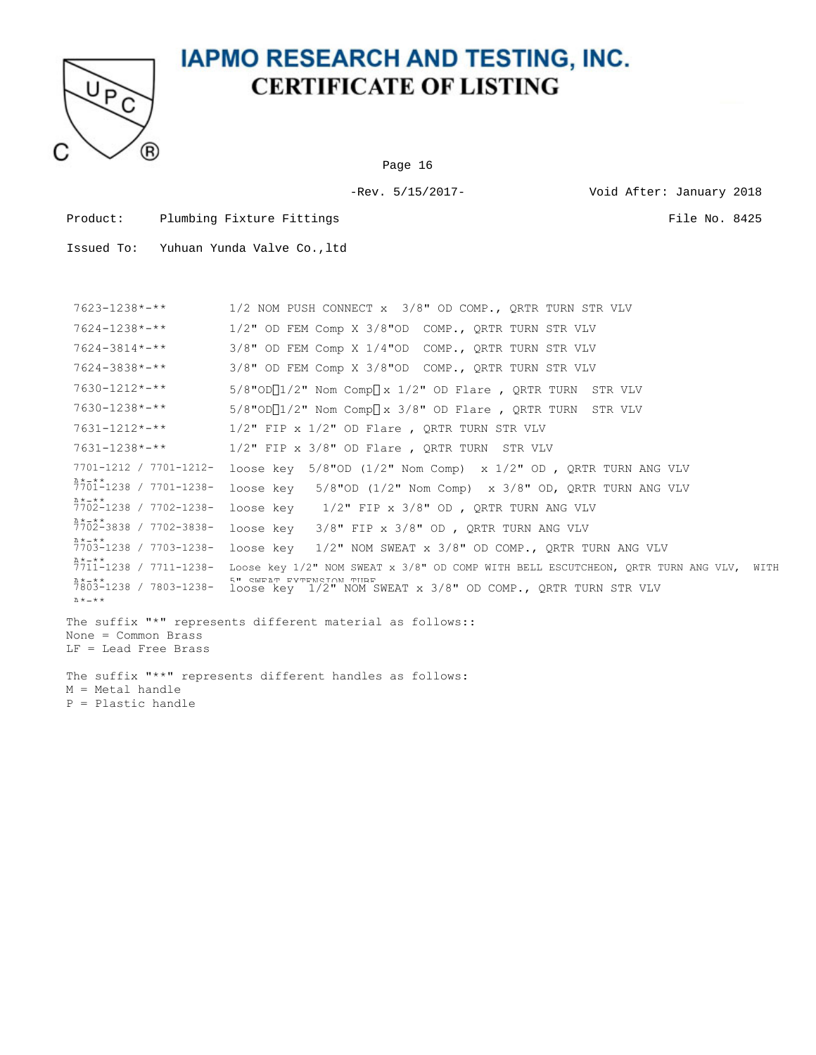

Page 16

-Rev. 5/15/2017- Void After: January 2018

Product: Plumbing Fixture Fittings File No. 8425

| $7623 - 1238 \times - \times \times$          | 1/2 NOM PUSH CONNECT x 3/8" OD COMP., QRTR TURN STR VLV                                                               |
|-----------------------------------------------|-----------------------------------------------------------------------------------------------------------------------|
| $7624 - 1238 \times - \times \times$          | 1/2" OD FEM Comp X 3/8"OD COMP., QRTR TURN STR VLV                                                                    |
| $7624 - 3814 \times 4 \times 4$               | 3/8" OD FEM Comp X 1/4"OD COMP., QRTR TURN STR VLV                                                                    |
| $7624 - 3838 \times 38 + 4 \times 6$          | 3/8" OD FEM Comp X 3/8"OD COMP., ORTR TURN STR VLV                                                                    |
| $7630 - 1212 \times - \times \times$          | $5/8$ "OD $\lceil 1/2$ " Nom Comp $\lceil x \ 1/2$ " OD Flare , QRTR TURN STR VLV                                     |
| $7630 - 1238 \times 100$                      | $5/8$ "OD $\sqrt{1/2}$ " Nom Comp $\sqrt{x}$ 3/8" OD Flare, ORTR TURN STR VLV                                         |
| $7631 - 1212 \times - \times \times$          | $1/2$ " FIP x $1/2$ " OD Flare, QRTR TURN STR VLV                                                                     |
| $7631 - 1238 \times - \times \times$          | $1/2$ " FIP x $3/8$ " OD Flare, QRTR TURN STR VLV                                                                     |
| 7701-1212 / 7701-1212-                        | loose key $5/8$ "OD (1/2" Nom Comp) x 1/2" OD, QRTR TURN ANG VLV                                                      |
| $\lambda$ * $-$ * *<br>7701-1238 / 7701-1238- | 5/8"OD $(1/2"$ Nom Comp) x 3/8" OD, QRTR TURN ANG VLV<br>loose kev                                                    |
| $\lambda$ * $-$ * *<br>7702-1238 / 7702-1238- | loose key $1/2$ " FIP x 3/8" OD, QRTR TURN ANG VLV                                                                    |
| $\lambda * - * *$<br>7702-3838 / 7702-3838-   | $3/8"$ FIP x $3/8"$ OD, QRTR TURN ANG VLV<br>loose kev                                                                |
| $\lambda$ * $-$ * *<br>7703-1238 / 7703-1238- | $1/2$ " NOM SWEAT x $3/8$ " OD COMP., ORTR TURN ANG VLV<br>loose kev                                                  |
| $\lambda * - * *$                             | 7711-1238 / 7711-1238- Loose key 1/2" NOM SWEAT x 3/8" OD COMP WITH BELL ESCUTCHEON, ORTR TURN ANG VLV, WITH          |
| $\lambda * - * *$<br><b>Δ</b> *-**            | 5" SWEAT EXTENSION THRE<br>7803-1238 / 7803-1238- loose key 1/2" NOM SWEAT x 3/8" OD COMP., QRTR TURN STR VLV         |
| None = Common Brass<br>LF = Lead Free Brass   | The suffix "*" represents different material as follows::<br>The suffix "**" represents different handles as follows: |
| M = Metal handle<br>P = Plastic handle        |                                                                                                                       |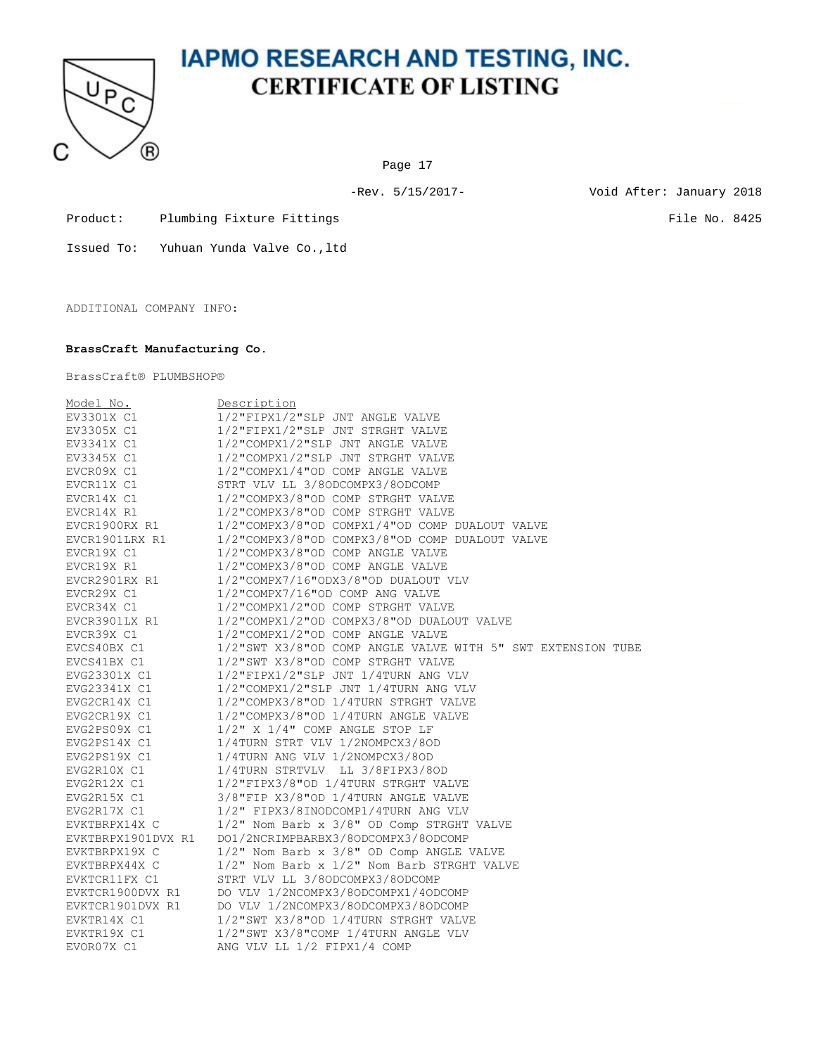

Page 17

-Rev. 5/15/2017- Void After: January 2018

Product: Plumbing Fixture Fittings File No. 8425

Issued To: Yuhuan Yunda Valve Co.,ltd

ADDITIONAL COMPANY INFO:

#### **BrassCraft Manufacturing Co.**

BrassCraft® PLUMBSHOP®

| Model No.          | Description                                                 |
|--------------------|-------------------------------------------------------------|
| EV3301X C1         | 1/2"FIPX1/2"SLP JNT ANGLE VALVE                             |
| EV3305X C1         | 1/2"FIPX1/2"SLP JNT STRGHT VALVE                            |
| EV3341X C1         | 1/2"COMPX1/2"SLP JNT ANGLE VALVE                            |
| EV3345X C1         | 1/2"COMPX1/2"SLP JNT STRGHT VALVE                           |
| EVCR09X C1         | 1/2"COMPX1/4"OD COMP ANGLE VALVE                            |
| EVCR11X C1         | STRT VLV LL 3/80DCOMPX3/80DCOMP                             |
| EVCR14X C1         | 1/2"COMPX3/8"OD COMP STRGHT VALVE                           |
| EVCR14X R1         | 1/2"COMPX3/8"OD COMP STRGHT VALVE                           |
| EVCR1900RX R1      | 1/2"COMPX3/8"OD COMPX1/4"OD COMP DUALOUT VALVE              |
| EVCR1901LRX R1     | 1/2"COMPX3/8"OD COMPX3/8"OD COMP DUALOUT VALVE              |
| EVCR19X C1         | 1/2"COMPX3/8"OD COMP ANGLE VALVE                            |
| EVCR19X R1         | 1/2"COMPX3/8"OD COMP ANGLE VALVE                            |
| EVCR2901RX R1      | 1/2"COMPX7/16"ODX3/8"OD DUALOUT VLV                         |
| EVCR29X C1         | 1/2"COMPX7/16"OD COMP ANG VALVE                             |
| EVCR34X C1         | 1/2"COMPX1/2"OD COMP STRGHT VALVE                           |
| EVCR3901LX R1      | 1/2"COMPX1/2"OD COMPX3/8"OD DUALOUT VALVE                   |
| EVCR39X C1         | 1/2"COMPX1/2"OD COMP ANGLE VALVE                            |
| EVCS40BX C1        | 1/2"SWT X3/8"OD COMP ANGLE VALVE WITH 5" SWT EXTENSION TUBE |
| EVCS41BX C1        | 1/2"SWT X3/8"OD COMP STRGHT VALVE                           |
| EVG23301X C1       | 1/2"FIPX1/2"SLP JNT 1/4TURN ANG VLV                         |
| EVG23341X C1       | 1/2"COMPX1/2"SLP JNT 1/4TURN ANG VLV                        |
| EVG2CR14X C1       | 1/2"COMPX3/8"OD 1/4TURN STRGHT VALVE                        |
| EVG2CR19X C1       | 1/2"COMPX3/8"OD 1/4TURN ANGLE VALVE                         |
| EVG2PS09X C1       | $1/2$ " X $1/4$ " COMP ANGLE STOP LF                        |
| EVG2PS14X C1       | 1/4TURN STRT VLV 1/2NOMPCX3/8OD                             |
| EVG2PS19X C1       | 1/4TURN ANG VLV 1/2NOMPCX3/8OD                              |
| EVG2R10X C1        | 1/4TURN STRTVLV LL 3/8FIPX3/8OD                             |
| EVG2R12X C1        | 1/2"FIPX3/8"OD 1/4TURN STRGHT VALVE                         |
| EVG2R15X C1        | 3/8"FIP X3/8"OD 1/4TURN ANGLE VALVE                         |
| EVG2R17X C1        | 1/2" FIPX3/8INODCOMP1/4TURN ANG VLV                         |
| EVKTBRPX14X C      | 1/2" Nom Barb x 3/8" OD Comp STRGHT VALVE                   |
| EVKTBRPX1901DVX R1 | DO1/2NCRIMPBARBX3/8ODCOMPX3/8ODCOMP                         |
| EVKTBRPX19X C      | 1/2" Nom Barb x 3/8" OD Comp ANGLE VALVE                    |
| EVKTBRPX44X C      | 1/2" Nom Barb x 1/2" Nom Barb STRGHT VALVE                  |
| EVKTCR11FX C1      | STRT VLV LL 3/80DCOMPX3/80DCOMP                             |
| EVKTCR1900DVX R1   | DO VLV 1/2NCOMPX3/8ODCOMPX1/4ODCOMP                         |
| EVKTCR1901DVX R1   | DO VLV 1/2NCOMPX3/8ODCOMPX3/8ODCOMP                         |
| EVKTR14X C1        | 1/2"SWT X3/8"OD 1/4TURN STRGHT VALVE                        |
| EVKTR19X C1        | 1/2"SWT X3/8"COMP 1/4TURN ANGLE VLV                         |
| EVOR07X C1         | ANG VLV LL 1/2 FIPX1/4 COMP                                 |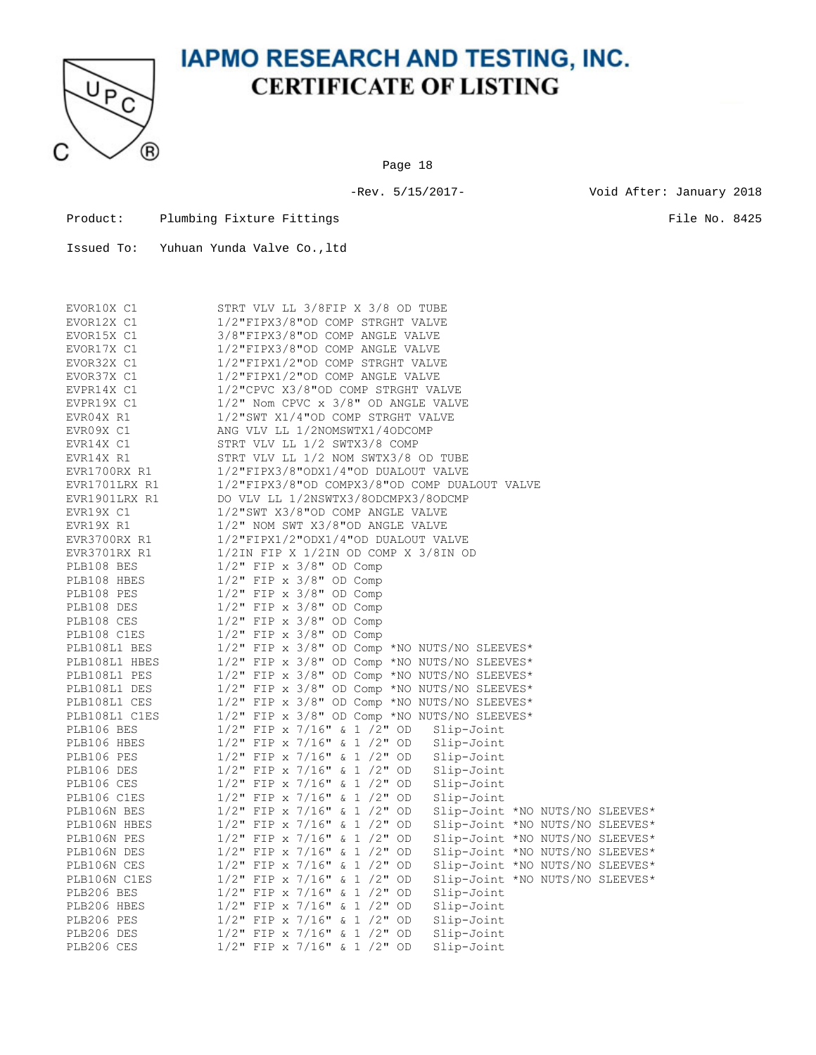

Page 18

-Rev. 5/15/2017- Void After: January 2018

Product: Plumbing Fixture Fittings File No. 8425

| EVOR10X C1    | STRT VLV LL 3/8FIP X 3/8 OD TUBE                                  |  |  |  |  |  |  |  |  |
|---------------|-------------------------------------------------------------------|--|--|--|--|--|--|--|--|
| EVOR12X C1    | 1/2"FIPX3/8"OD COMP STRGHT VALVE                                  |  |  |  |  |  |  |  |  |
| EVOR15X C1    | 3/8"FIPX3/8"OD COMP ANGLE VALVE                                   |  |  |  |  |  |  |  |  |
| EVOR17X C1    | 1/2"FIPX3/8"OD COMP ANGLE VALVE                                   |  |  |  |  |  |  |  |  |
| EVOR32X C1    | 1/2"FIPX1/2"OD COMP STRGHT VALVE                                  |  |  |  |  |  |  |  |  |
| EVOR37X C1    | 1/2"FIPX1/2"OD COMP ANGLE VALVE                                   |  |  |  |  |  |  |  |  |
| EVPR14X C1    | 1/2"CPVC X3/8"OD COMP STRGHT VALVE                                |  |  |  |  |  |  |  |  |
| EVPR19X C1    | 1/2" Nom CPVC x 3/8" OD ANGLE VALVE                               |  |  |  |  |  |  |  |  |
| EVR04X R1     | 1/2"SWT X1/4"OD COMP STRGHT VALVE                                 |  |  |  |  |  |  |  |  |
| EVR09X C1     | ANG VLV LL 1/2NOMSWTX1/4ODCOMP                                    |  |  |  |  |  |  |  |  |
| EVR14X C1     | STRT VLV LL 1/2 SWTX3/8 COMP                                      |  |  |  |  |  |  |  |  |
| EVR14X R1     | STRT VLV LL 1/2 NOM SWTX3/8 OD TUBE                               |  |  |  |  |  |  |  |  |
| EVR1700RX R1  | 1/2"FIPX3/8"ODX1/4"OD DUALOUT VALVE                               |  |  |  |  |  |  |  |  |
| EVR1701LRX R1 | 1/2"FIPX3/8"OD COMPX3/8"OD COMP DUALOUT VALVE                     |  |  |  |  |  |  |  |  |
|               |                                                                   |  |  |  |  |  |  |  |  |
| EVR1901LRX R1 | DO VLV LL 1/2NSWTX3/8ODCMPX3/8ODCMP                               |  |  |  |  |  |  |  |  |
| EVR19X C1     | 1/2"SWT X3/8"OD COMP ANGLE VALVE                                  |  |  |  |  |  |  |  |  |
| EVR19X R1     | 1/2" NOM SWT X3/8"OD ANGLE VALVE                                  |  |  |  |  |  |  |  |  |
| EVR3700RX R1  | 1/2"FIPX1/2"ODX1/4"OD DUALOUT VALVE                               |  |  |  |  |  |  |  |  |
| EVR3701RX R1  | $1/2$ IN FIP X $1/2$ IN OD COMP X $3/8$ IN OD                     |  |  |  |  |  |  |  |  |
| PLB108 BES    | $1/2$ " FIP x $3/8$ " OD Comp                                     |  |  |  |  |  |  |  |  |
| PLB108 HBES   | $1/2$ " FIP x $3/8$ " OD Comp                                     |  |  |  |  |  |  |  |  |
| PLB108 PES    | $1/2$ " FIP x $3/8$ " OD Comp                                     |  |  |  |  |  |  |  |  |
| PLB108 DES    | $1/2$ " FIP x $3/8$ " OD Comp                                     |  |  |  |  |  |  |  |  |
| PLB108 CES    | $1/2$ " FIP x $3/8$ " OD Comp                                     |  |  |  |  |  |  |  |  |
| PLB108 C1ES   | $1/2$ " FIP x $3/8$ " OD Comp                                     |  |  |  |  |  |  |  |  |
| PLB108L1 BES  | $1/2$ " FIP x 3/8" OD Comp *NO NUTS/NO SLEEVES*                   |  |  |  |  |  |  |  |  |
| PLB108L1 HBES | 1/2" FIP x 3/8" OD Comp *NO NUTS/NO SLEEVES*                      |  |  |  |  |  |  |  |  |
| PLB108L1 PES  | 1/2" FIP x 3/8" OD Comp *NO NUTS/NO SLEEVES*                      |  |  |  |  |  |  |  |  |
| PLB108L1 DES  | $1/2$ " FIP x 3/8" OD Comp *NO NUTS/NO SLEEVES*                   |  |  |  |  |  |  |  |  |
| PLB108L1 CES  | 1/2" FIP x 3/8" OD Comp *NO NUTS/NO SLEEVES*                      |  |  |  |  |  |  |  |  |
| PLB108L1 C1ES | $1/2$ " FIP x 3/8" OD Comp *NO NUTS/NO SLEEVES*                   |  |  |  |  |  |  |  |  |
| PLB106 BES    | $1/2$ " FIP x 7/16" & 1 /2" OD<br>Slip-Joint                      |  |  |  |  |  |  |  |  |
| PLB106 HBES   | $1/2$ " FIP x 7/16" & 1 /2" OD<br>Slip-Joint                      |  |  |  |  |  |  |  |  |
| PLB106 PES    | $1/2$ " FIP x 7/16" & 1 /2" OD<br>Slip-Joint                      |  |  |  |  |  |  |  |  |
| PLB106 DES    | $1/2$ " FIP x 7/16" & 1 /2" OD<br>Slip-Joint                      |  |  |  |  |  |  |  |  |
|               |                                                                   |  |  |  |  |  |  |  |  |
| PLB106 CES    | $1/2$ " FIP x 7/16" & 1 /2" OD<br>Slip-Joint                      |  |  |  |  |  |  |  |  |
| PLB106 C1ES   | $1/2$ " FIP x 7/16" & 1 /2" OD<br>Slip-Joint                      |  |  |  |  |  |  |  |  |
| PLB106N BES   | $1/2$ " FIP x 7/16" & 1 /2" OD<br>Slip-Joint *NO NUTS/NO SLEEVES* |  |  |  |  |  |  |  |  |
| PLB106N HBES  | $1/2$ " FIP x 7/16" & 1 /2" OD<br>Slip-Joint *NO NUTS/NO SLEEVES* |  |  |  |  |  |  |  |  |
| PLB106N PES   | $1/2$ " FIP x 7/16" & 1 /2" OD<br>Slip-Joint *NO NUTS/NO SLEEVES* |  |  |  |  |  |  |  |  |
| PLB106N DES   | $1/2$ " FIP x 7/16" & 1 /2" OD<br>Slip-Joint *NO NUTS/NO SLEEVES* |  |  |  |  |  |  |  |  |
| PLB106N CES   | $1/2$ " FIP x 7/16" & 1 /2" OD<br>Slip-Joint *NO NUTS/NO SLEEVES* |  |  |  |  |  |  |  |  |
| PLB106N C1ES  | $1/2$ " FIP x 7/16" & 1 /2" OD<br>Slip-Joint *NO NUTS/NO SLEEVES* |  |  |  |  |  |  |  |  |
| PLB206 BES    | $1/2$ " FIP x 7/16" & 1 /2" OD<br>Slip-Joint                      |  |  |  |  |  |  |  |  |
| PLB206 HBES   | $1/2$ " FIP x 7/16" & 1 /2" OD<br>Slip-Joint                      |  |  |  |  |  |  |  |  |
| PLB206 PES    | $1/2$ " FIP x 7/16" & 1 /2" OD<br>Slip-Joint                      |  |  |  |  |  |  |  |  |
| PLB206 DES    | $1/2$ " FIP x 7/16" & 1 /2" OD<br>Slip-Joint                      |  |  |  |  |  |  |  |  |
| PLB206 CES    | $1/2$ " FIP x 7/16" & 1 /2" OD<br>Slip-Joint                      |  |  |  |  |  |  |  |  |
|               |                                                                   |  |  |  |  |  |  |  |  |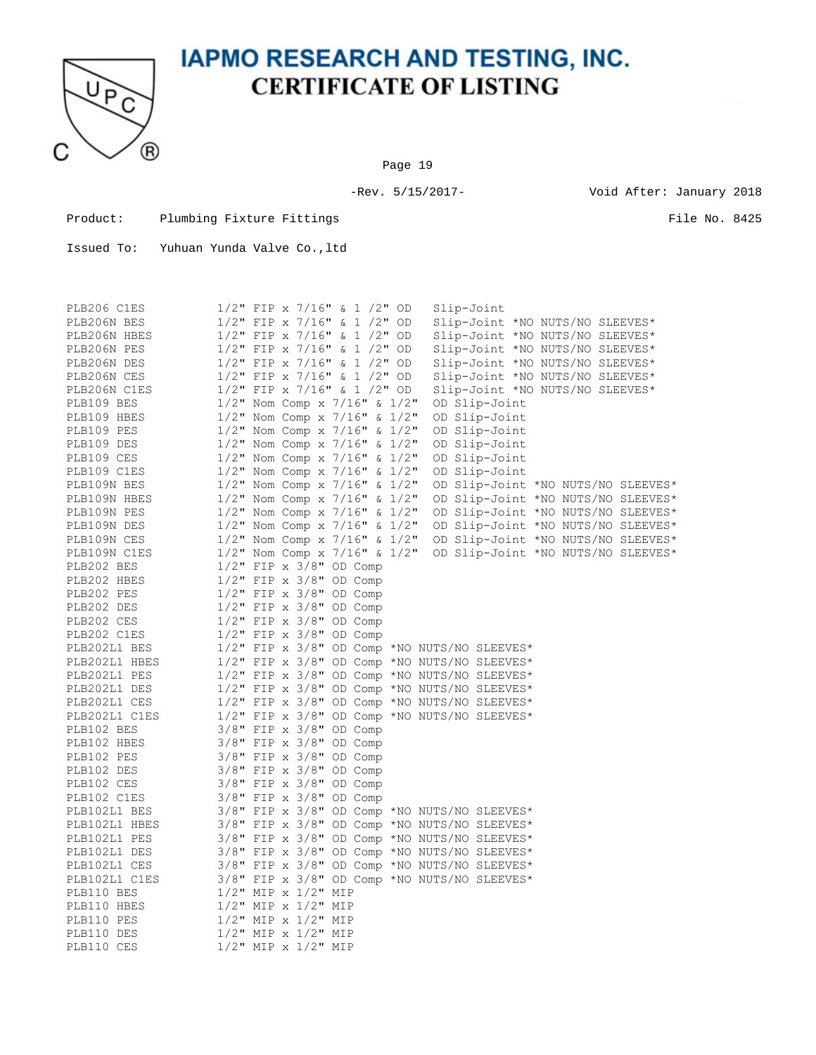

Page 19

-Rev. 5/15/2017- Void After: January 2018

Product: Plumbing Fixture Fittings File No. 8425

| PLB206 C1ES   | 1/2" FIP x 7/16" & 1 /2" OD                     |  | Slip-Joint    |                                 |                                    |
|---------------|-------------------------------------------------|--|---------------|---------------------------------|------------------------------------|
| PLB206N BES   | $1/2$ " FIP x 7/16" & 1 /2" OD                  |  |               | Slip-Joint *NO NUTS/NO SLEEVES* |                                    |
| PLB206N HBES  | $1/2$ " FIP x 7/16" & 1 /2" OD                  |  |               | Slip-Joint *NO NUTS/NO SLEEVES* |                                    |
| PLB206N PES   | $1/2$ " FIP x 7/16" & 1 /2" OD                  |  |               | Slip-Joint *NO NUTS/NO SLEEVES* |                                    |
| PLB206N DES   | $1/2$ " FIP x 7/16" & 1 /2" OD                  |  |               | Slip-Joint *NO NUTS/NO SLEEVES* |                                    |
| PLB206N CES   | $1/2$ " FIP x 7/16" & 1 /2" OD                  |  |               | Slip-Joint *NO NUTS/NO SLEEVES* |                                    |
| PLB206N C1ES  | $1/2$ " FIP x 7/16" & 1 /2" OD                  |  |               | Slip-Joint *NO NUTS/NO SLEEVES* |                                    |
| PLB109 BES    | $1/2$ " Nom Comp x 7/16" & $1/2$ "              |  | OD Slip-Joint |                                 |                                    |
| PLB109 HBES   | $1/2$ " Nom Comp x 7/16" & $1/2$ "              |  | OD Slip-Joint |                                 |                                    |
| PLB109 PES    | $1/2$ " Nom Comp x 7/16" & $1/2$ "              |  | OD Slip-Joint |                                 |                                    |
| PLB109 DES    | $1/2$ " Nom Comp x 7/16" & $1/2$ "              |  | OD Slip-Joint |                                 |                                    |
| PLB109 CES    | $1/2$ " Nom Comp x 7/16" & $1/2$ "              |  | OD Slip-Joint |                                 |                                    |
| PLB109 C1ES   | $1/2$ " Nom Comp x 7/16" & $1/2$ "              |  | OD Slip-Joint |                                 |                                    |
| PLB109N BES   | $1/2$ " Nom Comp x 7/16" & $1/2$ "              |  |               |                                 | OD Slip-Joint *NO NUTS/NO SLEEVES* |
| PLB109N HBES  | $1/2$ " Nom Comp x 7/16" & $1/2$ "              |  |               |                                 | OD Slip-Joint *NO NUTS/NO SLEEVES* |
| PLB109N PES   | $1/2$ " Nom Comp x 7/16" & $1/2$ "              |  |               |                                 | OD Slip-Joint *NO NUTS/NO SLEEVES* |
| PLB109N DES   | $1/2$ " Nom Comp x 7/16" & $1/2$ "              |  |               |                                 | OD Slip-Joint *NO NUTS/NO SLEEVES* |
| PLB109N CES   | $1/2$ " Nom Comp x 7/16" & $1/2$ "              |  |               |                                 | OD Slip-Joint *NO NUTS/NO SLEEVES* |
| PLB109N C1ES  | $1/2$ " Nom Comp x 7/16" & $1/2$ "              |  |               |                                 | OD Slip-Joint *NO NUTS/NO SLEEVES* |
| PLB202 BES    | $1/2$ " FIP x $3/8$ " OD Comp                   |  |               |                                 |                                    |
| PLB202 HBES   | 1/2" FIP x 3/8" OD Comp                         |  |               |                                 |                                    |
| PLB202 PES    | $1/2$ " FIP x $3/8$ " OD Comp                   |  |               |                                 |                                    |
| PLB202 DES    | $1/2$ " FIP x $3/8$ " OD Comp                   |  |               |                                 |                                    |
| PLB202 CES    | $1/2$ " FIP x $3/8$ " OD Comp                   |  |               |                                 |                                    |
| PLB202 C1ES   | $1/2$ " FIP x $3/8$ " OD Comp                   |  |               |                                 |                                    |
| PLB202L1 BES  | $1/2$ " FIP x 3/8" OD Comp *NO NUTS/NO SLEEVES* |  |               |                                 |                                    |
| PLB202L1 HBES | 1/2" FIP x 3/8" OD Comp *NO NUTS/NO SLEEVES*    |  |               |                                 |                                    |
| PLB202L1 PES  | 1/2" FIP x 3/8" OD Comp *NO NUTS/NO SLEEVES*    |  |               |                                 |                                    |
| PLB202L1 DES  | 1/2" FIP x 3/8" OD Comp *NO NUTS/NO SLEEVES*    |  |               |                                 |                                    |
| PLB202L1 CES  | 1/2" FIP x 3/8" OD Comp *NO NUTS/NO SLEEVES*    |  |               |                                 |                                    |
| PLB202L1 C1ES | $1/2$ " FIP x 3/8" OD Comp *NO NUTS/NO SLEEVES* |  |               |                                 |                                    |
| PLB102 BES    | $3/8"$ FIP x $3/8"$ OD Comp                     |  |               |                                 |                                    |
| PLB102 HBES   | 3/8" FIP x 3/8" OD Comp                         |  |               |                                 |                                    |
| PLB102 PES    | $3/8"$ FIP x $3/8"$ OD Comp                     |  |               |                                 |                                    |
| PLB102 DES    | 3/8" FIP x 3/8" OD Comp                         |  |               |                                 |                                    |
| PLB102 CES    | 3/8" FIP x 3/8" OD Comp                         |  |               |                                 |                                    |
| PLB102 C1ES   | 3/8" FIP x 3/8" OD Comp                         |  |               |                                 |                                    |
| PLB102L1 BES  | 3/8" FIP x 3/8" OD Comp *NO NUTS/NO SLEEVES*    |  |               |                                 |                                    |
| PLB102L1 HBES | 3/8" FIP x 3/8" OD Comp *NO NUTS/NO SLEEVES*    |  |               |                                 |                                    |
| PLB102L1 PES  | 3/8" FIP x 3/8" OD Comp *NO NUTS/NO SLEEVES*    |  |               |                                 |                                    |
| PLB102L1 DES  | 3/8" FIP x 3/8" OD Comp *NO NUTS/NO SLEEVES*    |  |               |                                 |                                    |
| PLB102L1 CES  | 3/8" FIP x 3/8" OD Comp *NO NUTS/NO SLEEVES*    |  |               |                                 |                                    |
| PLB102L1 C1ES | 3/8" FIP x 3/8" OD Comp *NO NUTS/NO SLEEVES*    |  |               |                                 |                                    |
| PLB110 BES    | $1/2$ " MIP x $1/2$ " MIP                       |  |               |                                 |                                    |
| PLB110 HBES   | $1/2$ " MIP x $1/2$ " MIP                       |  |               |                                 |                                    |
| PLB110 PES    | $1/2$ " MIP x $1/2$ " MIP                       |  |               |                                 |                                    |
| PLB110 DES    | $1/2$ " MIP x $1/2$ " MIP                       |  |               |                                 |                                    |
| PLB110 CES    | $1/2$ " MIP x $1/2$ " MIP                       |  |               |                                 |                                    |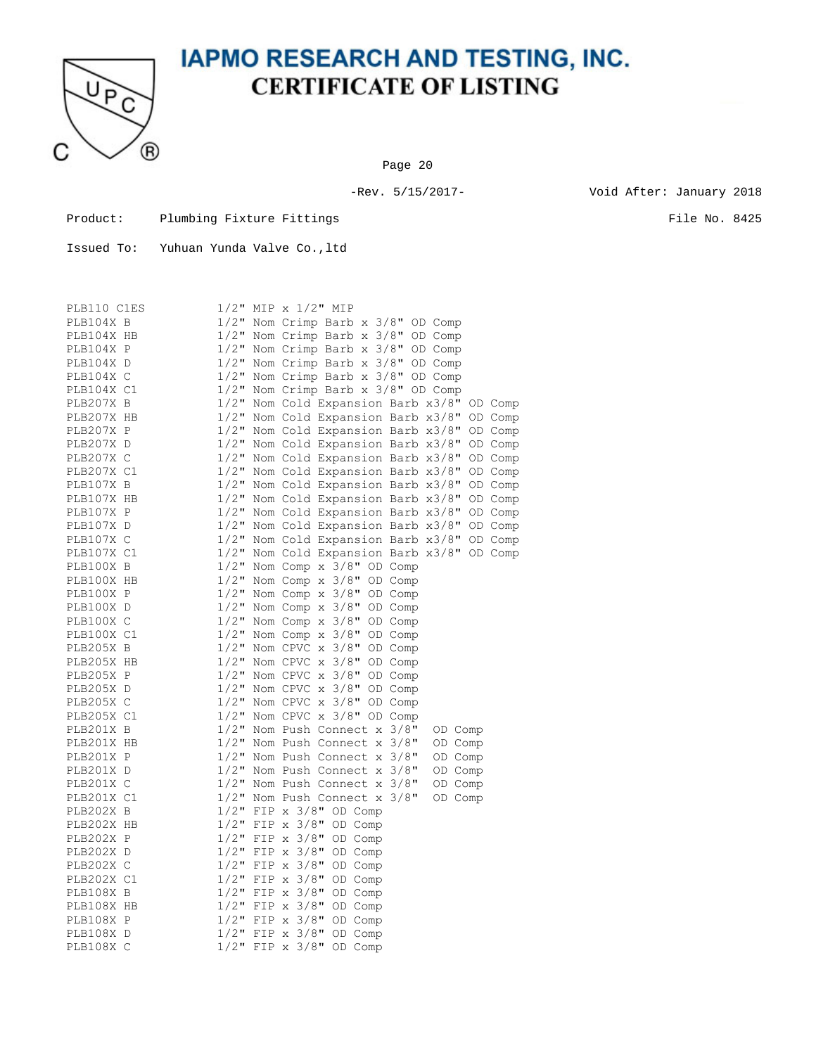

Page 20

-Rev. 5/15/2017- Void After: January 2018

Product: Plumbing Fixture Fittings File No. 8425

| PLB110 C1ES |         | $1/2$ " MIP x $1/2$ " MIP                     |
|-------------|---------|-----------------------------------------------|
| PLB104X B   |         | 1/2" Nom Crimp Barb x 3/8" OD Comp            |
| PLB104X HB  |         | 1/2" Nom Crimp Barb x 3/8" OD Comp            |
| PLB104X P   |         | 1/2" Nom Crimp Barb x 3/8" OD Comp            |
| PLB104X D   |         | 1/2" Nom Crimp Barb x 3/8" OD Comp            |
| PLB104X C   |         | 1/2" Nom Crimp Barb x 3/8" OD Comp            |
| PLB104X C1  |         | 1/2" Nom Crimp Barb x 3/8" OD Comp            |
| PLB207X B   |         | 1/2" Nom Cold Expansion Barb x3/8" OD Comp    |
| PLB207X HB  |         | 1/2" Nom Cold Expansion Barb x3/8" OD Comp    |
| PLB207X P   |         | 1/2" Nom Cold Expansion Barb x3/8"<br>OD Comp |
| PLB207X D   |         | 1/2" Nom Cold Expansion Barb x3/8" OD Comp    |
| PLB207X C   |         | 1/2" Nom Cold Expansion Barb x3/8"<br>OD Comp |
| PLB207X C1  |         | 1/2" Nom Cold Expansion Barb x3/8" OD Comp    |
| PLB107X B   |         | 1/2" Nom Cold Expansion Barb x3/8"<br>OD Comp |
| PLB107X HB  |         | 1/2" Nom Cold Expansion Barb x3/8"<br>OD Comp |
| PLB107X P   |         | 1/2" Nom Cold Expansion Barb x3/8" OD Comp    |
| PLB107X D   |         | 1/2" Nom Cold Expansion Barb x3/8" OD Comp    |
| PLB107X C   |         | 1/2" Nom Cold Expansion Barb x3/8" OD Comp    |
| PLB107X C1  |         | 1/2" Nom Cold Expansion Barb x3/8" OD Comp    |
| PLB100X B   |         | $1/2$ " Nom Comp x $3/8$ " OD Comp            |
| PLB100X HB  | $1/2$ " | Nom Comp $x$ 3/8" OD Comp                     |
| PLB100X P   |         | $1/2$ " Nom Comp x $3/8$ " OD Comp            |
| PLB100X D   |         | 1/2" Nom Comp x 3/8" OD Comp                  |
| PLB100X C   |         | $1/2$ " Nom Comp x $3/8$ " OD Comp            |
| PLB100X C1  |         | $1/2$ " Nom Comp x $3/8$ " OD Comp            |
| PLB205X B   |         | 1/2" Nom CPVC x 3/8" OD Comp                  |
| PLB205X HB  |         | 1/2" Nom CPVC x 3/8" OD Comp                  |
| PLB205X P   | $1/2$ " | Nom CPVC x 3/8" OD Comp                       |
| PLB205X D   |         | 1/2" Nom CPVC x 3/8" OD Comp                  |
| PLB205X C   | $1/2$ " | Nom CPVC x 3/8" OD Comp                       |
| PLB205X C1  |         | $1/2$ " Nom CPVC x $3/8$ " OD Comp            |
| PLB201X B   |         | 1/2" Nom Push Connect x 3/8"<br>OD Comp       |
| PLB201X HB  |         | 1/2" Nom Push Connect x 3/8"<br>OD Comp       |
| PLB201X P   |         | 1/2" Nom Push Connect x 3/8"<br>OD Comp       |
| PLB201X D   |         | $1/2$ " Nom Push Connect x $3/8$ "<br>OD Comp |
| PLB201X C   |         | 1/2" Nom Push Connect x 3/8"<br>OD Comp       |
| PLB201X C1  | $1/2$ " | Nom Push Connect x 3/8"<br>OD Comp            |
| PLB202X B   |         | $1/2$ " FIP x $3/8$ " OD Comp                 |
| PLB202X HB  | $1/2$ " | FIP $x$ 3/8" OD Comp                          |
| PLB202X P   | $1/2$ " | FIP $\times$ 3/8" OD Comp                     |
| PLB202X D   | $1/2$ " | FIP x 3/8" OD Comp                            |
| PLB202X C   | $1/2$ " | FIP x 3/8" OD Comp                            |
| PLB202X C1  |         | $1/2$ " FIP x $3/8$ " OD Comp                 |
| PLB108X B   | $1/2$ " | FIP $\times$ 3/8"<br>OD Comp                  |
| PLB108X HB  | $1/2$ " | FIP $\times$ 3/8"<br>OD Comp                  |
| PLB108X P   | $1/2$ " | FIP $\times$ 3/8"<br>OD Comp                  |
| PLB108X D   |         | $1/2"$ FIP x 3/8"<br>OD Comp                  |
| PLB108X C   | $1/2$ " | FIP x 3/8" OD Comp                            |
|             |         |                                               |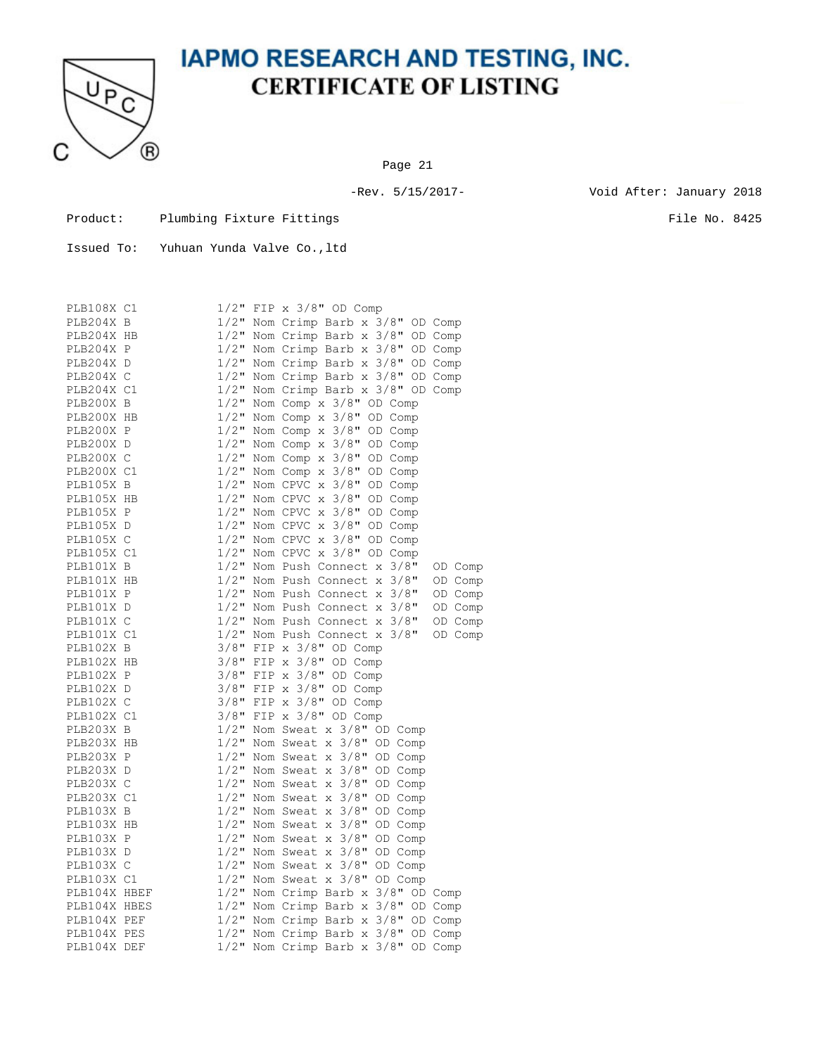

Page 21

-Rev. 5/15/2017- Void After: January 2018

| Product: | Plumbing Fixture Fittings |  |
|----------|---------------------------|--|
|          |                           |  |

 $\blacksquare$ 

| Issued To: | Yuhuan Yunda Valve Co., ltd |  |  |
|------------|-----------------------------|--|--|
|            |                             |  |  |

| PLB108X C1   |                                    | $1/2$ " FIP x $3/8$ " OD Comp                                             |
|--------------|------------------------------------|---------------------------------------------------------------------------|
| PLB204X B    |                                    | 1/2" Nom Crimp Barb x 3/8" OD Comp                                        |
| PLB204X HB   |                                    | $1/2$ " Nom Crimp Barb x $3/8$ " OD Comp                                  |
| PLB204X P    |                                    | 1/2" Nom Crimp Barb x 3/8" OD Comp                                        |
| PLB204X D    | $1/2$ "                            | Nom Crimp Barb x 3/8" OD Comp                                             |
| PLB204X C    |                                    | 1/2" Nom Crimp Barb x 3/8" OD Comp                                        |
| PLB204X C1   | $1/2$ "                            | Nom Crimp Barb x 3/8" OD Comp                                             |
| PLB200X B    |                                    | 1/2" Nom Comp x 3/8" OD Comp                                              |
| PLB200X HB   | $1/2$ "                            | Nom Comp x 3/8" OD Comp                                                   |
| PLB200X P    | $1/2$ "                            | Nom Comp $\times$ 3/8" OD Comp                                            |
| PLB200X D    | $1/2$ "                            | Nom Comp x 3/8" OD Comp                                                   |
| PLB200X C    | $1/2$ "                            | Nom Comp $\times$ 3/8" OD Comp                                            |
| PLB200X C1   |                                    | 1/2" Nom Comp x 3/8" OD Comp                                              |
| PLB105X B    | $1/2$ "                            | Nom CPVC x 3/8" OD Comp                                                   |
| PLB105X HB   | $1/2$ "                            | Nom CPVC x<br>$3/8$ " OD Comp                                             |
| PLB105X P    | $1/2$ "                            | Nom CPVC x 3/8" OD Comp                                                   |
| PLB105X D    |                                    | $1/2$ " Nom CPVC $x$<br>$3/8$ " OD Comp                                   |
| PLB105X C    | $\frac{1}{2}$                      | Nom CPVC $\times$ 3/8"<br>OD Comp                                         |
| PLB105X C1   |                                    | $1/2$ " Nom CPVC x $3/8$ " OD Comp                                        |
| PLB101X B    | $1/2$ "                            | Nom Push Connect x 3/8"<br>OD Comp                                        |
| PLB101X HB   | $1/2$ "                            | Nom Push Connect x 3/8"<br>OD Comp                                        |
| PLB101X P    | $1/2$ "                            | Nom Push Connect x 3/8"<br>OD Comp                                        |
| PLB101X D    | $1/2$ "                            | Nom Push Connect x 3/8"<br>OD Comp                                        |
| PLB101X C    | $1/2$ "                            | Nom Push Connect x 3/8"<br>OD Comp                                        |
| PLB101X C1   | $1/2$ "                            | Nom Push Connect x 3/8"<br>OD Comp                                        |
| PLB102X B    | $3/8$ "                            | FIP x 3/8" OD Comp                                                        |
| PLB102X HB   | $3/8$ "                            | FIP $\times$ 3/8"<br>OD Comp                                              |
| PLB102X P    | $3/8$ "                            | FIP $\times$ 3/8" OD Comp                                                 |
| PLB102X D    | $3/8$ "                            | FIP $\times$ 3/8"<br>OD Comp                                              |
| PLB102X C    | $3/8$ "                            | FIP $\times$ 3/8"<br>OD Comp                                              |
| PLB102X C1   | $3/8$ "                            | FIP $\times$ 3/8" OD Comp                                                 |
| PLB203X B    | $1/2$ "                            | Nom Sweat x 3/8" OD Comp                                                  |
| PLB203X HB   | $1/2$ "                            | Nom Sweat x 3/8"<br>OD Comp                                               |
| PLB203X P    | $1/2$ "                            | Nom Sweat x 3/8"<br>OD Comp                                               |
| PLB203X D    | $1/2$ "                            | Nom Sweat $x$ 3/8"<br>OD Comp                                             |
| PLB203X C    | $1/2$ "                            | Nom Sweat $x$ 3/8"<br>OD Comp                                             |
| PLB203X C1   | $1/2$ "                            | Nom Sweat $x$ 3/8"<br>OD Comp                                             |
| PLB103X B    | $1/2$ "                            | Nom Sweat $x$ 3/8"<br>OD Comp                                             |
| PLB103X HB   |                                    | $1/2$ " Nom Sweat x $3/8$ "<br>$1/2$ " Nom Sweat x $3/8$ "<br>OD Comp     |
| PLB103X P    |                                    | OD Comp                                                                   |
| PLB103X D    | $\frac{1}{2}$ "<br>$\frac{1}{2}$ " | Nom Sweat x 3/8"<br>OD Comp                                               |
| PLB103X C    |                                    | Nom Sweat $x$ 3/8"<br>OD Comp                                             |
| PLB103X C1   |                                    | 1/2" Nom Sweat x $3/8$ " OD Comp<br>1/2" Nom Crimp Barb x $3/8$ " OD Comp |
| PLB104X HBEF |                                    |                                                                           |
| PLB104X HBES | $1/2$ "                            | Nom Crimp Barb x 3/8" OD Comp                                             |
| PLB104X PEF  | $1/2$ "                            | Nom Crimp Barb x 3/8" OD Comp                                             |
| PLB104X PES  | $1/2$ "                            | Nom Crimp Barb x 3/8"<br>OD Comp                                          |
| PLB104X DEF  |                                    | 1/2" Nom Crimp Barb x 3/8" OD Comp                                        |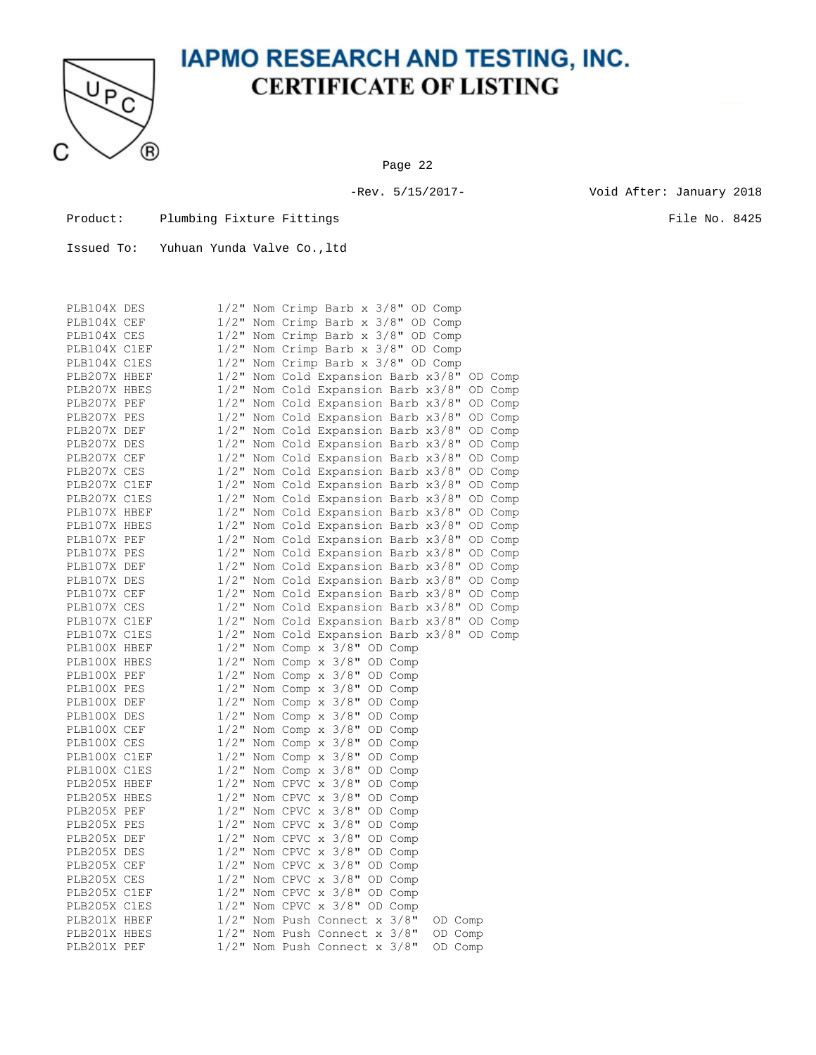

Page 22

-Rev. 5/15/2017- Void After: January 2018

Product: Plumbing Fixture Fittings File No. 8425

| PLB104X DES  |         |  | 1/2" Nom Crimp Barb x 3/8" OD Comp                                  |         |         |         |
|--------------|---------|--|---------------------------------------------------------------------|---------|---------|---------|
| PLB104X CEF  |         |  | 1/2" Nom Crimp Barb x 3/8" OD Comp                                  |         |         |         |
| PLB104X CES  | $1/2$ " |  | Nom Crimp Barb x 3/8" OD Comp                                       |         |         |         |
| PLB104X C1EF |         |  | 1/2" Nom Crimp Barb x 3/8" OD Comp                                  |         |         |         |
| PLB104X C1ES | $1/2$ " |  | Nom Crimp Barb x 3/8" OD Comp                                       |         |         |         |
| PLB207X HBEF |         |  | 1/2" Nom Cold Expansion Barb x3/8" OD Comp                          |         |         |         |
| PLB207X HBES | $1/2$ " |  | Nom Cold Expansion Barb x3/8"                                       |         |         | OD Comp |
| PLB207X PEF  | $1/2$ " |  | Nom Cold Expansion Barb x3/8"                                       |         |         | OD Comp |
| PLB207X PES  |         |  | 1/2" Nom Cold Expansion Barb x3/8" OD Comp                          |         |         |         |
| PLB207X DEF  | $1/2$ " |  | Nom Cold Expansion Barb x3/8"                                       |         |         | OD Comp |
| PLB207X DES  |         |  | 1/2" Nom Cold Expansion Barb x3/8"                                  |         |         | OD Comp |
| PLB207X CEF  | $1/2$ " |  | Nom Cold Expansion Barb x3/8"                                       |         |         | OD Comp |
| PLB207X CES  |         |  | 1/2" Nom Cold Expansion Barb x3/8"                                  |         |         | OD Comp |
| PLB207X C1EF | $1/2$ " |  | Nom Cold Expansion Barb x3/8"                                       |         |         | OD Comp |
| PLB207X C1ES | $1/2$ " |  | Nom Cold Expansion Barb x3/8"                                       |         |         | OD Comp |
| PLB107X HBEF |         |  | 1/2" Nom Cold Expansion Barb x3/8"                                  |         |         | OD Comp |
| PLB107X HBES |         |  | 1/2" Nom Cold Expansion Barb x3/8"                                  |         |         | OD Comp |
| PLB107X PEF  |         |  | 1/2" Nom Cold Expansion Barb x3/8"                                  |         |         | OD Comp |
| PLB107X PES  | $1/2$ " |  |                                                                     |         |         |         |
| PLB107X DEF  |         |  | Nom Cold Expansion Barb x3/8"<br>1/2" Nom Cold Expansion Barb x3/8" |         |         | OD Comp |
|              | $1/2$ " |  |                                                                     |         |         | OD Comp |
| PLB107X DES  |         |  | Nom Cold Expansion Barb x3/8"                                       |         |         | OD Comp |
| PLB107X CEF  |         |  | 1/2" Nom Cold Expansion Barb x3/8"                                  |         |         | OD Comp |
| PLB107X CES  | $1/2$ " |  | Nom Cold Expansion Barb x3/8"                                       |         |         | OD Comp |
| PLB107X C1EF | $1/2$ " |  | Nom Cold Expansion Barb x3/8"                                       |         |         | OD Comp |
| PLB107X C1ES |         |  | 1/2" Nom Cold Expansion Barb x3/8" OD Comp                          |         |         |         |
| PLB100X HBEF | $1/2$ " |  | Nom Comp x 3/8" OD Comp                                             |         |         |         |
| PLB100X HBES |         |  | $1/2$ " Nom Comp x $3/8$ " OD Comp                                  |         |         |         |
| PLB100X PEF  | $1/2$ " |  | Nom Comp $x = 3/8$ " OD Comp                                        |         |         |         |
| PLB100X PES  | $1/2$ " |  | Nom Comp $x = 3/8$ " OD Comp                                        |         |         |         |
| PLB100X DEF  | $1/2$ " |  | Nom Comp x 3/8" OD Comp                                             |         |         |         |
| PLB100X DES  | $1/2$ " |  | Nom Comp $x$ 3/8" OD Comp                                           |         |         |         |
| PLB100X CEF  | $1/2$ " |  | Nom Comp x 3/8" OD Comp                                             |         |         |         |
| PLB100X CES  | $1/2$ " |  | Nom Comp $x = 3/8$ " OD Comp                                        |         |         |         |
| PLB100X C1EF |         |  | $1/2$ " Nom Comp x $3/8$ " OD Comp                                  |         |         |         |
| PLB100X C1ES | $1/2$ " |  | Nom Comp $\times$ 3/8"                                              | OD Comp |         |         |
| PLB205X HBEF | $1/2$ " |  | Nom CPVC $\times$ 3/8"                                              | OD Comp |         |         |
| PLB205X HBES | $1/2$ " |  | Nom CPVC $\times$ 3/8"                                              | OD Comp |         |         |
| PLB205X PEF  | $1/2$ " |  | Nom CPVC $\times$ 3/8"                                              | OD Comp |         |         |
| PLB205X PES  | $1/2$ " |  | Nom CPVC x 3/8" OD Comp                                             |         |         |         |
| PLB205X DEF  | $1/2$ " |  | Nom CPVC $\times$ 3/8"                                              | OD Comp |         |         |
| PLB205X DES  |         |  | $1/2$ " Nom CPVC $\times$ 3/8"                                      | OD Comp |         |         |
| PLB205X CEF  | $1/2$ " |  | Nom CPVC $\times$ 3/8"                                              | OD Comp |         |         |
| PLB205X CES  | $1/2$ " |  | Nom CPVC $\times$ 3/8"                                              | OD Comp |         |         |
| PLB205X C1EF | $1/2$ " |  | Nom CPVC $\times$ 3/8"                                              | OD Comp |         |         |
| PLB205X C1ES | $1/2$ " |  | Nom CPVC x 3/8" OD Comp                                             |         |         |         |
| PLB201X HBEF |         |  | 1/2" Nom Push Connect x 3/8"                                        |         | OD Comp |         |
| PLB201X HBES |         |  | 1/2" Nom Push Connect x 3/8"                                        |         | OD Comp |         |
| PLB201X PEF  |         |  | 1/2" Nom Push Connect x 3/8"                                        |         | OD Comp |         |
|              |         |  |                                                                     |         |         |         |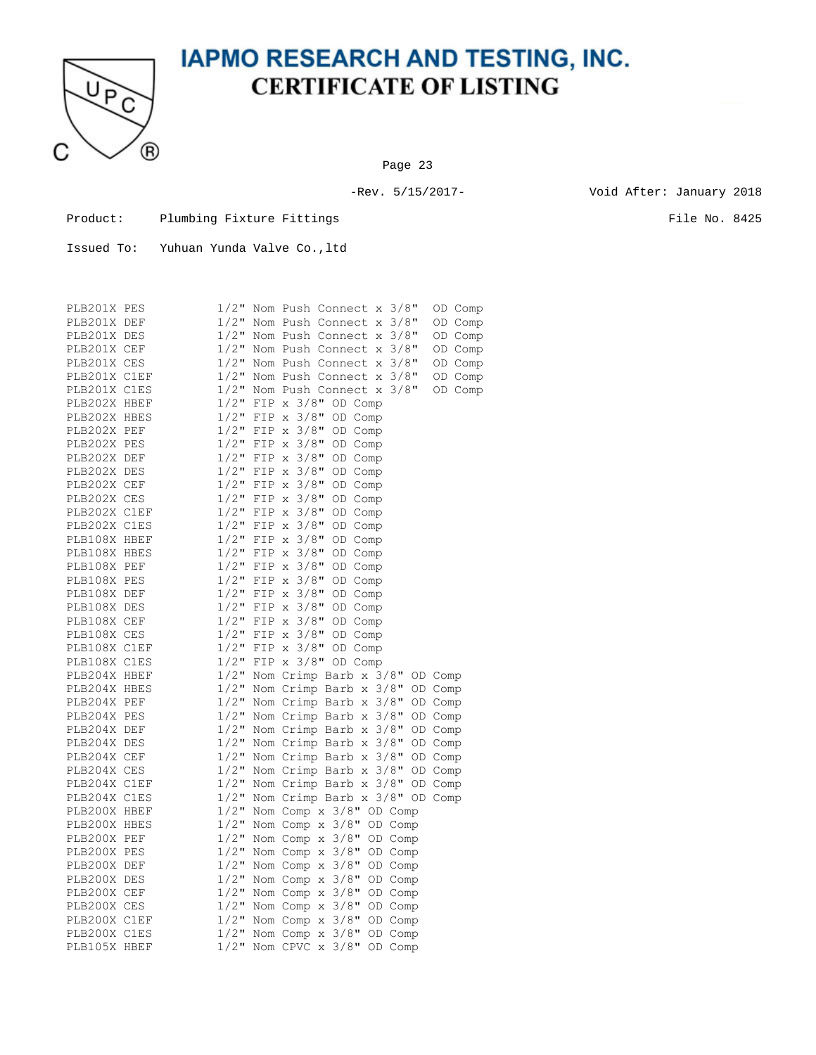

Page 23

-Rev. 5/15/2017- Void After: January 2018

Product: Plumbing Fixture Fittings File No. 8425

| PLB201X PES  |                    |       | 1/2" Nom Push Connect x 3/8"<br>OD Comp |
|--------------|--------------------|-------|-----------------------------------------|
| PLB201X DEF  | $1/2$ "            |       | Nom Push Connect x 3/8"<br>OD Comp      |
| PLB201X DES  | $1/2$ "            |       | Nom Push Connect x 3/8"<br>OD Comp      |
| PLB201X CEF  | $1/2$ "            |       | Nom Push Connect $x$ 3/8"<br>OD Comp    |
| PLB201X CES  | $1/2$ "            |       | Nom Push Connect x 3/8"<br>OD Comp      |
| PLB201X C1EF | $1/2$ "            |       | Nom Push Connect x 3/8"<br>OD Comp      |
| PLB201X C1ES | $1/2$ "            |       | Nom Push Connect x 3/8"<br>OD Comp      |
| PLB202X HBEF | $1/2$ "            |       | FIP $\times$ 3/8"<br>OD Comp            |
| PLB202X HBES | $1/2$ "            |       | FIP $\times$ 3/8"<br>OD Comp            |
| PLB202X PEF  | $1/2$ "            |       | FIP $\times$ 3/8"<br>OD Comp            |
| PLB202X PES  | $1/2$ "            |       | FIP $\times$ 3/8"<br>OD Comp            |
| PLB202X DEF  | $1/2$ "            | FIP x | $3/8$ "<br>OD Comp                      |
| PLB202X DES  | $1/2$ "            | FIP   | $x \frac{3}{8}$<br>OD Comp              |
| PLB202X CEF  | $1/2$ "            | FIP   | $x \frac{3}{8}$ "<br>OD Comp            |
| PLB202X CES  | $1/2$ "            |       | FIP $\times$ 3/8"<br>OD Comp            |
| PLB202X C1EF | $1/2$ "            |       | FIP $\times$ 3/8"<br>OD Comp            |
| PLB202X C1ES | $1/2$ "            |       | FIP $\times$ 3/8"<br>OD Comp            |
| PLB108X HBEF | $1/2$ "            |       | FIP $\times$ 3/8"<br>OD Comp            |
| PLB108X HBES | $1/2$ "            |       | FIP $\times$ 3/8"<br>OD Comp            |
| PLB108X PEF  | $1/2$ "            | FIP x | $3/8$ "<br>OD Comp                      |
| PLB108X PES  | $1/2$ "            |       | FIP $\times$ 3/8"<br>OD Comp            |
| PLB108X DEF  | $1/2$ "            |       | FIP $\times$ 3/8"<br>OD Comp            |
| PLB108X DES  | $1/2$ "            |       | FIP $\times$ 3/8"<br>OD Comp            |
| PLB108X CEF  | $1/2$ "            |       | FIP $\times$ 3/8"<br>OD Comp            |
| PLB108X CES  | $1/2$ "            |       | FIP $\times$ 3/8"<br>OD Comp            |
| PLB108X C1EF | $1/2$ "            |       | FIP $\times$ 3/8"<br>OD Comp            |
| PLB108X C1ES | $1/2$ "            |       | FIP $\times$ 3/8"<br>OD Comp            |
| PLB204X HBEF | $1/2$ "            |       | Nom Crimp Barb x 3/8" OD Comp           |
| PLB204X HBES | $1/2$ "            |       | Nom Crimp Barb x 3/8"<br>OD Comp        |
| PLB204X PEF  | $1/2$ "            |       | Nom Crimp Barb x 3/8" OD Comp           |
| PLB204X PES  | $1/2$ "            |       | Nom Crimp Barb x 3/8"<br>OD Comp        |
| PLB204X DEF  | $1/2$ "            |       | Nom Crimp Barb x 3/8"<br>OD Comp        |
| PLB204X DES  | $1/2$ "            |       | Nom Crimp Barb x 3/8"<br>OD Comp        |
| PLB204X CEF  | $1/2$ "            |       | Nom Crimp Barb x 3/8"<br>OD Comp        |
| PLB204X CES  | $1/2$ "            |       | Nom Crimp Barb x 3/8"<br>OD Comp        |
| PLB204X C1EF | $1/2$ "            |       | Nom Crimp Barb x 3/8"<br>OD Comp        |
| PLB204X C1ES | $1/2$ "            |       | Nom Crimp Barb x 3/8" OD Comp           |
| PLB200X HBEF | $1/2$ "            |       | Nom Comp x 3/8" OD Comp                 |
| PLB200X HBES | $1/2$ "            |       | Nom Comp x 3/8" OD Comp                 |
| PLB200X PEF  | $1/2$ "            |       | Nom Comp $x$ 3/8" OD Comp               |
| PLB200X PES  |                    |       |                                         |
|              | $1/2$ "<br>$1/2$ " |       | Nom Comp $x$ 3/8" OD Comp               |
| PLB200X DEF  |                    |       | Nom Comp x 3/8" OD Comp                 |
| PLB200X DES  | $1/2$ "            |       | Nom Comp $x = 3/8$ " OD Comp            |
| PLB200X CEF  | $1/2$ "            |       | Nom Comp $\times$ 3/8"<br>OD Comp       |
| PLB200X CES  | $1/2$ "            |       | Nom Comp x<br>$3/8$ "<br>OD Comp        |
| PLB200X C1EF | $1/2$ "            |       | Nom Comp $x$ 3/8"<br>OD Comp            |
| PLB200X C1ES | $1/2$ "            |       | Nom Comp $\times$ 3/8"<br>OD Comp       |
| PLB105X HBEF | $1/2$ "            |       | Nom CPVC $\times$ 3/8"<br>OD Comp       |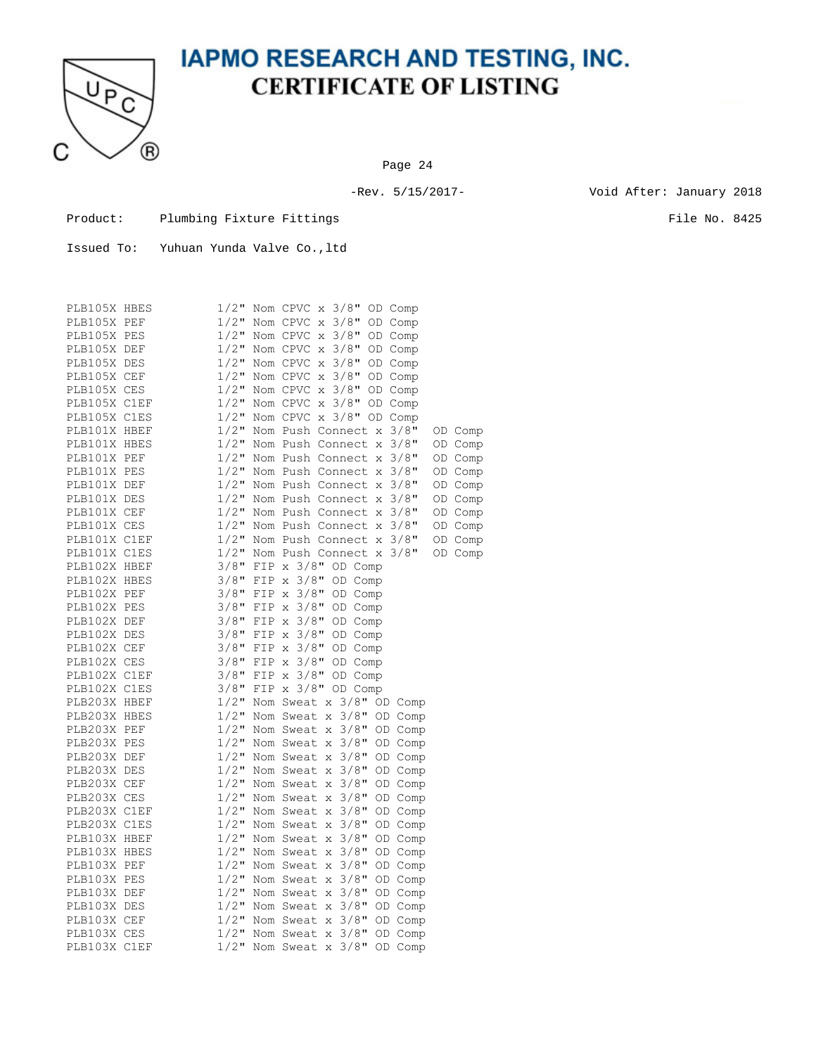

Page 24

-Rev. 5/15/2017- Void After: January 2018

Product: Plumbing Fixture Fittings File No. 8425

| PLB105X HBES | $1/2$ " |     | Nom CPVC x 3/8" OD Comp                                      |
|--------------|---------|-----|--------------------------------------------------------------|
| PLB105X PEF  | $1/2$ " |     | $3/8$ "<br>Nom CPVC x<br>OD Comp                             |
| PLB105X PES  | $1/2$ " |     | $3/8$ " OD Comp<br>Nom CPVC x                                |
| PLB105X DEF  | $1/2$ " |     | Nom CPVC x<br>$3/8$ "<br>OD Comp                             |
| PLB105X DES  | $1/2$ " |     | Nom CPVC x<br>$3/8$ "<br>OD Comp                             |
| PLB105X CEF  | $1/2$ " |     | Nom CPVC x<br>$3/8$ "<br>OD Comp                             |
| PLB105X CES  | $1/2$ " |     | Nom CPVC x<br>$3/8$ "<br>OD Comp                             |
| PLB105X C1EF | $1/2$ " |     | $3/8$ "<br>Nom CPVC x<br>OD Comp                             |
| PLB105X C1ES | $1/2$ " |     | Nom CPVC x 3/8" OD Comp                                      |
| PLB101X HBEF | $1/2$ " |     | Nom Push Connect x<br>$3/8$ "<br>OD Comp                     |
| PLB101X HBES | $1/2$ " |     | $3/8$ "<br>Nom Push Connect x<br>OD Comp                     |
| PLB101X PEF  | $1/2$ " |     | Nom Push Connect x<br>$3/8$ "<br>OD Comp                     |
| PLB101X PES  | $1/2$ " |     | Nom Push Connect x<br>$3/8$ "<br>OD Comp                     |
| PLB101X DEF  | $1/2$ " |     | Nom Push Connect x<br>$3/8$ "<br>OD Comp                     |
| PLB101X DES  | $1/2$ " |     | Nom Push Connect x<br>$3/8$ "<br>OD Comp                     |
| PLB101X CEF  | $1/2$ " |     | Nom Push Connect x<br>$3/8$ "<br>OD Comp                     |
| PLB101X CES  | $1/2$ " |     | Nom Push Connect x<br>$3/8$ "<br>OD Comp                     |
| PLB101X C1EF | $1/2$ " |     | Nom Push Connect x 3/8"<br>OD Comp                           |
| PLB101X C1ES | $1/2$ " |     | Nom Push Connect $x$ 3/8"<br>OD Comp                         |
| PLB102X HBEF | $3/8$ " |     | FIP $\times$ 3/8"<br>OD Comp                                 |
| PLB102X HBES | $3/8$ " | FIP | $3/8$ "<br>X<br>OD Comp                                      |
| PLB102X PEF  | $3/8$ " | FIP | $3/8$ "<br>OD Comp<br>$\rm X$                                |
| PLB102X PES  | $3/8$ " | FIP | $3/8$ "<br>OD Comp<br>$\mathbf{x}$                           |
| PLB102X DEF  | $3/8$ " | FIP | $3/8$ "<br>OD Comp<br>X                                      |
| PLB102X DES  | $3/8$ " | FIP | $3/8$ "<br>OD Comp<br>$\mathbf{x}$                           |
| PLB102X CEF  | $3/8$ " | FIP | $3/8$ "<br>$\rm X$<br>OD Comp                                |
| PLB102X CES  | $3/8$ " | FIP | $3/8$ "<br>OD Comp<br>$\rm X$                                |
| PLB102X C1EF | $3/8$ " | FIP | $x \frac{3}{8}$<br>OD Comp                                   |
| PLB102X C1ES | $3/8$ " | FIP | $x \frac{3}{8}$<br>OD Comp                                   |
| PLB203X HBEF | $1/2$ " |     | Nom Sweat x 3/8"<br>OD Comp                                  |
| PLB203X HBES | $1/2$ " |     | Nom Sweat $x$ 3/8"<br>OD Comp                                |
| PLB203X PEF  | $1/2$ " |     | Nom Sweat $x$ 3/8"<br>OD Comp                                |
| PLB203X PES  | $1/2$ " |     | Nom Sweat x<br>$3/8$ "<br>OD Comp                            |
| PLB203X DEF  | $1/2$ " |     | $3/8$ "<br>OD Comp<br>Nom Sweat<br>$\mathbf{x}$              |
| PLB203X DES  | $1/2$ " |     | $3/8$ "<br>Nom Sweat<br>OD Comp<br>$\boldsymbol{\mathrm{x}}$ |
| PLB203X CEF  | $1/2$ " |     | $3/8$ "<br>OD Comp<br>Nom Sweat<br>$\,$ X                    |
| PLB203X CES  | $1/2$ " |     | $3/8$ "<br>Nom Sweat<br>OD Comp<br>X                         |
| PLB203X C1EF | $1/2$ " |     | $3/8$ "<br>Nom Sweat<br>OD Comp<br>$\boldsymbol{\mathsf{X}}$ |
| PLB203X C1ES | $1/2$ " |     | $3/8$ "<br>Nom Sweat x<br>OD Comp                            |
| PLB103X HBEF | $1/2$ " |     | $3/8$ "<br>Nom Sweat x<br>OD Comp                            |
| PLB103X HBES | $1/2$ " |     | Nom Sweat x 3/8"<br>OD Comp                                  |
| PLB103X PEF  | $1/2$ " |     | Nom Sweat x<br>$3/8$ "<br>OD Comp                            |
| PLB103X PES  | $1/2$ " |     | $3/8$ "<br>Nom Sweat<br>OD Comp<br>$\mathbf{x}$              |
| PLB103X DEF  | $1/2$ " |     | $3/8$ "<br>Nom Sweat<br>OD Comp<br>$\boldsymbol{\mathrm{x}}$ |
| PLB103X DES  | $1/2$ " |     | $3/8$ "<br>OD Comp<br>Nom Sweat<br>$\mathbf{x}$              |
| PLB103X CEF  | $1/2$ " |     | $3/8$ "<br>Nom Sweat<br>OD Comp<br>X                         |
| PLB103X CES  | $1/2$ " |     | Nom Sweat<br>$3/8$ "<br>OD Comp<br>$\boldsymbol{\mathsf{X}}$ |
| PLB103X C1EF | $1/2$ " |     | $3/8$ "<br>Nom Sweat<br>OD Comp<br>$\bar{X}$                 |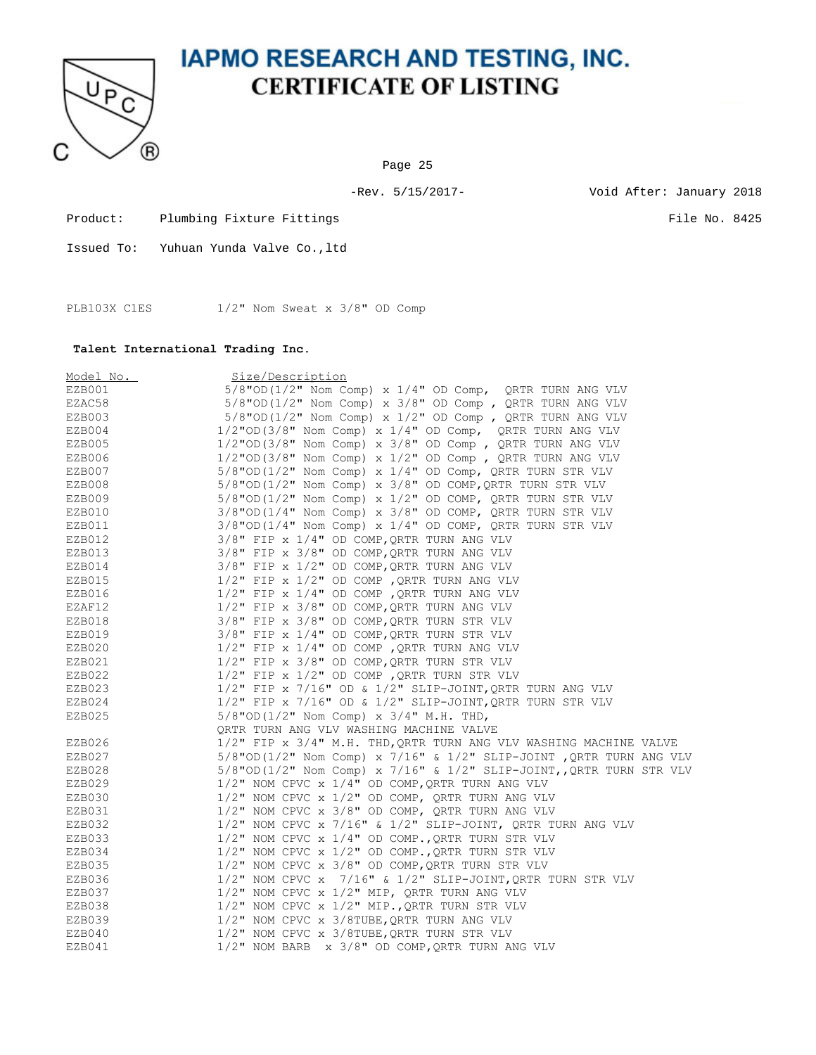

Page 25

-Rev. 5/15/2017- Void After: January 2018

Product: Plumbing Fixture Fittings File No. 8425

Issued To: Yuhuan Yunda Valve Co.,ltd

PLB103X C1ES 1/2" Nom Sweat x 3/8" OD Comp

#### **Talent International Trading Inc.**

| Model No. | Size/Description                                                      |
|-----------|-----------------------------------------------------------------------|
| EZB001    | $5/8$ "OD( $1/2$ " Nom Comp) x $1/4$ " OD Comp, QRTR TURN ANG VLV     |
| EZAC58    | $5/8$ "OD( $1/2$ " Nom Comp) x $3/8$ " OD Comp, QRTR TURN ANG VLV     |
| EZB003    | $5/8$ "OD(1/2" Nom Comp) x 1/2" OD Comp, QRTR TURN ANG VLV            |
| EZB004    | $1/2$ "OD(3/8" Nom Comp) x $1/4$ " OD Comp, QRTR TURN ANG VLV         |
| EZB005    | $1/2$ "OD(3/8" Nom Comp) x 3/8" OD Comp, QRTR TURN ANG VLV            |
| EZB006    | $1/2$ "OD(3/8" Nom Comp) x $1/2$ " OD Comp, QRTR TURN ANG VLV         |
| EZB007    | $5/8$ "OD( $1/2$ " Nom Comp) x $1/4$ " OD Comp, QRTR TURN STR VLV     |
| EZB008    | $5/8$ "OD( $1/2$ " Nom Comp) x $3/8$ " OD COMP, QRTR TURN STR VLV     |
| EZB009    | $5/8$ "OD(1/2" Nom Comp) x 1/2" OD COMP, QRTR TURN STR VLV            |
| EZB010    | $3/8$ "OD( $1/4$ " Nom Comp) x $3/8$ " OD COMP, QRTR TURN STR VLV     |
| EZB011    | $3/8$ "OD( $1/4$ " Nom Comp) x $1/4$ " OD COMP, QRTR TURN STR VLV     |
| EZB012    | $3/8"$ FIP x $1/4"$ OD COMP, QRTR TURN ANG VLV                        |
| EZB013    | 3/8" FIP x 3/8" OD COMP, QRTR TURN ANG VLV                            |
| EZB014    | $3/8"$ FIP x $1/2"$ OD COMP, QRTR TURN ANG VLV                        |
| EZB015    | $1/2$ " FIP x $1/2$ " OD COMP, QRTR TURN ANG VLV                      |
| EZB016    | $1/2$ " FIP x $1/4$ " OD COMP, QRTR TURN ANG VLV                      |
| EZAF12    | $1/2$ " FIP x $3/8$ " OD COMP, QRTR TURN ANG VLV                      |
| EZB018    | 3/8" FIP x 3/8" OD COMP, QRTR TURN STR VLV                            |
| EZB019    | 3/8" FIP x 1/4" OD COMP, QRTR TURN STR VLV                            |
| EZB020    | $1/2$ " FIP x $1/4$ " OD COMP, QRTR TURN ANG VLV                      |
| EZB021    | $1/2$ " FIP x $3/8$ " OD COMP, QRTR TURN STR VLV                      |
| EZB022    | $1/2$ " FIP x $1/2$ " OD COMP, QRTR TURN STR VLV                      |
| EZB023    | $1/2$ " FIP x 7/16" OD & $1/2$ " SLIP-JOINT, QRTR TURN ANG VLV        |
| EZB024    | $1/2$ " FIP x 7/16" OD & $1/2$ " SLIP-JOINT, QRTR TURN STR VLV        |
| EZB025    | $5/8$ "OD(1/2" Nom Comp) x $3/4$ " M.H. THD,                          |
|           | QRTR TURN ANG VLV WASHING MACHINE VALVE                               |
| EZB026    | 1/2" FIP x 3/4" M.H. THD, QRTR TURN ANG VLV WASHING MACHINE VALVE     |
| EZB027    | $5/8$ "OD(1/2" Nom Comp) x 7/16" & 1/2" SLIP-JOINT, QRTR TURN ANG VLV |
| EZB028    | $5/8$ "OD(1/2" Nom Comp) x 7/16" & 1/2" SLIP-JOINT, QRTR TURN STR VLV |
| EZB029    | $1/2$ " NOM CPVC x $1/4$ " OD COMP, QRTR TURN ANG VLV                 |
| EZB030    | $1/2$ " NOM CPVC x $1/2$ " OD COMP, QRTR TURN ANG VLV                 |
| EZB031    | $1/2$ " NOM CPVC x $3/8$ " OD COMP, QRTR TURN ANG VLV                 |
| EZB032    | $1/2$ " NOM CPVC x 7/16" & $1/2$ " SLIP-JOINT, QRTR TURN ANG VLV      |
| EZB033    | $1/2$ " NOM CPVC x $1/4$ " OD COMP., QRTR TURN STR VLV                |
| EZB034    | 1/2" NOM CPVC x 1/2" OD COMP., QRTR TURN STR VLV                      |
| EZB035    | $1/2$ " NOM CPVC x $3/8$ " OD COMP, QRTR TURN STR VLV                 |
| EZB036    | $1/2$ " NOM CPVC x 7/16" & $1/2$ " SLIP-JOINT, QRTR TURN STR VLV      |
| EZB037    | $1/2$ " NOM CPVC x $1/2$ " MIP, QRTR TURN ANG VLV                     |
| EZB038    | $1/2$ " NOM CPVC x $1/2$ " MIP., ORTR TURN STR VLV                    |
| EZB039    | 1/2" NOM CPVC x 3/8TUBE, QRTR TURN ANG VLV                            |
| EZB040    | $1/2$ " NOM CPVC x 3/8TUBE, QRTR TURN STR VLV                         |
| EZB041    | 1/2" NOM BARB x 3/8" OD COMP, QRTR TURN ANG VLV                       |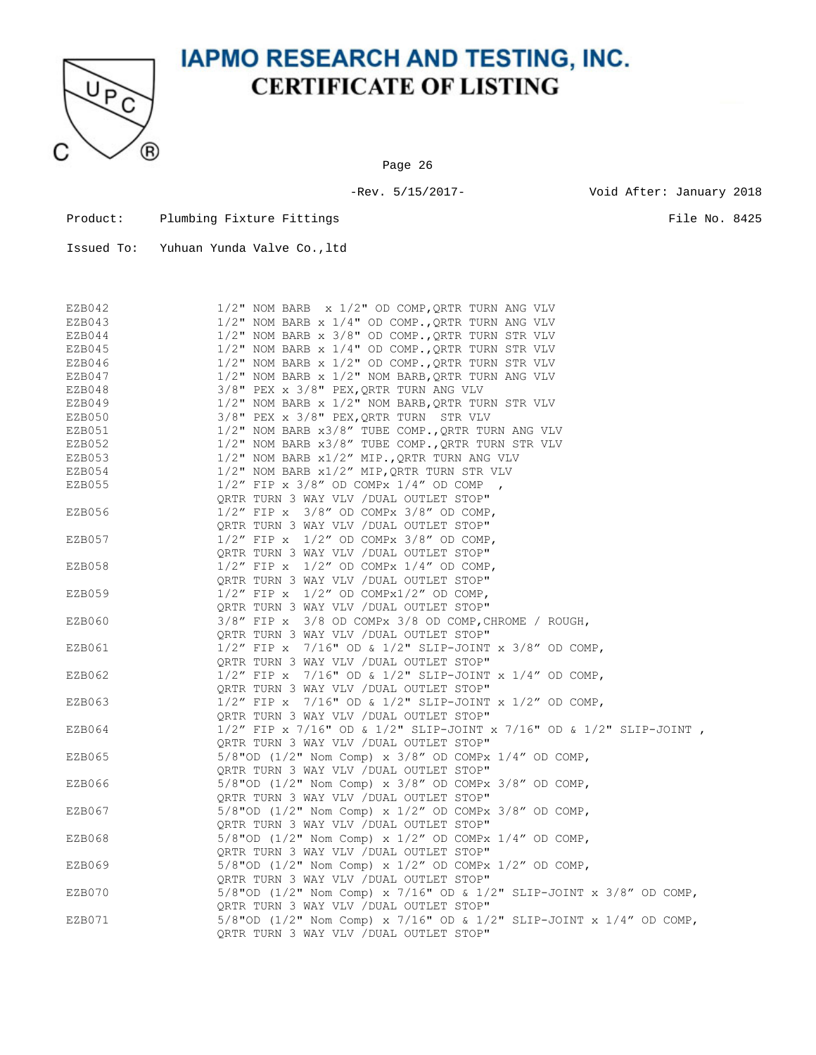

Page 26

-Rev. 5/15/2017- Void After: January 2018

Product: Plumbing Fixture Fittings File No. 8425

| EZB042 | $1/2$ " NOM BARB x $1/2$ " OD COMP, QRTR TURN ANG VLV                  |
|--------|------------------------------------------------------------------------|
| EZB043 | 1/2" NOM BARB x 1/4" OD COMP., QRTR TURN ANG VLV                       |
| EZB044 | 1/2" NOM BARB x 3/8" OD COMP., QRTR TURN STR VLV                       |
| EZB045 | $1/2$ " NOM BARB x $1/4$ " OD COMP., QRTR TURN STR VLV                 |
| EZB046 | $1/2$ " NOM BARB x $1/2$ " OD COMP., QRTR TURN STR VLV                 |
| EZB047 | $1/2$ " NOM BARB x $1/2$ " NOM BARB, QRTR TURN ANG VLV                 |
| EZB048 | 3/8" PEX x 3/8" PEX, QRTR TURN ANG VLV                                 |
| EZB049 | $1/2$ " NOM BARB x $1/2$ " NOM BARB, QRTR TURN STR VLV                 |
| EZB050 | 3/8" PEX x 3/8" PEX, QRTR TURN STR VLV                                 |
| EZB051 | 1/2" NOM BARB x3/8" TUBE COMP., QRTR TURN ANG VLV                      |
| EZB052 | 1/2" NOM BARB x3/8" TUBE COMP., QRTR TURN STR VLV                      |
| EZB053 | 1/2" NOM BARB x1/2" MIP., QRTR TURN ANG VLV                            |
| EZB054 | 1/2" NOM BARB x1/2" MIP, QRTR TURN STR VLV                             |
| EZB055 | $1/2$ " FIP x $3/8$ " OD COMPx $1/4$ " OD COMP,                        |
|        | QRTR TURN 3 WAY VLV / DUAL OUTLET STOP"                                |
| EZB056 | $1/2$ " FIP x $3/8$ " OD COMPx $3/8$ " OD COMP,                        |
|        | ORTR TURN 3 WAY VLV / DUAL OUTLET STOP"                                |
| EZB057 | $1/2$ " FIP x $1/2$ " OD COMPx $3/8$ " OD COMP,                        |
|        | QRTR TURN 3 WAY VLV / DUAL OUTLET STOP"                                |
| EZB058 | $1/2$ " FIP x $1/2$ " OD COMPx $1/4$ " OD COMP,                        |
|        | QRTR TURN 3 WAY VLV / DUAL OUTLET STOP"                                |
| EZB059 | $1/2$ " FIP x $1/2$ " OD COMPx $1/2$ " OD COMP,                        |
|        | QRTR TURN 3 WAY VLV / DUAL OUTLET STOP"                                |
| EZB060 | 3/8" FIP x 3/8 OD COMPx 3/8 OD COMP, CHROME / ROUGH,                   |
|        | ORTR TURN 3 WAY VLV / DUAL OUTLET STOP"                                |
| EZB061 | $1/2$ " FIP x $7/16$ " OD & $1/2$ " SLIP-JOINT x $3/8$ " OD COMP,      |
|        | ORTR TURN 3 WAY VLV / DUAL OUTLET STOP"                                |
| EZB062 | $1/2$ " FIP x $7/16$ " OD & $1/2$ " SLIP-JOINT x $1/4$ " OD COMP,      |
|        | QRTR TURN 3 WAY VLV / DUAL OUTLET STOP"                                |
| EZB063 | $1/2$ " FIP x $7/16$ " OD & $1/2$ " SLIP-JOINT x $1/2$ " OD COMP,      |
|        | ORTR TURN 3 WAY VLV / DUAL OUTLET STOP"                                |
| EZB064 | $1/2''$ FIP x 7/16" OD & 1/2" SLIP-JOINT x 7/16" OD & 1/2" SLIP-JOINT, |
|        | QRTR TURN 3 WAY VLV / DUAL OUTLET STOP"                                |
| EZB065 | $5/8"$ OD (1/2" Nom Comp) x $3/8"$ OD COMPx 1/4" OD COMP,              |
|        | QRTR TURN 3 WAY VLV / DUAL OUTLET STOP"                                |
| EZB066 | 5/8"OD (1/2" Nom Comp) x 3/8" OD COMPx 3/8" OD COMP,                   |
|        | QRTR TURN 3 WAY VLV / DUAL OUTLET STOP"                                |
| EZB067 | $5/8$ "OD (1/2" Nom Comp) x 1/2" OD COMPx 3/8" OD COMP,                |
|        | QRTR TURN 3 WAY VLV / DUAL OUTLET STOP"                                |
| EZB068 | 5/8"OD $(1/2"$ Nom Comp) x $1/2"$ OD COMPx $1/4"$ OD COMP,             |
|        | QRTR TURN 3 WAY VLV / DUAL OUTLET STOP"                                |
| EZB069 | 5/8"OD $(1/2"$ Nom Comp) x $1/2"$ OD COMPx $1/2"$ OD COMP,             |
|        | QRTR TURN 3 WAY VLV / DUAL OUTLET STOP"                                |
| EZB070 | 5/8"OD (1/2" Nom Comp) x 7/16" OD & 1/2" SLIP-JOINT x 3/8" OD COMP,    |
|        | QRTR TURN 3 WAY VLV / DUAL OUTLET STOP"                                |
| EZB071 | 5/8"OD (1/2" Nom Comp) x 7/16" OD & 1/2" SLIP-JOINT x 1/4" OD COMP,    |
|        | QRTR TURN 3 WAY VLV / DUAL OUTLET STOP"                                |
|        |                                                                        |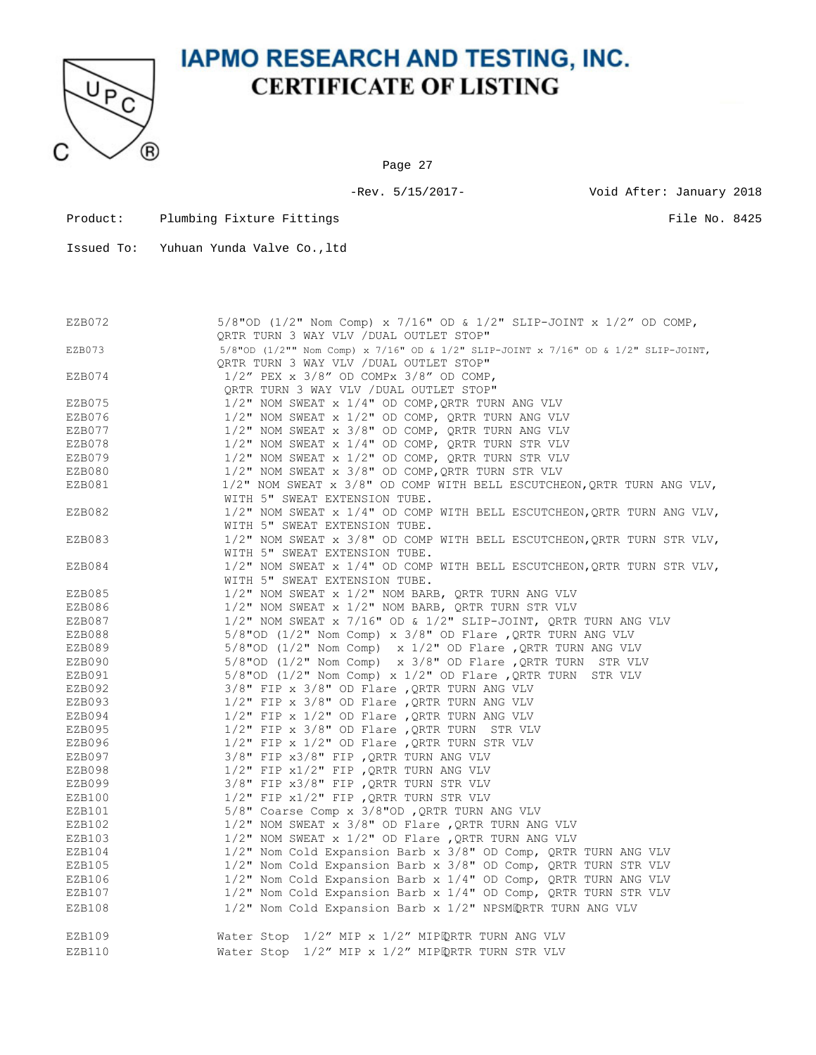

Page 27

-Rev. 5/15/2017- Void After: January 2018

Product: Plumbing Fixture Fittings File No. 8425

| EZB072 | 5/8"OD (1/2" Nom Comp) x 7/16" OD & 1/2" SLIP-JOINT x 1/2" OD COMP,<br>QRTR TURN 3 WAY VLV / DUAL OUTLET STOP"                |
|--------|-------------------------------------------------------------------------------------------------------------------------------|
|        |                                                                                                                               |
| EZB073 | 5/8"OD (1/2"" Nom Comp) x 7/16" OD & 1/2" SLIP-JOINT x 7/16" OD & 1/2" SLIP-JOINT,<br>ORTR TURN 3 WAY VLV / DUAL OUTLET STOP" |
| EZB074 | $1/2$ " PEX x $3/8$ " OD COMPx $3/8$ " OD COMP,                                                                               |
|        | QRTR TURN 3 WAY VLV / DUAL OUTLET STOP"                                                                                       |
| EZB075 | $1/2$ " NOM SWEAT x $1/4$ " OD COMP, QRTR TURN ANG VLV                                                                        |
| EZB076 | $1/2$ " NOM SWEAT x $1/2$ " OD COMP, QRTR TURN ANG VLV                                                                        |
| EZB077 | 1/2" NOM SWEAT x 3/8" OD COMP, QRTR TURN ANG VLV                                                                              |
| EZB078 | 1/2" NOM SWEAT x 1/4" OD COMP, QRTR TURN STR VLV                                                                              |
| EZB079 | $1/2$ " NOM SWEAT x $1/2$ " OD COMP, QRTR TURN STR VLV                                                                        |
| EZB080 | $1/2$ " NOM SWEAT x $3/8$ " OD COMP, QRTR TURN STR VLV                                                                        |
| EZB081 | 1/2" NOM SWEAT x 3/8" OD COMP WITH BELL ESCUTCHEON, QRTR TURN ANG VLV,                                                        |
|        | WITH 5" SWEAT EXTENSION TUBE.                                                                                                 |
| EZB082 | $1/2$ " NOM SWEAT x $1/4$ " OD COMP WITH BELL ESCUTCHEON, QRTR TURN ANG VLV,                                                  |
|        | WITH 5" SWEAT EXTENSION TUBE.                                                                                                 |
| EZB083 | 1/2" NOM SWEAT x 3/8" OD COMP WITH BELL ESCUTCHEON, QRTR TURN STR VLV,                                                        |
|        | WITH 5" SWEAT EXTENSION TUBE.                                                                                                 |
| EZB084 | 1/2" NOM SWEAT x 1/4" OD COMP WITH BELL ESCUTCHEON, QRTR TURN STR VLV,                                                        |
|        | WITH 5" SWEAT EXTENSION TUBE.                                                                                                 |
| EZB085 | 1/2" NOM SWEAT x 1/2" NOM BARB, QRTR TURN ANG VLV                                                                             |
| EZB086 | 1/2" NOM SWEAT x 1/2" NOM BARB, QRTR TURN STR VLV                                                                             |
| EZB087 | $1/2$ " NOM SWEAT x 7/16" OD & $1/2$ " SLIP-JOINT, QRTR TURN ANG VLV                                                          |
| EZB088 | 5/8"OD (1/2" Nom Comp) x 3/8" OD Flare, QRTR TURN ANG VLV                                                                     |
| EZB089 | 5/8"OD (1/2" Nom Comp) x $1/2$ " OD Flare , QRTR TURN ANG VLV                                                                 |
| EZB090 | 5/8"OD ( $1/2$ " Nom Comp) x 3/8" OD Flare, QRTR TURN STR VLV                                                                 |
| EZB091 | 5/8"OD (1/2" Nom Comp) x $1/2$ " OD Flare , QRTR TURN STR VLV                                                                 |
| EZB092 | $3/8"$ FIP x $3/8"$ OD Flare , QRTR TURN ANG VLV                                                                              |
| EZB093 | $1/2$ " FIP x $3/8$ " OD Flare , QRTR TURN ANG VLV                                                                            |
|        |                                                                                                                               |
| EZB094 | $1/2$ " FIP x $1/2$ " OD Flare , QRTR TURN ANG VLV                                                                            |
| EZB095 | $1/2$ " FIP x $3/8$ " OD Flare , QRTR TURN STR VLV                                                                            |
| EZB096 | $1/2$ " FIP x $1/2$ " OD Flare , QRTR TURN STR VLV                                                                            |
| EZB097 | $3/8$ " FIP $x3/8$ " FIP , QRTR TURN ANG VLV                                                                                  |
| EZB098 | $1/2$ " FIP $x1/2$ " FIP , QRTR TURN ANG VLV                                                                                  |
| EZB099 | $3/8$ " FIP $x3/8$ " FIP , QRTR TURN STR VLV                                                                                  |
| EZB100 | $1/2$ " FIP $x1/2$ " FIP , QRTR TURN STR VLV                                                                                  |
| EZB101 | 5/8" Coarse Comp x 3/8"OD, QRTR TURN ANG VLV                                                                                  |
| EZB102 | $1/2$ " NOM SWEAT x 3/8" OD Flare , QRTR TURN ANG VLV                                                                         |
| EZB103 | $1/2$ " NOM SWEAT x $1/2$ " OD Flare , QRTR TURN ANG VLV                                                                      |
| EZB104 | 1/2" Nom Cold Expansion Barb x 3/8" OD Comp, QRTR TURN ANG VLV                                                                |
| EZB105 | 1/2" Nom Cold Expansion Barb x 3/8" OD Comp, QRTR TURN STR VLV                                                                |
| EZB106 | 1/2" Nom Cold Expansion Barb x 1/4" OD Comp, QRTR TURN ANG VLV                                                                |
| EZB107 | 1/2" Nom Cold Expansion Barb x 1/4" OD Comp, QRTR TURN STR VLV                                                                |
| EZB108 | 1/2" Nom Cold Expansion Barb x 1/2" NPSMQRTR TURN ANG VLV                                                                     |
| EZB109 | Water Stop 1/2" MIP x 1/2" MIPQRTR TURN ANG VLV                                                                               |
| EZB110 | Water Stop 1/2" MIP x 1/2" MIPQRTR TURN STR VLV                                                                               |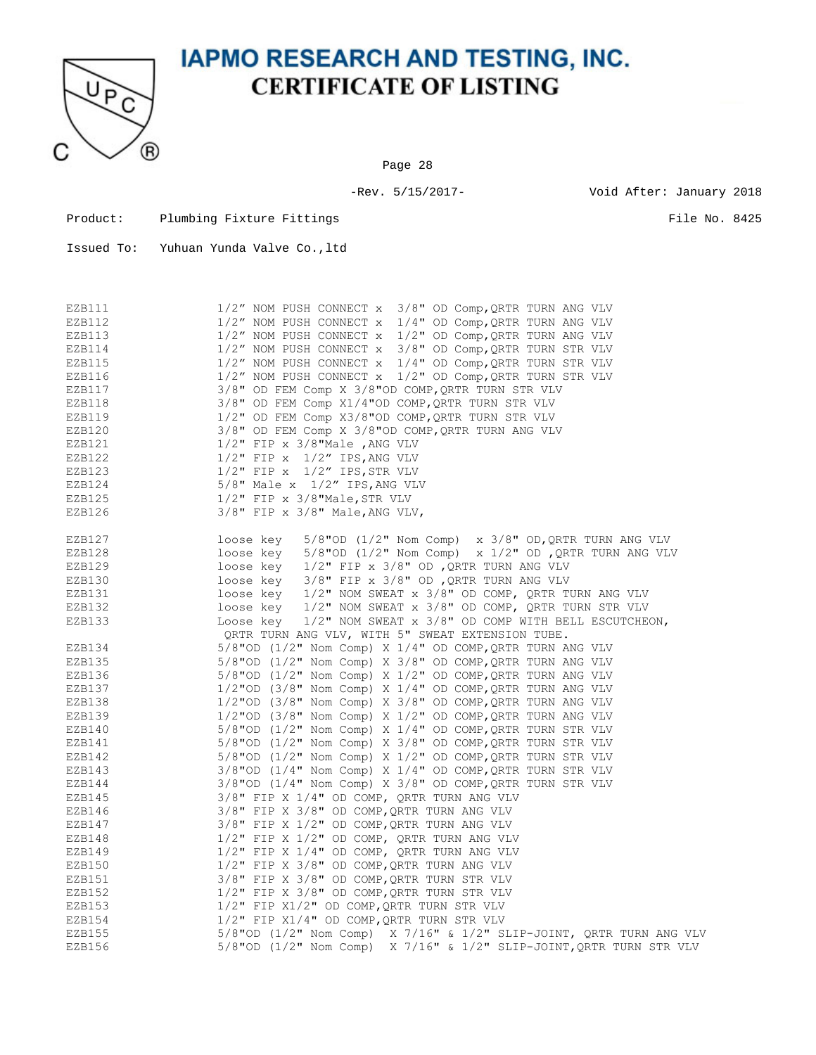

Page 28

-Rev. 5/15/2017- Void After: January 2018

| Product: | Plumbing Fixture Fittings |  |
|----------|---------------------------|--|
|          |                           |  |

 $\blacksquare$ 

| EZB111 | 1/2" NOM PUSH CONNECT x 3/8" OD Comp, QRTR TURN ANG VLV                    |
|--------|----------------------------------------------------------------------------|
| EZB112 | $1/2''$ NOM PUSH CONNECT x $1/4''$ OD Comp, QRTR TURN ANG VLV              |
| EZB113 | $1/2''$ NOM PUSH CONNECT x $1/2''$ OD Comp, QRTR TURN ANG VLV              |
| EZB114 | $1/2''$ NOM PUSH CONNECT x $3/8''$ OD Comp, QRTR TURN STR VLV              |
| EZB115 | 1/2" NOM PUSH CONNECT x 1/4" OD Comp, QRTR TURN STR VLV                    |
| EZB116 | $1/2''$ NOM PUSH CONNECT x $1/2''$ OD Comp, QRTR TURN STR VLV              |
| EZB117 | 3/8" OD FEM Comp X 3/8"OD COMP, QRTR TURN STR VLV                          |
| EZB118 | 3/8" OD FEM Comp X1/4"OD COMP, QRTR TURN STR VLV                           |
| EZB119 | 1/2" OD FEM Comp X3/8"OD COMP, QRTR TURN STR VLV                           |
| EZB120 | 3/8" OD FEM Comp X 3/8"OD COMP, QRTR TURN ANG VLV                          |
| EZB121 | $1/2$ " FIP x 3/8"Male , ANG VLV                                           |
| EZB122 | $1/2$ " FIP x $1/2$ " IPS, ANG VLV                                         |
| EZB123 | $1/2$ " FIP x $1/2$ " IPS, STR VLV                                         |
| EZB124 | $5/8"$ Male x $1/2"$ IPS, ANG VLV                                          |
| EZB125 | $1/2$ " FIP x $3/8$ "Male, STR VLV                                         |
| EZB126 | $3/8"$ FIP x $3/8"$ Male, ANG VLV,                                         |
|        |                                                                            |
| EZB127 | loose key<br>$5/8$ "OD ( $1/2$ " Nom Comp) x $3/8$ " OD, QRTR TURN ANG VLV |
| EZB128 | loose key<br>5/8"OD $(1/2"$ Nom Comp) x $1/2"$ OD , QRTR TURN ANG VLV      |
| EZB129 | loose key 1/2" FIP x 3/8" OD , QRTR TURN ANG VLV                           |
| EZB130 | $3/8"$ FIP x $3/8"$ OD , QRTR TURN ANG VLV<br>loose key                    |
| EZB131 | 1/2" NOM SWEAT x 3/8" OD COMP, QRTR TURN ANG VLV<br>loose key              |
| EZB132 | 1/2" NOM SWEAT x 3/8" OD COMP, QRTR TURN STR VLV<br>loose kev              |
| EZB133 | Loose key<br>$1/2$ " NOM SWEAT $x$ 3/8" OD COMP WITH BELL ESCUTCHEON,      |
|        | QRTR TURN ANG VLV, WITH 5" SWEAT EXTENSION TUBE.                           |
| EZB134 | 5/8"OD (1/2" Nom Comp) X 1/4" OD COMP, QRTR TURN ANG VLV                   |
| EZB135 | $5/8$ "OD (1/2" Nom Comp) X 3/8" OD COMP, QRTR TURN ANG VLV                |
| EZB136 | $5/8$ "OD (1/2" Nom Comp) X 1/2" OD COMP, QRTR TURN ANG VLV                |
| EZB137 | $1/2$ "OD (3/8" Nom Comp) X $1/4$ " OD COMP, QRTR TURN ANG VLV             |
| EZB138 | $1/2$ "OD (3/8" Nom Comp) X 3/8" OD COMP, QRTR TURN ANG VLV                |
| EZB139 | $1/2$ "OD (3/8" Nom Comp) X $1/2$ " OD COMP, QRTR TURN ANG VLV             |
| EZB140 | $5/8"$ OD (1/2" Nom Comp) X 1/4" OD COMP, QRTR TURN STR VLV                |
| EZB141 | 5/8"OD (1/2" Nom Comp) X 3/8" OD COMP, QRTR TURN STR VLV                   |
| EZB142 | $5/8"$ OD (1/2" Nom Comp) X 1/2" OD COMP, QRTR TURN STR VLV                |
| EZB143 | 3/8"OD (1/4" Nom Comp) X 1/4" OD COMP, QRTR TURN STR VLV                   |
| EZB144 | $3/8$ "OD ( $1/4$ " Nom Comp) X $3/8$ " OD COMP, QRTR TURN STR VLV         |
| EZB145 | 3/8" FIP X 1/4" OD COMP, QRTR TURN ANG VLV                                 |
| EZB146 | 3/8" FIP X 3/8" OD COMP, QRTR TURN ANG VLV                                 |
| EZB147 | $3/8"$ FIP X $1/2"$ OD COMP, QRTR TURN ANG VLV                             |
| EZB148 | 1/2" FIP X 1/2" OD COMP, QRTR TURN ANG VLV                                 |
| EZB149 | 1/2" FIP X 1/4" OD COMP, QRTR TURN ANG VLV                                 |
| EZB150 | 1/2" FIP X 3/8" OD COMP, QRTR TURN ANG VLV                                 |
| EZB151 | 3/8" FIP X 3/8" OD COMP, QRTR TURN STR VLV                                 |
| EZB152 | $1/2$ " FIP X 3/8" OD COMP, QRTR TURN STR VLV                              |
| EZB153 | $1/2$ " FIP X $1/2$ " OD COMP, QRTR TURN STR VLV                           |
| EZB154 | $1/2$ " FIP X $1/4$ " OD COMP, QRTR TURN STR VLV                           |
| EZB155 | 5/8"OD (1/2" Nom Comp) X 7/16" & 1/2" SLIP-JOINT, QRTR TURN ANG VLV        |
| EZB156 | 5/8"OD (1/2" Nom Comp) X 7/16" & 1/2" SLIP-JOINT, QRTR TURN STR VLV        |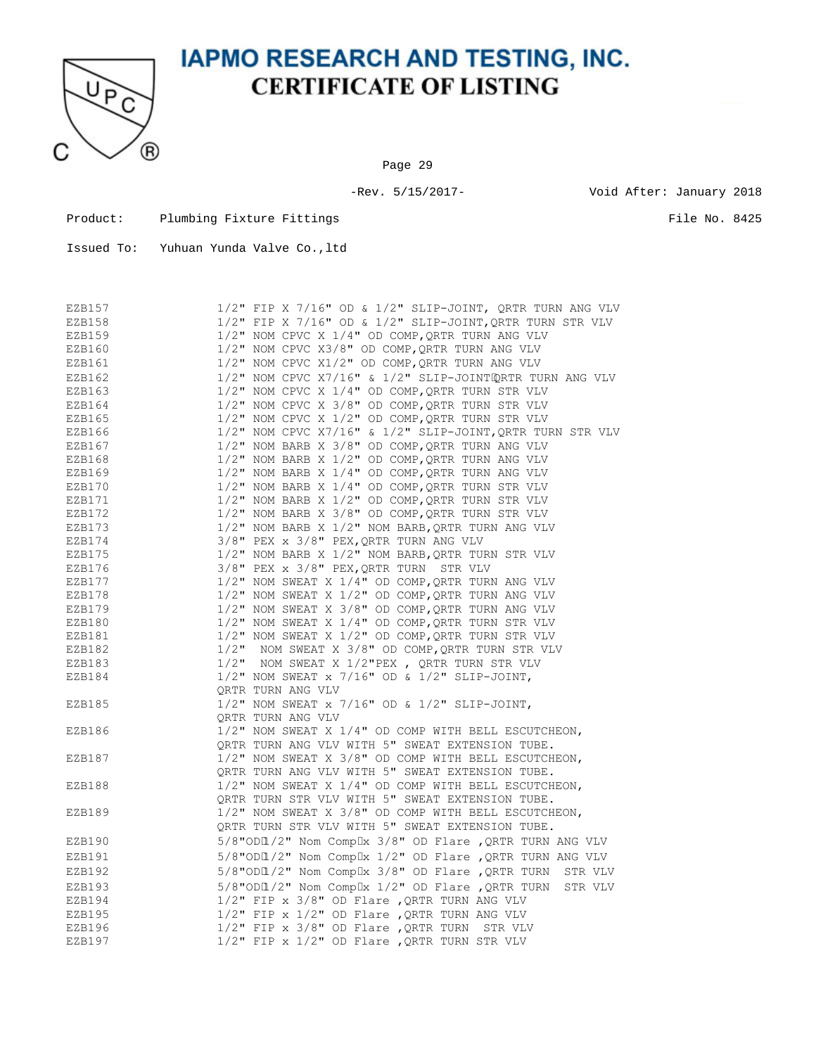

Page 29

-Rev. 5/15/2017- Void After: January 2018

Product: Plumbing Fixture Fittings File No. 8425

| EZB157 | $1/2$ " FIP X 7/16" OD & $1/2$ " SLIP-JOINT, QRTR TURN ANG VLV  |
|--------|-----------------------------------------------------------------|
| EZB158 | $1/2$ " FIP X 7/16" OD & $1/2$ " SLIP-JOINT, QRTR TURN STR VLV  |
| EZB159 | $1/2$ " NOM CPVC X $1/4$ " OD COMP, QRTR TURN ANG VLV           |
| EZB160 | 1/2" NOM CPVC X3/8" OD COMP, QRTR TURN ANG VLV                  |
| EZB161 | 1/2" NOM CPVC X1/2" OD COMP, QRTR TURN ANG VLV                  |
| EZB162 | 1/2" NOM CPVC X7/16" & 1/2" SLIP-JOINTQRTR TURN ANG VLV         |
| EZB163 | 1/2" NOM CPVC X 1/4" OD COMP, QRTR TURN STR VLV                 |
| EZB164 | 1/2" NOM CPVC X 3/8" OD COMP, QRTR TURN STR VLV                 |
| EZB165 | $1/2$ " NOM CPVC X $1/2$ " OD COMP, QRTR TURN STR VLV           |
| EZB166 | $1/2$ " NOM CPVC X7/16" & $1/2$ " SLIP-JOINT, QRTR TURN STR VLV |
| EZB167 | 1/2" NOM BARB X 3/8" OD COMP, QRTR TURN ANG VLV                 |
| EZB168 | $1/2$ " NOM BARB X $1/2$ " OD COMP, QRTR TURN ANG VLV           |
| EZB169 | $1/2$ " NOM BARB X $1/4$ " OD COMP, QRTR TURN ANG VLV           |
| EZB170 | 1/2" NOM BARB X 1/4" OD COMP, QRTR TURN STR VLV                 |
| EZB171 | 1/2" NOM BARB X 1/2" OD COMP, QRTR TURN STR VLV                 |
| EZB172 | 1/2" NOM BARB X 3/8" OD COMP, QRTR TURN STR VLV                 |
| EZB173 | $1/2$ " NOM BARB X $1/2$ " NOM BARB, QRTR TURN ANG VLV          |
| EZB174 | $3/8"$ PEX x $3/8"$ PEX, QRTR TURN ANG VLV                      |
| EZB175 | 1/2" NOM BARB X 1/2" NOM BARB, QRTR TURN STR VLV                |
| EZB176 | 3/8" PEX x 3/8" PEX, QRTR TURN STR VLV                          |
| EZB177 | 1/2" NOM SWEAT X 1/4" OD COMP, QRTR TURN ANG VLV                |
| EZB178 | 1/2" NOM SWEAT X 1/2" OD COMP, QRTR TURN ANG VLV                |
| EZB179 | 1/2" NOM SWEAT X 3/8" OD COMP, QRTR TURN ANG VLV                |
| EZB180 | 1/2" NOM SWEAT X 1/4" OD COMP, QRTR TURN STR VLV                |
| EZB181 | 1/2" NOM SWEAT X 1/2" OD COMP, QRTR TURN STR VLV                |
| EZB182 | 1/2" NOM SWEAT X 3/8" OD COMP, QRTR TURN STR VLV                |
| EZB183 | $1/2$ " NOM SWEAT X $1/2$ "PEX, QRTR TURN STR VLV               |
| EZB184 | $1/2$ " NOM SWEAT x 7/16" OD & $1/2$ " SLIP-JOINT,              |
|        | ORTR TURN ANG VLV                                               |
| EZB185 | $1/2$ " NOM SWEAT x 7/16" OD & $1/2$ " SLIP-JOINT,              |
|        | ORTR TURN ANG VLV                                               |
| EZB186 | 1/2" NOM SWEAT X 1/4" OD COMP WITH BELL ESCUTCHEON,             |
|        | QRTR TURN ANG VLV WITH 5" SWEAT EXTENSION TUBE.                 |
| EZB187 | 1/2" NOM SWEAT X 3/8" OD COMP WITH BELL ESCUTCHEON,             |
|        | QRTR TURN ANG VLV WITH 5" SWEAT EXTENSION TUBE.                 |
| EZB188 | 1/2" NOM SWEAT X 1/4" OD COMP WITH BELL ESCUTCHEON,             |
|        | ORTR TURN STR VLV WITH 5" SWEAT EXTENSION TUBE.                 |
| EZB189 | 1/2" NOM SWEAT X 3/8" OD COMP WITH BELL ESCUTCHEON,             |
|        | QRTR TURN STR VLV WITH 5" SWEAT EXTENSION TUBE.                 |
| EZB190 | 5/8"ODI /2" Nom Complx 3/8" OD Flare , QRTR TURN ANG VLV        |
| EZB191 | 5/8"ODI /2" Nom Complx 1/2" OD Flare , QRTR TURN ANG VLV        |
| EZB192 | 5/8"ODI /2" Nom Complx 3/8" OD Flare , QRTR TURN STR VLV        |
| EZB193 | 5/8"ODI /2" Nom Complx 1/2" OD Flare, QRTR TURN STR VLV         |
| EZB194 | $1/2$ " FIP x 3/8" OD Flare , QRTR TURN ANG VLV                 |
| EZB195 | $1/2$ " FIP x $1/2$ " OD Flare , QRTR TURN ANG VLV              |
| EZB196 | $1/2$ " FIP x $3/8$ " OD Flare, QRTR TURN STR VLV               |
| EZB197 | $1/2$ " FIP x $1/2$ " OD Flare , QRTR TURN STR VLV              |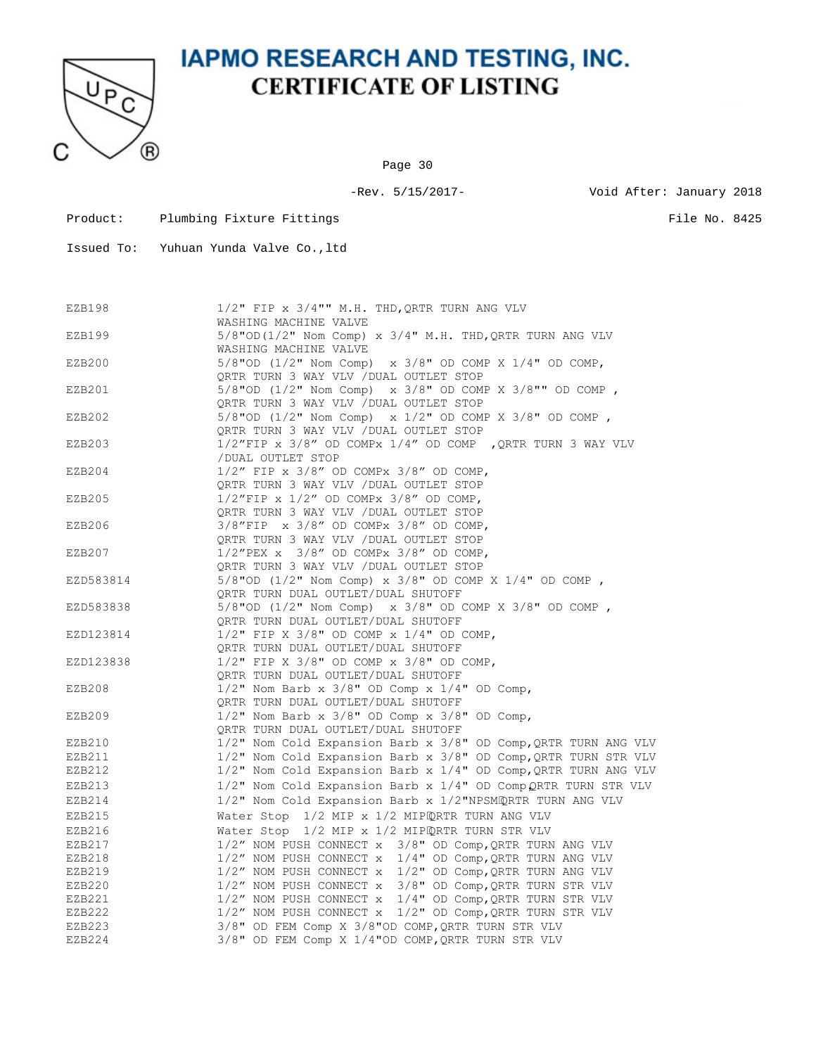

Page 30

-Rev. 5/15/2017- Void After: January 2018

Product: Plumbing Fixture Fittings File No. 8425

| EZB198    | $1/2$ " FIP x $3/4$ "" M.H. THD, QRTR TURN ANG VLV                 |
|-----------|--------------------------------------------------------------------|
|           | WASHING MACHINE VALVE                                              |
| EZB199    | $5/8$ "OD( $1/2$ " Nom Comp) x $3/4$ " M.H. THD, QRTR TURN ANG VLV |
|           | WASHING MACHINE VALVE                                              |
| EZB200    | 5/8"OD $(1/2"$ Nom Comp) x 3/8" OD COMP X 1/4" OD COMP,            |
|           | QRTR TURN 3 WAY VLV / DUAL OUTLET STOP                             |
| EZB201    | 5/8"OD (1/2" Nom Comp) x 3/8" OD COMP X 3/8"" OD COMP,             |
|           | QRTR TURN 3 WAY VLV / DUAL OUTLET STOP                             |
| EZB202    | 5/8"OD $(1/2"$ Nom Comp) x $1/2"$ OD COMP X 3/8" OD COMP,          |
|           | QRTR TURN 3 WAY VLV / DUAL OUTLET STOP                             |
| EZB203    | $1/2$ "FIP x 3/8" OD COMPx $1/4$ " OD COMP , QRTR TURN 3 WAY VLV   |
|           | /DUAL OUTLET STOP                                                  |
| EZB204    | $1/2$ " FIP x $3/8$ " OD COMPx $3/8$ " OD COMP,                    |
|           | QRTR TURN 3 WAY VLV / DUAL OUTLET STOP                             |
| EZB205    | $1/2"$ FIP x $1/2"$ OD COMPx $3/8"$ OD COMP,                       |
|           | ORTR TURN 3 WAY VLV / DUAL OUTLET STOP                             |
| EZB206    | $3/8"$ FIP x $3/8"$ OD COMPx $3/8"$ OD COMP,                       |
|           | QRTR TURN 3 WAY VLV / DUAL OUTLET STOP                             |
| EZB207    | $1/2$ "PEX x $3/8$ " OD COMPx $3/8$ " OD COMP,                     |
|           | QRTR TURN 3 WAY VLV / DUAL OUTLET STOP                             |
| EZD583814 | 5/8"OD $(1/2"$ Nom Comp) x 3/8" OD COMP X 1/4" OD COMP,            |
|           | QRTR TURN DUAL OUTLET/DUAL SHUTOFF                                 |
| EZD583838 | 5/8"OD $(1/2"$ Nom Comp) x 3/8" OD COMP X 3/8" OD COMP,            |
|           | QRTR TURN DUAL OUTLET/DUAL SHUTOFF                                 |
| EZD123814 | $1/2$ " FIP X 3/8" OD COMP x $1/4$ " OD COMP,                      |
|           | QRTR TURN DUAL OUTLET/DUAL SHUTOFF                                 |
| EZD123838 | 1/2" FIP X 3/8" OD COMP x 3/8" OD COMP,                            |
|           | QRTR TURN DUAL OUTLET/DUAL SHUTOFF                                 |
| EZB208    | $1/2$ " Nom Barb x 3/8" OD Comp x $1/4$ " OD Comp,                 |
|           | ORTR TURN DUAL OUTLET/DUAL SHUTOFF                                 |
| EZB209    | $1/2$ " Nom Barb x $3/8$ " OD Comp x $3/8$ " OD Comp,              |
|           | QRTR TURN DUAL OUTLET/DUAL SHUTOFF                                 |
| EZB210    | 1/2" Nom Cold Expansion Barb x 3/8" OD Comp, QRTR TURN ANG VLV     |
| EZB211    | 1/2" Nom Cold Expansion Barb x 3/8" OD Comp, QRTR TURN STR VLV     |
| EZB212    | 1/2" Nom Cold Expansion Barb x 1/4" OD Comp, QRTR TURN ANG VLV     |
| EZB213    | 1/2" Nom Cold Expansion Barb x 1/4" OD Comp QRTR TURN STR VLV      |
| EZB214    | 1/2" Nom Cold Expansion Barb x 1/2"NPSMQRTR TURN ANG VLV           |
| EZB215    | Water Stop 1/2 MIP x 1/2 MIPQRTR TURN ANG VLV                      |
| EZB216    | Water Stop 1/2 MIP x 1/2 MIPQRTR TURN STR VLV                      |
| EZB217    | 1/2" NOM PUSH CONNECT x 3/8" OD Comp, QRTR TURN ANG VLV            |
| EZB218    | $1/2$ " NOM PUSH CONNECT $x$ $1/4$ " OD Comp, ORTR TURN ANG VLV    |
| EZB219    | 1/2" NOM PUSH CONNECT x 1/2" OD Comp, QRTR TURN ANG VLV            |
| EZB220    | 1/2" NOM PUSH CONNECT x 3/8" OD Comp, QRTR TURN STR VLV            |
| EZB221    | 1/2" NOM PUSH CONNECT x 1/4" OD Comp, QRTR TURN STR VLV            |
| EZB222    | 1/2" NOM PUSH CONNECT x 1/2" OD Comp, QRTR TURN STR VLV            |
| EZB223    | 3/8" OD FEM Comp X 3/8"OD COMP, QRTR TURN STR VLV                  |
| EZB224    | 3/8" OD FEM Comp X 1/4"OD COMP, QRTR TURN STR VLV                  |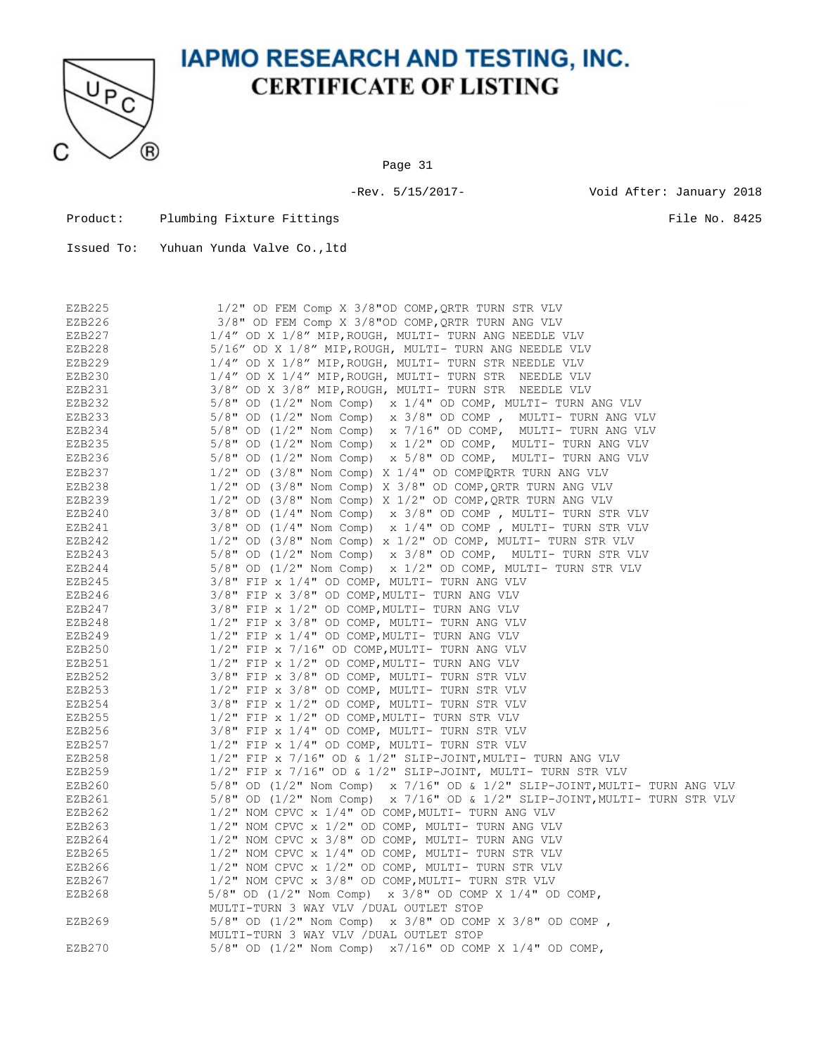

Page 31

Product: Plumbing Fixture Fittings File No. 8425

| EZB225 | 1/2" OD FEM Comp X 3/8"OD COMP, QRTR TURN STR VLV                            |
|--------|------------------------------------------------------------------------------|
| EZB226 | 3/8" OD FEM Comp X 3/8"OD COMP, QRTR TURN ANG VLV                            |
| EZB227 | 1/4" OD X 1/8" MIP, ROUGH, MULTI- TURN ANG NEEDLE VLV                        |
| EZB228 | 5/16" OD X 1/8" MIP, ROUGH, MULTI- TURN ANG NEEDLE VLV                       |
| EZB229 | 1/4" OD X 1/8" MIP, ROUGH, MULTI- TURN STR NEEDLE VLV                        |
| EZB230 | 1/4" OD X 1/4" MIP, ROUGH, MULTI- TURN STR NEEDLE VLV                        |
| EZB231 | 3/8" OD X 3/8" MIP, ROUGH, MULTI- TURN STR NEEDLE VLV                        |
| EZB232 | 5/8" OD (1/2" Nom Comp) x 1/4" OD COMP, MULTI- TURN ANG VLV                  |
| EZB233 | $5/8$ " OD (1/2" Nom Comp) x 3/8" OD COMP, MULTI- TURN ANG VLV               |
| EZB234 | $5/8"$ OD (1/2" Nom Comp) x 7/16" OD COMP, MULTI- TURN ANG VLV               |
| EZB235 | $5/8$ " OD (1/2" Nom Comp) x 1/2" OD COMP, MULTI- TURN ANG VLV               |
| EZB236 | 5/8" OD (1/2" Nom Comp) x 5/8" OD COMP, MULTI- TURN ANG VLV                  |
| EZB237 | $1/2$ " OD $(3/8$ " Nom Comp) X $1/4$ " OD COMPIQRTR TURN ANG VLV            |
| EZB238 | $1/2$ " OD (3/8" Nom Comp) X 3/8" OD COMP, QRTR TURN ANG VLV                 |
| EZB239 | 1/2" OD (3/8" Nom Comp) X 1/2" OD COMP, QRTR TURN ANG VLV                    |
| EZB240 | $3/8$ " OD (1/4" Nom Comp) x $3/8$ " OD COMP, MULTI- TURN STR VLV            |
| EZB241 | $3/8$ " OD ( $1/4$ " Nom Comp) x $1/4$ " OD COMP, MULTI- TURN STR VLV        |
| EZB242 | $1/2$ " OD (3/8" Nom Comp) x $1/2$ " OD COMP, MULTI- TURN STR VLV            |
| EZB243 | $5/8"$ OD (1/2" Nom Comp) x 3/8" OD COMP, MULTI-TURN STR VLV                 |
| EZB244 | $5/8$ " OD (1/2" Nom Comp) x 1/2" OD COMP, MULTI- TURN STR VLV               |
| EZB245 | 3/8" FIP x 1/4" OD COMP, MULTI- TURN ANG VLV                                 |
| EZB246 | 3/8" FIP x 3/8" OD COMP, MULTI- TURN ANG VLV                                 |
| EZB247 | 3/8" FIP x 1/2" OD COMP, MULTI- TURN ANG VLV                                 |
| EZB248 | 1/2" FIP x 3/8" OD COMP, MULTI- TURN ANG VLV                                 |
| EZB249 | $1/2$ " FIP x $1/4$ " OD COMP, MULTI- TURN ANG VLV                           |
| EZB250 | 1/2" FIP x 7/16" OD COMP, MULTI- TURN ANG VLV                                |
| EZB251 | $1/2$ " FIP x $1/2$ " OD COMP, MULTI- TURN ANG VLV                           |
| EZB252 | 3/8" FIP x 3/8" OD COMP, MULTI- TURN STR VLV                                 |
| EZB253 | 1/2" FIP x 3/8" OD COMP, MULTI- TURN STR VLV                                 |
| EZB254 | 3/8" FIP x 1/2" OD COMP, MULTI- TURN STR VLV                                 |
| EZB255 | $1/2$ " FIP x $1/2$ " OD COMP, MULTI- TURN STR VLV                           |
| EZB256 | $3/8"$ FIP x $1/4"$ OD COMP, MULTI- TURN STR VLV                             |
| EZB257 | $1/2$ " FIP x $1/4$ " OD COMP, MULTI- TURN STR VLV                           |
| EZB258 | $1/2$ " FIP x 7/16" OD & $1/2$ " SLIP-JOINT, MULTI- TURN ANG VLV             |
| EZB259 | $1/2$ " FIP x 7/16" OD & $1/2$ " SLIP-JOINT, MULTI- TURN STR VLV             |
| EZB260 | $5/8$ " OD (1/2" Nom Comp) x 7/16" OD & 1/2" SLIP-JOINT, MULTI- TURN ANG VLV |
| EZB261 | $5/8$ " OD (1/2" Nom Comp) x 7/16" OD & 1/2" SLIP-JOINT, MULTI- TURN STR VLV |
| EZB262 | 1/2" NOM CPVC x 1/4" OD COMP, MULTI- TURN ANG VLV                            |
| EZB263 | 1/2" NOM CPVC x 1/2" OD COMP, MULTI- TURN ANG VLV                            |
| EZB264 | 1/2" NOM CPVC x 3/8" OD COMP, MULTI- TURN ANG VLV                            |
| EZB265 | 1/2" NOM CPVC x 1/4" OD COMP, MULTI- TURN STR VLV                            |
| EZB266 | $1/2$ " NOM CPVC x $1/2$ " OD COMP, MULTI- TURN STR VLV                      |
| EZB267 | 1/2" NOM CPVC x 3/8" OD COMP, MULTI- TURN STR VLV                            |
| EZB268 | $5/8$ " OD (1/2" Nom Comp) x 3/8" OD COMP X 1/4" OD COMP,                    |
|        | MULTI-TURN 3 WAY VLV / DUAL OUTLET STOP                                      |
| EZB269 | $5/8$ " OD (1/2" Nom Comp) x 3/8" OD COMP X 3/8" OD COMP,                    |
|        | MULTI-TURN 3 WAY VLV / DUAL OUTLET STOP                                      |
| EZB270 | 5/8" OD (1/2" Nom Comp) x7/16" OD COMP X 1/4" OD COMP,                       |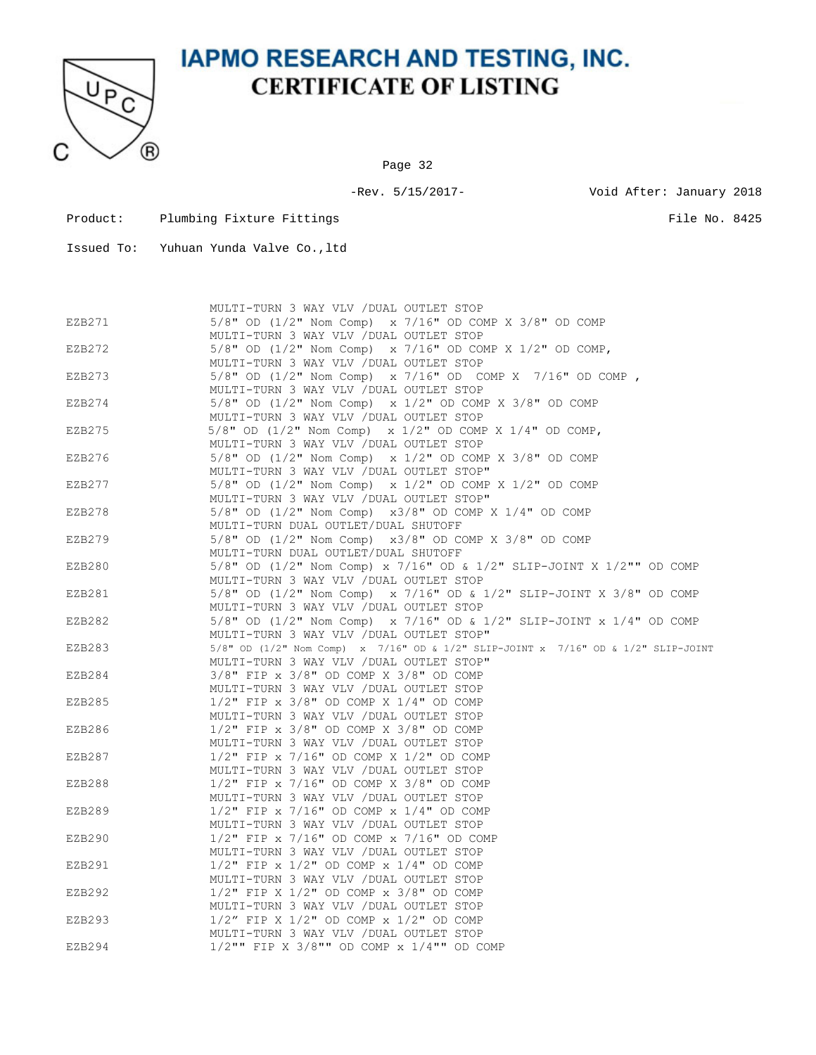

Page 32

-Rev. 5/15/2017- Void After: January 2018

- Product: Plumbing Fixture Fittings File No. 8425
- Issued To: Yuhuan Yunda Valve Co.,ltd

|        | MULTI-TURN 3 WAY VLV / DUAL OUTLET STOP                                           |
|--------|-----------------------------------------------------------------------------------|
| EZB271 | 5/8" OD (1/2" Nom Comp) x 7/16" OD COMP X 3/8" OD COMP                            |
|        | MULTI-TURN 3 WAY VLV / DUAL OUTLET STOP                                           |
| EZB272 | 5/8" OD $(1/2"$ Nom Comp) x 7/16" OD COMP X 1/2" OD COMP,                         |
|        | MULTI-TURN 3 WAY VLV / DUAL OUTLET STOP                                           |
| EZB273 | 5/8" OD $(1/2"$ Nom Comp) x 7/16" OD COMP X 7/16" OD COMP,                        |
|        | MULTI-TURN 3 WAY VLV / DUAL OUTLET STOP                                           |
| EZB274 | 5/8" OD (1/2" Nom Comp) x 1/2" OD COMP X 3/8" OD COMP                             |
|        | MULTI-TURN 3 WAY VLV / DUAL OUTLET STOP                                           |
|        |                                                                                   |
| EZB275 | $5/8$ " OD $(1/2$ " Nom Comp) x $1/2$ " OD COMP X $1/4$ " OD COMP,                |
|        | MULTI-TURN 3 WAY VLV / DUAL OUTLET STOP                                           |
| EZB276 | $5/8$ " OD $(1/2$ " Nom Comp) x $1/2$ " OD COMP X $3/8$ " OD COMP                 |
|        | MULTI-TURN 3 WAY VLV / DUAL OUTLET STOP"                                          |
| EZB277 | 5/8" OD $(1/2"$ Nom Comp) x $1/2"$ OD COMP X $1/2"$ OD COMP                       |
|        | MULTI-TURN 3 WAY VLV / DUAL OUTLET STOP"                                          |
| EZB278 | 5/8" OD (1/2" Nom Comp) x3/8" OD COMP X 1/4" OD COMP                              |
|        | MULTI-TURN DUAL OUTLET/DUAL SHUTOFF                                               |
| EZB279 | 5/8" OD (1/2" Nom Comp) x3/8" OD COMP X 3/8" OD COMP                              |
|        | MULTI-TURN DUAL OUTLET/DUAL SHUTOFF                                               |
| EZB280 | 5/8" OD (1/2" Nom Comp) x 7/16" OD & 1/2" SLIP-JOINT X 1/2"" OD COMP              |
|        | MULTI-TURN 3 WAY VLV / DUAL OUTLET STOP                                           |
| EZB281 | 5/8" OD (1/2" Nom Comp) x 7/16" OD & 1/2" SLIP-JOINT X 3/8" OD COMP               |
|        | MULTI-TURN 3 WAY VLV / DUAL OUTLET STOP                                           |
| EZB282 | 5/8" OD (1/2" Nom Comp) x 7/16" OD & 1/2" SLIP-JOINT x 1/4" OD COMP               |
|        | MULTI-TURN 3 WAY VLV / DUAL OUTLET STOP"                                          |
| EZB283 | 5/8" OD (1/2" Nom Comp) x 7/16" OD & 1/2" SLIP-JOINT x 7/16" OD & 1/2" SLIP-JOINT |
|        | MULTI-TURN 3 WAY VLV / DUAL OUTLET STOP"                                          |
| EZB284 | 3/8" FIP x 3/8" OD COMP X 3/8" OD COMP                                            |
|        | MULTI-TURN 3 WAY VLV / DUAL OUTLET STOP                                           |
| EZB285 | $1/2$ " FIP x $3/8$ " OD COMP X $1/4$ " OD COMP                                   |
|        | MULTI-TURN 3 WAY VLV / DUAL OUTLET STOP                                           |
|        |                                                                                   |
| EZB286 | 1/2" FIP x 3/8" OD COMP X 3/8" OD COMP                                            |
|        | MULTI-TURN 3 WAY VLV / DUAL OUTLET STOP                                           |
| EZB287 | 1/2" FIP x 7/16" OD COMP X 1/2" OD COMP                                           |
|        | MULTI-TURN 3 WAY VLV / DUAL OUTLET STOP                                           |
| EZB288 | 1/2" FIP x 7/16" OD COMP X 3/8" OD COMP                                           |
|        | MULTI-TURN 3 WAY VLV / DUAL OUTLET STOP                                           |
| EZB289 | $1/2$ " FIP x 7/16" OD COMP x $1/4$ " OD COMP                                     |
|        | MULTI-TURN 3 WAY VLV / DUAL OUTLET STOP                                           |
| EZB290 | $1/2$ " FIP x 7/16" OD COMP x 7/16" OD COMP                                       |
|        | MULTI-TURN 3 WAY VLV / DUAL OUTLET STOP                                           |
| EZB291 | $1/2$ " FIP x $1/2$ " OD COMP x $1/4$ " OD COMP                                   |
|        | MULTI-TURN 3 WAY VLV / DUAL OUTLET STOP                                           |
| EZB292 | $1/2$ " FIP X $1/2$ " OD COMP x $3/8$ " OD COMP                                   |
|        | MULTI-TURN 3 WAY VLV / DUAL OUTLET STOP                                           |
| EZB293 | $1/2$ " FIP X $1/2$ " OD COMP x $1/2$ " OD COMP                                   |
|        | MULTI-TURN 3 WAY VLV / DUAL OUTLET STOP                                           |
| EZB294 | 1/2"" FIP X 3/8"" OD COMP x 1/4"" OD COMP                                         |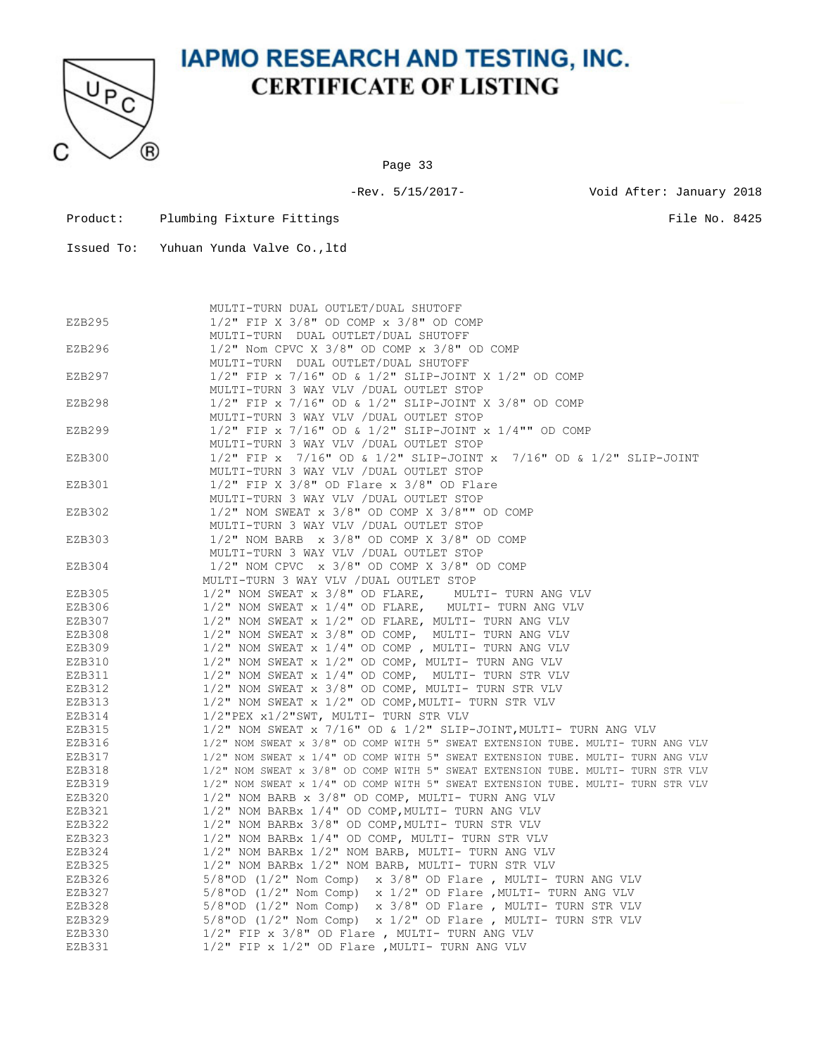

Page 33

-Rev. 5/15/2017- Void After: January 2018

| Product: | Plumbing Fixture Fittings | File No. 8425 |  |
|----------|---------------------------|---------------|--|

|        | MULTI-TURN DUAL OUTLET/DUAL SHUTOFF                                                   |
|--------|---------------------------------------------------------------------------------------|
| EZB295 | $1/2$ " FIP X 3/8" OD COMP x 3/8" OD COMP                                             |
|        | MULTI-TURN DUAL OUTLET/DUAL SHUTOFF                                                   |
| EZB296 | $1/2$ " Nom CPVC X 3/8" OD COMP x 3/8" OD COMP                                        |
|        | MULTI-TURN DUAL OUTLET/DUAL SHUTOFF                                                   |
| EZB297 | $1/2$ " FIP x 7/16" OD & $1/2$ " SLIP-JOINT X $1/2$ " OD COMP                         |
|        | MULTI-TURN 3 WAY VLV / DUAL OUTLET STOP                                               |
| EZB298 | 1/2" FIP x 7/16" OD & 1/2" SLIP-JOINT X 3/8" OD COMP                                  |
|        | MULTI-TURN 3 WAY VLV / DUAL OUTLET STOP                                               |
|        | 1/2" FIP x 7/16" OD & 1/2" SLIP-JOINT x 1/4"" OD COMP                                 |
| EZB299 |                                                                                       |
|        | MULTI-TURN 3 WAY VLV / DUAL OUTLET STOP                                               |
| EZB300 | $1/2$ " FIP x $7/16$ " OD & $1/2$ " SLIP-JOINT x $7/16$ " OD & $1/2$ " SLIP-JOINT     |
|        | MULTI-TURN 3 WAY VLV / DUAL OUTLET STOP                                               |
| EZB301 | $1/2$ " FIP X 3/8" OD Flare x 3/8" OD Flare                                           |
|        | MULTI-TURN 3 WAY VLV / DUAL OUTLET STOP                                               |
| EZB302 | $1/2$ " NOM SWEAT x $3/8$ " OD COMP X $3/8$ "" OD COMP                                |
|        | MULTI-TURN 3 WAY VLV / DUAL OUTLET STOP                                               |
| EZB303 | $1/2$ " NOM BARB $\,\times\,$ 3/8" OD COMP X 3/8" OD COMP                             |
|        | MULTI-TURN 3 WAY VLV / DUAL OUTLET STOP                                               |
| EZB304 | $1/2$ " NOM CPVC $\times$ 3/8" OD COMP X 3/8" OD COMP                                 |
|        | MULTI-TURN 3 WAY VLV / DUAL OUTLET STOP                                               |
| EZB305 | 1/2" NOM SWEAT x 3/8" OD FLARE, MULTI- TURN ANG VLV                                   |
| EZB306 | $1/2$ " NOM SWEAT x $1/4$ " OD FLARE, MULTI- TURN ANG VLV                             |
| EZB307 | $1/2$ " NOM SWEAT x $1/2$ " OD FLARE, MULTI- TURN ANG VLV                             |
| EZB308 | 1/2" NOM SWEAT x 3/8" OD COMP, MULTI- TURN ANG VLV                                    |
| EZB309 | 1/2" NOM SWEAT x 1/4" OD COMP, MULTI- TURN ANG VLV                                    |
| EZB310 | 1/2" NOM SWEAT x 1/2" OD COMP, MULTI- TURN ANG VLV                                    |
| EZB311 | 1/2" NOM SWEAT x 1/4" OD COMP, MULTI- TURN STR VLV                                    |
| EZB312 | 1/2" NOM SWEAT x 3/8" OD COMP, MULTI- TURN STR VLV                                    |
| EZB313 | 1/2" NOM SWEAT x 1/2" OD COMP, MULTI- TURN STR VLV                                    |
| EZB314 | 1/2"PEX x1/2"SWT, MULTI- TURN STR VLV                                                 |
| EZB315 | $1/2$ " NOM SWEAT x 7/16" OD & $1/2$ " SLIP-JOINT, MULTI- TURN ANG VLV                |
| EZB316 | 1/2" NOM SWEAT x 3/8" OD COMP WITH 5" SWEAT EXTENSION TUBE. MULTI- TURN ANG VLV       |
| EZB317 | $1/2$ " NOM SWEAT x $1/4$ " OD COMP WITH 5" SWEAT EXTENSION TUBE. MULTI- TURN ANG VLV |
| EZB318 | 1/2" NOM SWEAT x 3/8" OD COMP WITH 5" SWEAT EXTENSION TUBE. MULTI- TURN STR VLV       |
| EZB319 | 1/2" NOM SWEAT x 1/4" OD COMP WITH 5" SWEAT EXTENSION TUBE. MULTI- TURN STR VLV       |
| EZB320 | 1/2" NOM BARB x 3/8" OD COMP, MULTI- TURN ANG VLV                                     |
| EZB321 | 1/2" NOM BARBx 1/4" OD COMP, MULTI- TURN ANG VLV                                      |
| EZB322 | 1/2" NOM BARBx 3/8" OD COMP, MULTI- TURN STR VLV                                      |
| EZB323 | 1/2" NOM BARBx 1/4" OD COMP, MULTI- TURN STR VLV                                      |
| EZB324 | 1/2" NOM BARBx 1/2" NOM BARB, MULTI- TURN ANG VLV                                     |
| EZB325 | 1/2" NOM BARBx 1/2" NOM BARB, MULTI- TURN STR VLV                                     |
|        |                                                                                       |
| EZB326 | $5/8$ "OD (1/2" Nom Comp) x 3/8" OD Flare, MULTI- TURN ANG VLV                        |
| EZB327 | 5/8"OD (1/2" Nom Comp) x $1/2$ " OD Flare , MULTI- TURN ANG VLV                       |
| EZB328 | $5/8$ "OD (1/2" Nom Comp) x $3/8$ " OD Flare, MULTI- TURN STR VLV                     |
| EZB329 | $5/8$ "OD (1/2" Nom Comp) x 1/2" OD Flare, MULTI- TURN STR VLV                        |
| EZB330 | $1/2$ " FIP x $3/8$ " OD Flare, MULTI- TURN ANG VLV                                   |
| EZB331 | $1/2$ " FIP x $1/2$ " OD Flare , MULTI- TURN ANG VLV                                  |